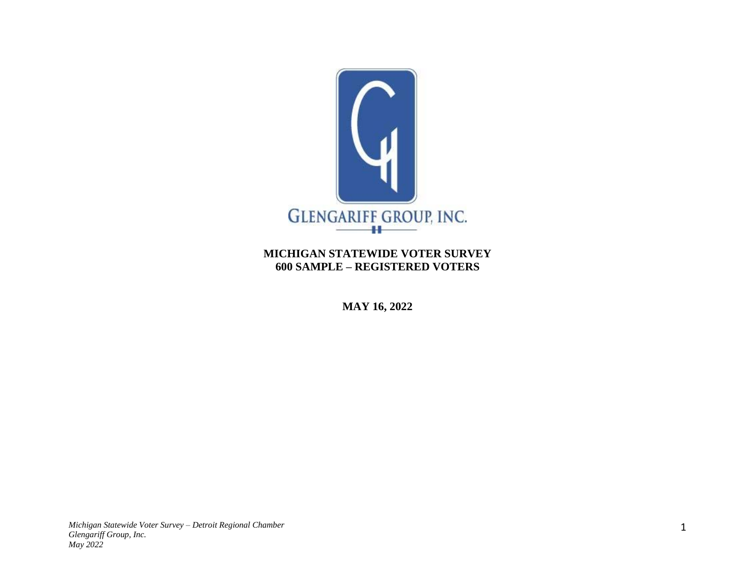

# **MICHIGAN STATEWIDE VOTER SURVEY 600 SAMPLE – REGISTERED VOTERS**

**MAY 16, 2022**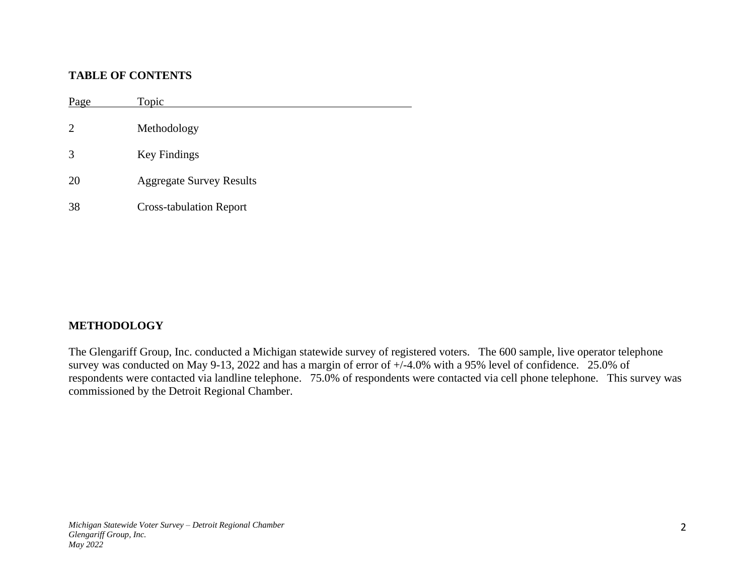# **TABLE OF CONTENTS**

Page Topic Methodology Key Findings Aggregate Survey Results Cross-tabulation Report

# **METHODOLOGY**

The Glengariff Group, Inc. conducted a Michigan statewide survey of registered voters. The 600 sample, live operator telephone survey was conducted on May 9-13, 2022 and has a margin of error of  $+/-4.0\%$  with a 95% level of confidence. 25.0% of respondents were contacted via landline telephone. 75.0% of respondents were contacted via cell phone telephone. This survey was commissioned by the Detroit Regional Chamber.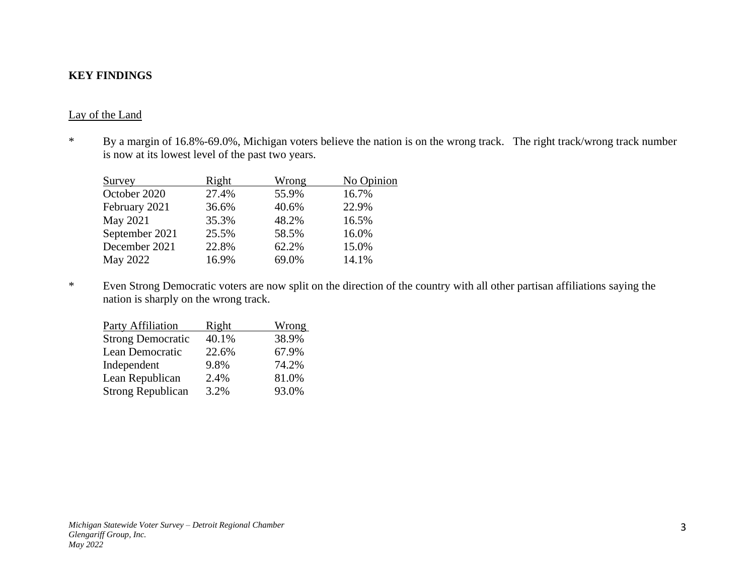# **KEY FINDINGS**

#### Lay of the Land

\* By a margin of 16.8%-69.0%, Michigan voters believe the nation is on the wrong track. The right track/wrong track number is now at its lowest level of the past two years.

| Survey         | Right | Wrong | No Opinion |
|----------------|-------|-------|------------|
| October 2020   | 27.4% | 55.9% | 16.7%      |
| February 2021  | 36.6% | 40.6% | 22.9%      |
| May 2021       | 35.3% | 48.2% | 16.5%      |
| September 2021 | 25.5% | 58.5% | 16.0%      |
| December 2021  | 22.8% | 62.2% | 15.0%      |
| May 2022       | 16.9% | 69.0% | 14.1%      |

\* Even Strong Democratic voters are now split on the direction of the country with all other partisan affiliations saying the nation is sharply on the wrong track.

| <u>Right</u> | <b>Wrong</b> |
|--------------|--------------|
| 40.1%        | 38.9%        |
| 22.6%        | 67.9%        |
| 9.8%         | 74.2%        |
| 2.4%         | 81.0%        |
| 3.2%         | 93.0%        |
|              |              |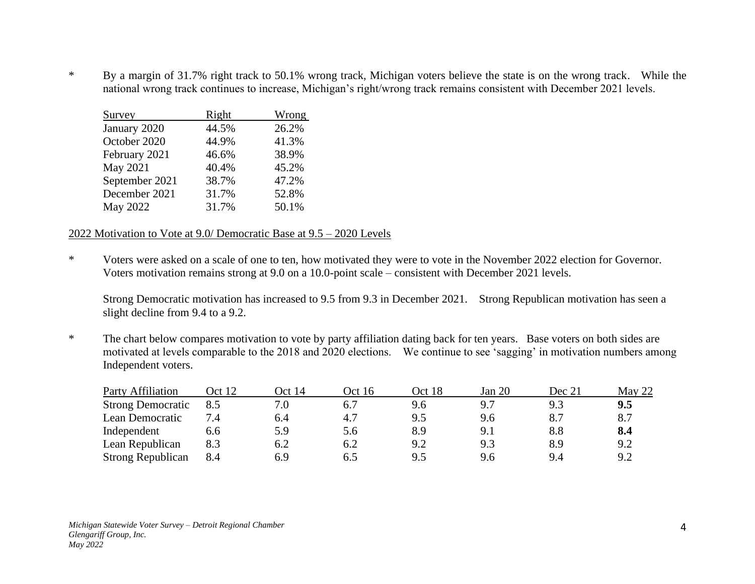\* By a margin of 31.7% right track to 50.1% wrong track, Michigan voters believe the state is on the wrong track. While the national wrong track continues to increase, Michigan's right/wrong track remains consistent with December 2021 levels.

| Survey         | Right | Wrong |
|----------------|-------|-------|
| January 2020   | 44.5% | 26.2% |
| October 2020   | 44.9% | 41.3% |
| February 2021  | 46.6% | 38.9% |
| May 2021       | 40.4% | 45.2% |
| September 2021 | 38.7% | 47.2% |
| December 2021  | 31.7% | 52.8% |
| May 2022       | 31.7% | 50.1% |

### 2022 Motivation to Vote at 9.0/ Democratic Base at 9.5 – 2020 Levels

\* Voters were asked on a scale of one to ten, how motivated they were to vote in the November 2022 election for Governor. Voters motivation remains strong at 9.0 on a 10.0-point scale – consistent with December 2021 levels.

Strong Democratic motivation has increased to 9.5 from 9.3 in December 2021. Strong Republican motivation has seen a slight decline from 9.4 to a 9.2.

\* The chart below compares motivation to vote by party affiliation dating back for ten years. Base voters on both sides are motivated at levels comparable to the 2018 and 2020 elections. We continue to see 'sagging' in motivation numbers among Independent voters.

| <b>Party Affiliation</b> | Oct 12 | Oct 14 | Oct 16 | Oct 18 | Jan 20   | Dec 21  | May 22 |
|--------------------------|--------|--------|--------|--------|----------|---------|--------|
| <b>Strong Democratic</b> | 8.5    | 7.0    |        |        |          | 9.3     | 9.5    |
| Lean Democratic          | 7.4    | 6.4    | 4.7    | 9.5    | 9.6      |         | 8.7    |
| Independent              | 6.6    | 5.9    | 5.6    | 8.9    | $9_{.1}$ | $8.8\,$ | 8.4    |
| Lean Republican          | 8.3    | 6.2    | 6.2    | 9.2    | 9.3      | 8.9     | 9.2    |
| <b>Strong Republican</b> | 8.4    | 6.9    |        | 9.5    | 9.6      | 9.4     | 9.2    |

*Michigan Statewide Voter Survey – Detroit Regional Chamber Glengariff Group, Inc. May 2022*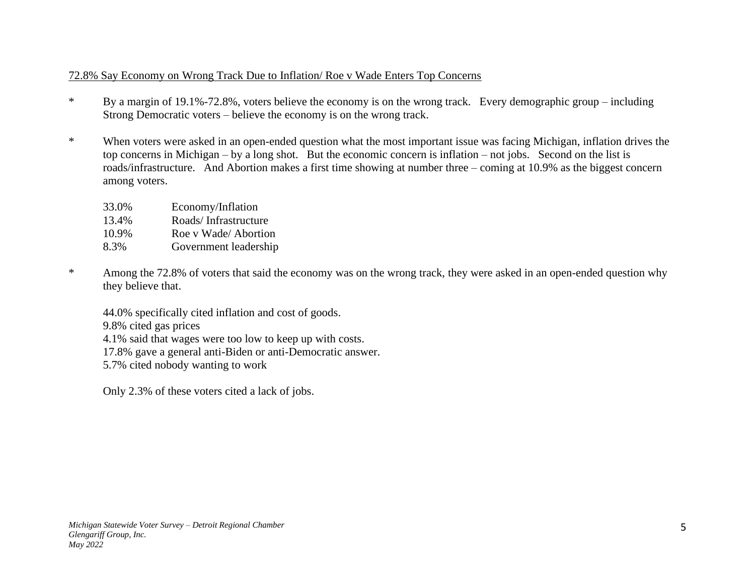# 72.8% Say Economy on Wrong Track Due to Inflation/ Roe v Wade Enters Top Concerns

- \* By a margin of 19.1%-72.8%, voters believe the economy is on the wrong track. Every demographic group including Strong Democratic voters – believe the economy is on the wrong track.
- \* When voters were asked in an open-ended question what the most important issue was facing Michigan, inflation drives the top concerns in Michigan – by a long shot. But the economic concern is inflation – not jobs. Second on the list is roads/infrastructure. And Abortion makes a first time showing at number three – coming at 10.9% as the biggest concern among voters.

| 33.0% | Economy/Inflation     |
|-------|-----------------------|
| 13.4% | Roads/Infrastructure  |
| 10.9% | Roe v Wade/ Abortion  |
| 8.3%  | Government leadership |

\* Among the 72.8% of voters that said the economy was on the wrong track, they were asked in an open-ended question why they believe that.

44.0% specifically cited inflation and cost of goods. 9.8% cited gas prices

4.1% said that wages were too low to keep up with costs.

17.8% gave a general anti-Biden or anti-Democratic answer.

5.7% cited nobody wanting to work

Only 2.3% of these voters cited a lack of jobs.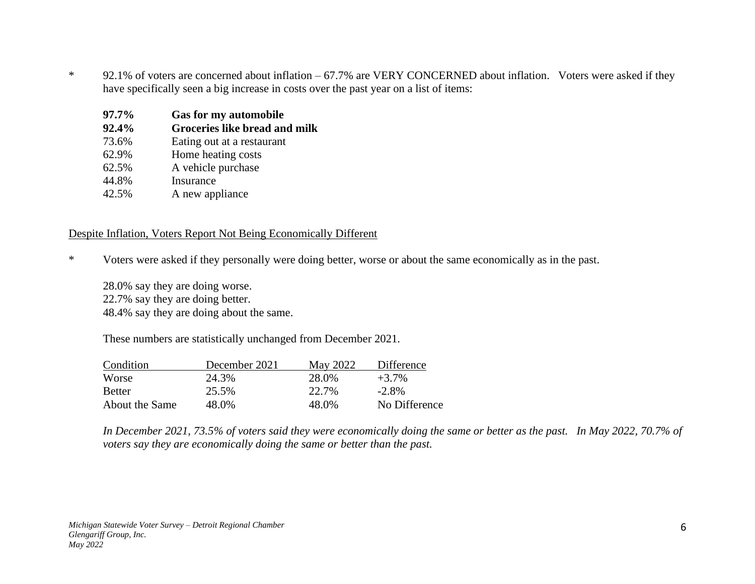\* 92.1% of voters are concerned about inflation – 67.7% are VERY CONCERNED about inflation. Voters were asked if they have specifically seen a big increase in costs over the past year on a list of items:

| 97.7% | <b>Gas for my automobile</b>  |
|-------|-------------------------------|
| 92.4% | Groceries like bread and milk |
| 73.6% | Eating out at a restaurant    |
| 62.9% | Home heating costs            |
| 62.5% | A vehicle purchase            |
| 44.8% | Insurance                     |
| 42.5% | A new appliance               |

### Despite Inflation, Voters Report Not Being Economically Different

\* Voters were asked if they personally were doing better, worse or about the same economically as in the past.

28.0% say they are doing worse. 22.7% say they are doing better. 48.4% say they are doing about the same.

These numbers are statistically unchanged from December 2021.

| Condition      | December 2021 | May 2022 | Difference    |
|----------------|---------------|----------|---------------|
| <b>Worse</b>   | 24.3%         | 28.0%    | $+3.7\%$      |
| <b>Better</b>  | 25.5%         | 22.7%    | $-2.8\%$      |
| About the Same | 48.0%         | 48.0%    | No Difference |

*In December 2021, 73.5% of voters said they were economically doing the same or better as the past. In May 2022, 70.7% of voters say they are economically doing the same or better than the past.*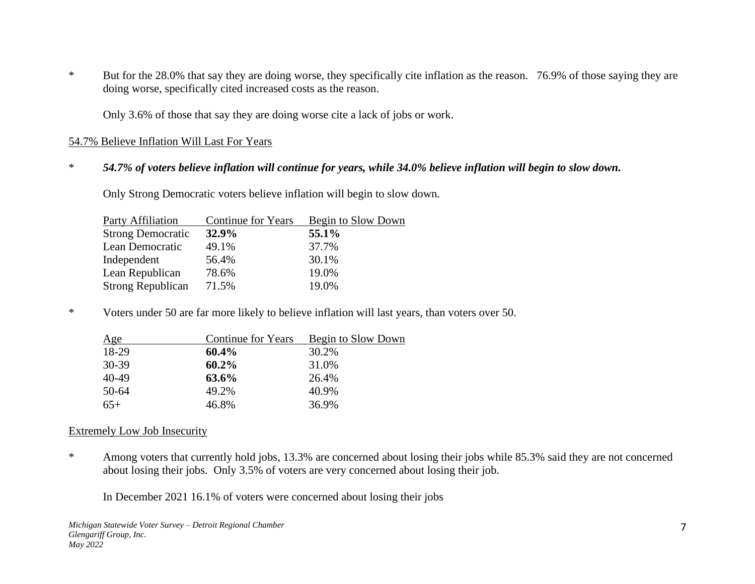\* But for the 28.0% that say they are doing worse, they specifically cite inflation as the reason. 76.9% of those saying they are doing worse, specifically cited increased costs as the reason.

Only 3.6% of those that say they are doing worse cite a lack of jobs or work.

#### 54.7% Believe Inflation Will Last For Years

### \* *54.7% of voters believe inflation will continue for years, while 34.0% believe inflation will begin to slow down.*

Only Strong Democratic voters believe inflation will begin to slow down.

| Party Affiliation        | <b>Continue for Years</b> | Begin to Slow Down |
|--------------------------|---------------------------|--------------------|
| <b>Strong Democratic</b> | 32.9%                     | 55.1%              |
| Lean Democratic          | 49.1%                     | 37.7%              |
| Independent              | 56.4%                     | 30.1%              |
| Lean Republican          | 78.6%                     | 19.0%              |
| <b>Strong Republican</b> | 71.5%                     | 19.0%              |

\* Voters under 50 are far more likely to believe inflation will last years, than voters over 50.

| Age   | <b>Continue for Years</b> | Begin to Slow Down |
|-------|---------------------------|--------------------|
| 18-29 | $60.4\%$                  | 30.2%              |
| 30-39 | $60.2\%$                  | 31.0%              |
| 40-49 | 63.6%                     | 26.4%              |
| 50-64 | 49.2%                     | 40.9%              |
| $65+$ | 46.8%                     | 36.9%              |

#### Extremely Low Job Insecurity

\* Among voters that currently hold jobs, 13.3% are concerned about losing their jobs while 85.3% said they are not concerned about losing their jobs. Only 3.5% of voters are very concerned about losing their job.

In December 2021 16.1% of voters were concerned about losing their jobs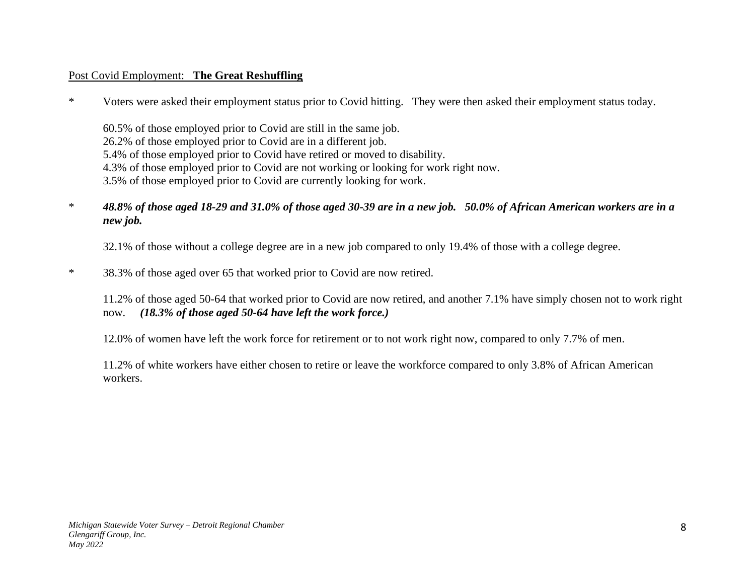# Post Covid Employment: **The Great Reshuffling**

\* Voters were asked their employment status prior to Covid hitting. They were then asked their employment status today.

60.5% of those employed prior to Covid are still in the same job. 26.2% of those employed prior to Covid are in a different job. 5.4% of those employed prior to Covid have retired or moved to disability. 4.3% of those employed prior to Covid are not working or looking for work right now. 3.5% of those employed prior to Covid are currently looking for work.

\* *48.8% of those aged 18-29 and 31.0% of those aged 30-39 are in a new job. 50.0% of African American workers are in a new job.* 

32.1% of those without a college degree are in a new job compared to only 19.4% of those with a college degree.

\* 38.3% of those aged over 65 that worked prior to Covid are now retired.

11.2% of those aged 50-64 that worked prior to Covid are now retired, and another 7.1% have simply chosen not to work right now. *(18.3% of those aged 50-64 have left the work force.)*

12.0% of women have left the work force for retirement or to not work right now, compared to only 7.7% of men.

11.2% of white workers have either chosen to retire or leave the workforce compared to only 3.8% of African American workers.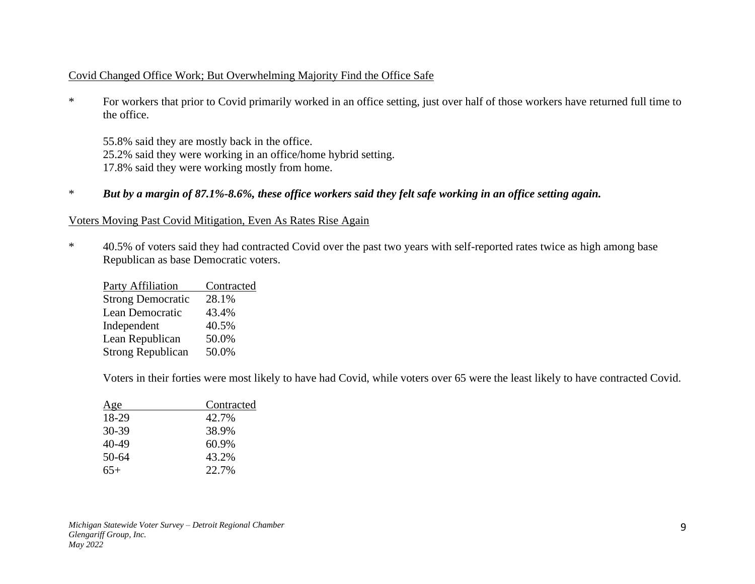## Covid Changed Office Work; But Overwhelming Majority Find the Office Safe

\* For workers that prior to Covid primarily worked in an office setting, just over half of those workers have returned full time to the office.

55.8% said they are mostly back in the office. 25.2% said they were working in an office/home hybrid setting. 17.8% said they were working mostly from home.

\* *But by a margin of 87.1%-8.6%, these office workers said they felt safe working in an office setting again.*

## Voters Moving Past Covid Mitigation, Even As Rates Rise Again

\* 40.5% of voters said they had contracted Covid over the past two years with self-reported rates twice as high among base Republican as base Democratic voters.

| <b>Party Affiliation</b> | Contracted |
|--------------------------|------------|
| <b>Strong Democratic</b> | 28.1%      |
| Lean Democratic          | 43.4%      |
| Independent              | 40.5%      |
| Lean Republican          | 50.0%      |
| <b>Strong Republican</b> | 50.0%      |

Voters in their forties were most likely to have had Covid, while voters over 65 were the least likely to have contracted Covid.

| Age   | Contracted |
|-------|------------|
| 18-29 | 42.7%      |
| 30-39 | 38.9%      |
| 40-49 | 60.9%      |
| 50-64 | 43.2%      |
| $65+$ | 22.7%      |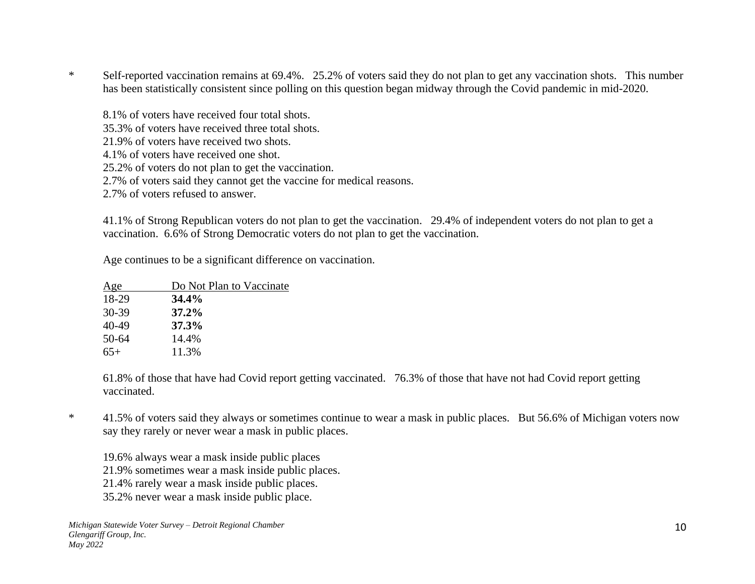\* Self-reported vaccination remains at 69.4%. 25.2% of voters said they do not plan to get any vaccination shots. This number has been statistically consistent since polling on this question began midway through the Covid pandemic in mid-2020.

8.1% of voters have received four total shots. 35.3% of voters have received three total shots. 21.9% of voters have received two shots. 4.1% of voters have received one shot. 25.2% of voters do not plan to get the vaccination. 2.7% of voters said they cannot get the vaccine for medical reasons. 2.7% of voters refused to answer.

41.1% of Strong Republican voters do not plan to get the vaccination. 29.4% of independent voters do not plan to get a vaccination. 6.6% of Strong Democratic voters do not plan to get the vaccination.

Age continues to be a significant difference on vaccination.

| Age   | Do Not Plan to Vaccinate |
|-------|--------------------------|
| 18-29 | 34.4%                    |
| 30-39 | $37.2\%$                 |
| 40-49 | 37.3%                    |
| 50-64 | 14.4%                    |
| 65+   | 11.3%                    |

61.8% of those that have had Covid report getting vaccinated. 76.3% of those that have not had Covid report getting vaccinated.

\* 41.5% of voters said they always or sometimes continue to wear a mask in public places. But 56.6% of Michigan voters now say they rarely or never wear a mask in public places.

19.6% always wear a mask inside public places 21.9% sometimes wear a mask inside public places.

- 21.4% rarely wear a mask inside public places.
- 35.2% never wear a mask inside public place.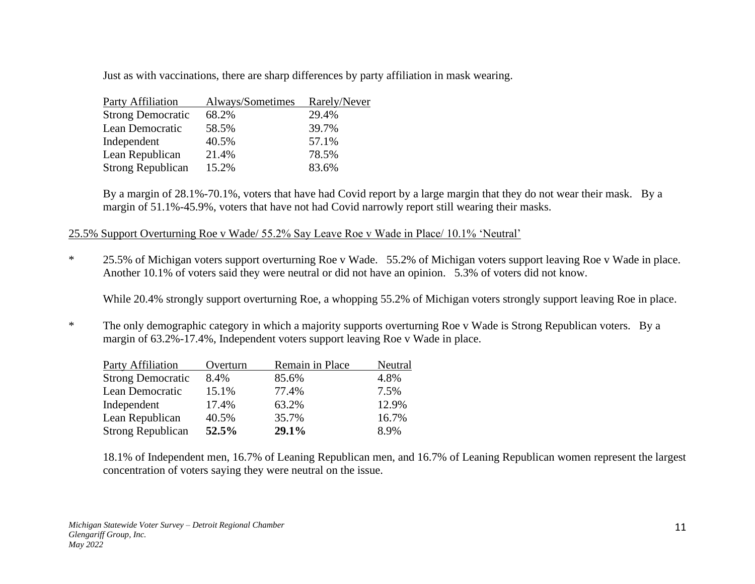Just as with vaccinations, there are sharp differences by party affiliation in mask wearing.

| Party Affiliation        | Always/Sometimes | Rarely/Never |
|--------------------------|------------------|--------------|
| <b>Strong Democratic</b> | 68.2%            | 29.4%        |
| Lean Democratic          | 58.5%            | 39.7%        |
| Independent              | 40.5%            | 57.1%        |
| Lean Republican          | 21.4%            | 78.5%        |
| <b>Strong Republican</b> | 15.2%            | 83.6%        |

By a margin of 28.1%-70.1%, voters that have had Covid report by a large margin that they do not wear their mask. By a margin of 51.1%-45.9%, voters that have not had Covid narrowly report still wearing their masks.

## 25.5% Support Overturning Roe v Wade/ 55.2% Say Leave Roe v Wade in Place/ 10.1% 'Neutral'

\* 25.5% of Michigan voters support overturning Roe v Wade. 55.2% of Michigan voters support leaving Roe v Wade in place. Another 10.1% of voters said they were neutral or did not have an opinion. 5.3% of voters did not know.

While 20.4% strongly support overturning Roe, a whopping 55.2% of Michigan voters strongly support leaving Roe in place.

\* The only demographic category in which a majority supports overturning Roe v Wade is Strong Republican voters. By a margin of 63.2%-17.4%, Independent voters support leaving Roe v Wade in place.

| <b>Party Affiliation</b> | Overturn | Remain in Place | Neutral |
|--------------------------|----------|-----------------|---------|
| <b>Strong Democratic</b> | 8.4%     | 85.6%           | 4.8%    |
| Lean Democratic          | 15.1%    | 77.4%           | 7.5%    |
| Independent              | 17.4%    | 63.2%           | 12.9%   |
| Lean Republican          | 40.5%    | 35.7%           | 16.7%   |
| <b>Strong Republican</b> | 52.5%    | 29.1%           | 8.9%    |

18.1% of Independent men, 16.7% of Leaning Republican men, and 16.7% of Leaning Republican women represent the largest concentration of voters saying they were neutral on the issue.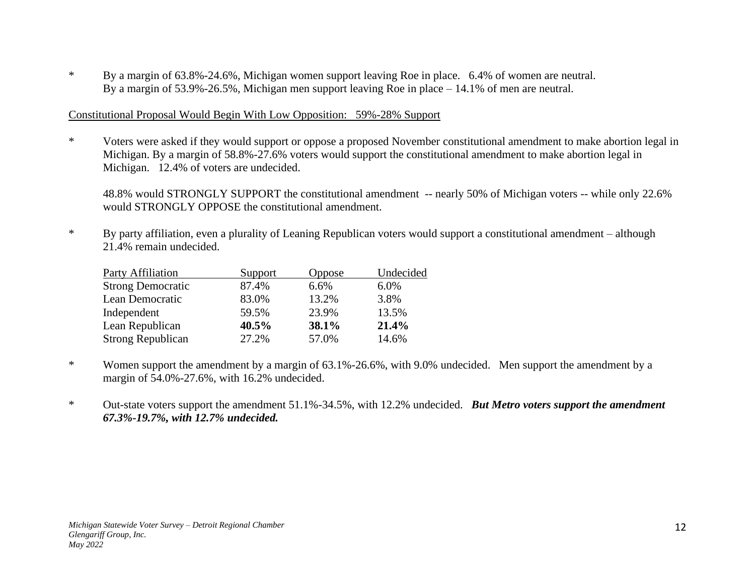\* By a margin of 63.8%-24.6%, Michigan women support leaving Roe in place. 6.4% of women are neutral. By a margin of 53.9%-26.5%, Michigan men support leaving Roe in place – 14.1% of men are neutral.

### Constitutional Proposal Would Begin With Low Opposition: 59%-28% Support

\* Voters were asked if they would support or oppose a proposed November constitutional amendment to make abortion legal in Michigan. By a margin of 58.8%-27.6% voters would support the constitutional amendment to make abortion legal in Michigan. 12.4% of voters are undecided.

48.8% would STRONGLY SUPPORT the constitutional amendment -- nearly 50% of Michigan voters -- while only 22.6% would STRONGLY OPPOSE the constitutional amendment.

\* By party affiliation, even a plurality of Leaning Republican voters would support a constitutional amendment – although 21.4% remain undecided.

| Party Affiliation        | Support | Oppose | Undecided |
|--------------------------|---------|--------|-----------|
| <b>Strong Democratic</b> | 87.4%   | 6.6%   | 6.0%      |
| Lean Democratic          | 83.0%   | 13.2%  | 3.8%      |
| Independent              | 59.5%   | 23.9%  | 13.5%     |
| Lean Republican          | 40.5%   | 38.1%  | 21.4%     |
| <b>Strong Republican</b> | 27.2%   | 57.0%  | 14.6%     |

- \* Women support the amendment by a margin of 63.1%-26.6%, with 9.0% undecided. Men support the amendment by a margin of 54.0%-27.6%, with 16.2% undecided.
- \* Out-state voters support the amendment 51.1%-34.5%, with 12.2% undecided. *But Metro voters support the amendment 67.3%-19.7%, with 12.7% undecided.*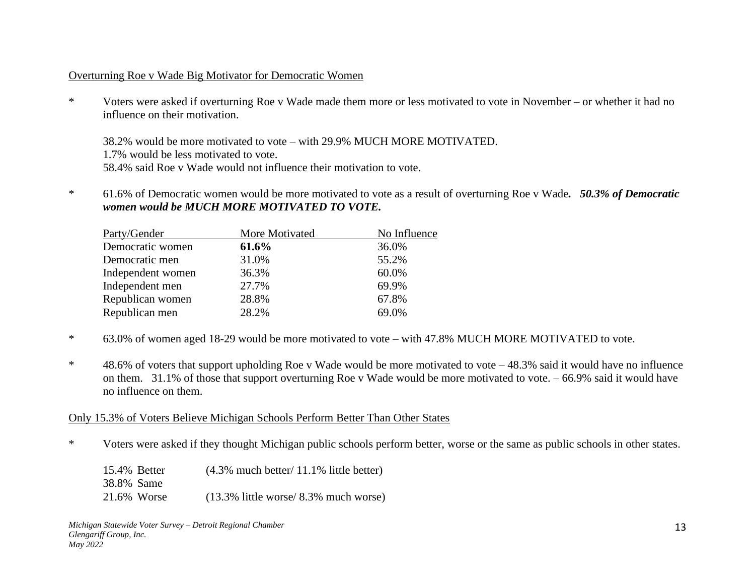## Overturning Roe v Wade Big Motivator for Democratic Women

\* Voters were asked if overturning Roe v Wade made them more or less motivated to vote in November – or whether it had no influence on their motivation.

38.2% would be more motivated to vote – with 29.9% MUCH MORE MOTIVATED. 1.7% would be less motivated to vote. 58.4% said Roe v Wade would not influence their motivation to vote.

\* 61.6% of Democratic women would be more motivated to vote as a result of overturning Roe v Wade*. 50.3% of Democratic women would be MUCH MORE MOTIVATED TO VOTE.*

| More Motivated | No Influence |
|----------------|--------------|
| 61.6%          | 36.0%        |
| 31.0%          | 55.2%        |
| 36.3%          | 60.0%        |
| 27.7%          | 69.9%        |
| 28.8%          | 67.8%        |
| 28.2%          | 69.0%        |
|                |              |

- \* 63.0% of women aged 18-29 would be more motivated to vote with 47.8% MUCH MORE MOTIVATED to vote.
- \* 48.6% of voters that support upholding Roe v Wade would be more motivated to vote 48.3% said it would have no influence on them. 31.1% of those that support overturning Roe v Wade would be more motivated to vote. – 66.9% said it would have no influence on them.

## Only 15.3% of Voters Believe Michigan Schools Perform Better Than Other States

\* Voters were asked if they thought Michigan public schools perform better, worse or the same as public schools in other states.

|            | 15.4% Better | $(4.3\%$ much better/ 11.1% little better) |
|------------|--------------|--------------------------------------------|
| 38.8% Same |              |                                            |
|            | 21.6% Worse  | $(13.3\%$ little worse/ 8.3% much worse)   |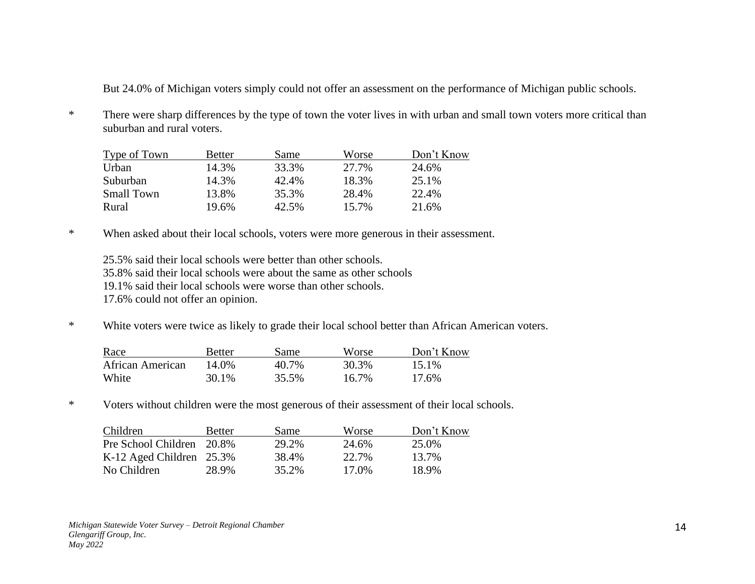But 24.0% of Michigan voters simply could not offer an assessment on the performance of Michigan public schools.

\* There were sharp differences by the type of town the voter lives in with urban and small town voters more critical than suburban and rural voters.

| Type of Town      | Better | Same  | Worse | Don't Know |
|-------------------|--------|-------|-------|------------|
| Urban             | 14.3%  | 33.3% | 27.7% | 24.6%      |
| Suburban          | 14.3%  | 42.4% | 18.3% | 25.1%      |
| <b>Small Town</b> | 13.8%  | 35.3% | 28.4% | 22.4%      |
| Rural             | 19.6%  | 42.5% | 15.7% | 21.6%      |

\* When asked about their local schools, voters were more generous in their assessment.

25.5% said their local schools were better than other schools. 35.8% said their local schools were about the same as other schools 19.1% said their local schools were worse than other schools.

17.6% could not offer an opinion.

\* White voters were twice as likely to grade their local school better than African American voters.

| Race             | Better | Same  | Worse | Don't Know |
|------------------|--------|-------|-------|------------|
| African American | 14.0%  | 40.7% | 30.3% | 15.1%      |
| White            | 30.1%  | 35.5% | 16.7% | 17.6%      |

\* Voters without children were the most generous of their assessment of their local schools.

| Children                    | <b>Better</b> | Same  | Worse | Don't Know |
|-----------------------------|---------------|-------|-------|------------|
| Pre School Children 20.8%   |               | 29.2% | 24.6% | 25.0%      |
| K-12 Aged Children $25.3\%$ |               | 38.4% | 22.7% | 13.7%      |
| No Children                 | 28.9%         | 35.2% | 17.0% | 18.9%      |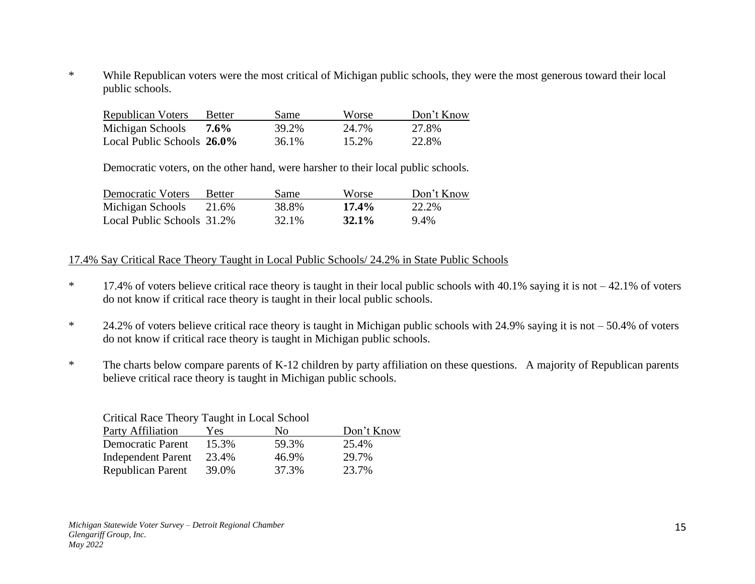\* While Republican voters were the most critical of Michigan public schools, they were the most generous toward their local public schools.

| <b>Republican Voters</b>   | <b>Better</b> | Same  | Worse | Don't Know |
|----------------------------|---------------|-------|-------|------------|
| Michigan Schools           | $7.6\%$       | 39.2% | 24.7% | 27.8%      |
| Local Public Schools 26.0% |               | 36.1% | 15.2% | 22.8%      |

Democratic voters, on the other hand, were harsher to their local public schools.

| <b>Democratic Voters</b>   | <b>Better</b> | Same  | Worse    | Don't Know |
|----------------------------|---------------|-------|----------|------------|
| Michigan Schools           | 21.6%         | 38.8% | $17.4\%$ | 22.2%      |
| Local Public Schools 31.2% |               | 32.1% | $32.1\%$ | 9.4%       |

### 17.4% Say Critical Race Theory Taught in Local Public Schools/ 24.2% in State Public Schools

- \* 17.4% of voters believe critical race theory is taught in their local public schools with 40.1% saying it is not 42.1% of voters do not know if critical race theory is taught in their local public schools.
- \* 24.2% of voters believe critical race theory is taught in Michigan public schools with 24.9% saying it is not 50.4% of voters do not know if critical race theory is taught in Michigan public schools.
- \* The charts below compare parents of K-12 children by party affiliation on these questions. A majority of Republican parents believe critical race theory is taught in Michigan public schools.

| Critical Race Theory Taught in Local School |       |       |            |
|---------------------------------------------|-------|-------|------------|
| <b>Party Affiliation</b>                    | Yes   | Nο    | Don't Know |
| <b>Democratic Parent</b>                    | 15.3% | 59.3% | 25.4%      |
| <b>Independent Parent</b>                   | 23.4% | 46.9% | 29.7%      |
| Republican Parent                           | 39.0% | 37.3% | 23.7%      |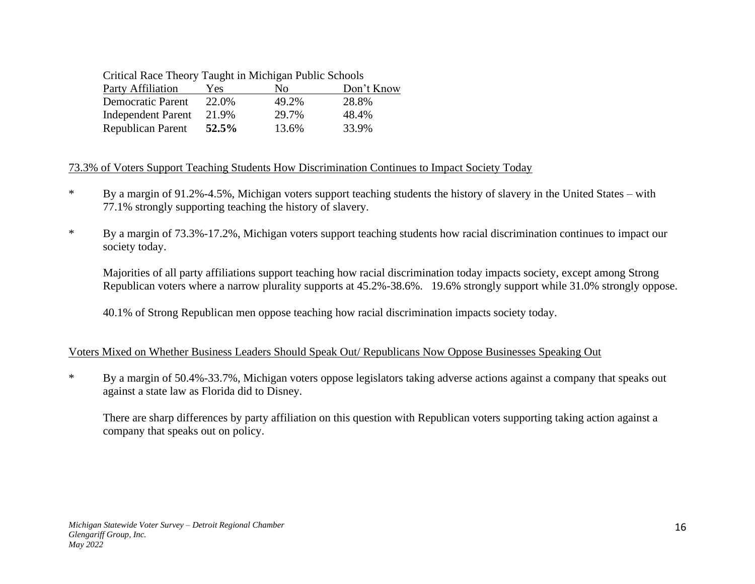## Critical Race Theory Taught in Michigan Public Schools

| <b>Party Affiliation</b>  | Yes   | Nο    | Don't Know |
|---------------------------|-------|-------|------------|
| <b>Democratic Parent</b>  | 22.0% | 49.2% | 28.8%      |
| <b>Independent Parent</b> | 21.9% | 29.7% | 48.4%      |
| Republican Parent         | 52.5% | 13.6% | 33.9%      |

# 73.3% of Voters Support Teaching Students How Discrimination Continues to Impact Society Today

- \* By a margin of 91.2%-4.5%, Michigan voters support teaching students the history of slavery in the United States with 77.1% strongly supporting teaching the history of slavery.
- \* By a margin of 73.3%-17.2%, Michigan voters support teaching students how racial discrimination continues to impact our society today.

Majorities of all party affiliations support teaching how racial discrimination today impacts society, except among Strong Republican voters where a narrow plurality supports at 45.2%-38.6%. 19.6% strongly support while 31.0% strongly oppose.

40.1% of Strong Republican men oppose teaching how racial discrimination impacts society today.

# Voters Mixed on Whether Business Leaders Should Speak Out/ Republicans Now Oppose Businesses Speaking Out

\* By a margin of 50.4%-33.7%, Michigan voters oppose legislators taking adverse actions against a company that speaks out against a state law as Florida did to Disney.

There are sharp differences by party affiliation on this question with Republican voters supporting taking action against a company that speaks out on policy.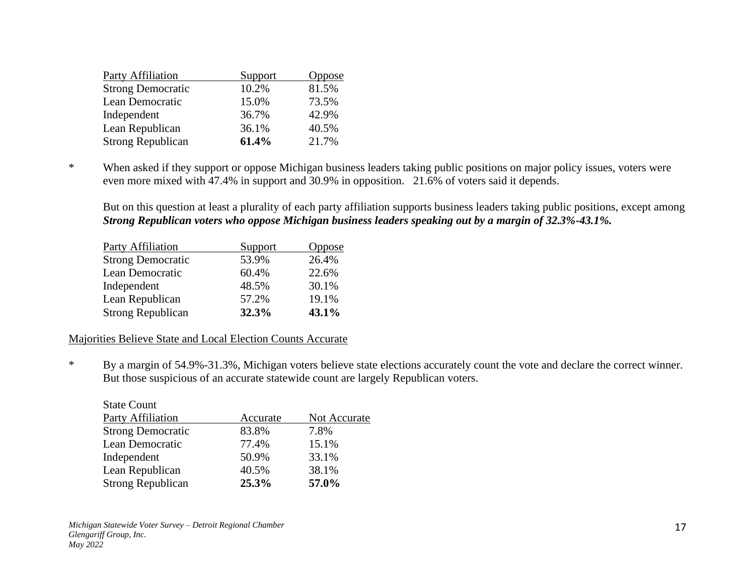| <b>Party Affiliation</b> | Support | <b>Oppose</b> |
|--------------------------|---------|---------------|
| <b>Strong Democratic</b> | 10.2%   | 81.5%         |
| Lean Democratic          | 15.0%   | 73.5%         |
| Independent              | 36.7%   | 42.9%         |
| Lean Republican          | 36.1%   | 40.5%         |
| <b>Strong Republican</b> | 61.4%   | 21.7%         |

\* When asked if they support or oppose Michigan business leaders taking public positions on major policy issues, voters were even more mixed with 47.4% in support and 30.9% in opposition. 21.6% of voters said it depends.

But on this question at least a plurality of each party affiliation supports business leaders taking public positions, except among *Strong Republican voters who oppose Michigan business leaders speaking out by a margin of 32.3%-43.1%.*

| Party Affiliation        | Support | Oppose |
|--------------------------|---------|--------|
| <b>Strong Democratic</b> | 53.9%   | 26.4%  |
| Lean Democratic          | 60.4%   | 22.6%  |
| Independent              | 48.5%   | 30.1%  |
| Lean Republican          | 57.2%   | 19.1%  |
| <b>Strong Republican</b> | 32.3%   | 43.1%  |

#### Majorities Believe State and Local Election Counts Accurate

\* By a margin of 54.9%-31.3%, Michigan voters believe state elections accurately count the vote and declare the correct winner. But those suspicious of an accurate statewide count are largely Republican voters.

| <b>State Count</b>       |          |              |
|--------------------------|----------|--------------|
| <b>Party Affiliation</b> | Accurate | Not Accurate |
| <b>Strong Democratic</b> | 83.8%    | 7.8%         |
| Lean Democratic          | 77.4%    | 15.1%        |
| Independent              | 50.9%    | 33.1%        |
| Lean Republican          | 40.5%    | 38.1%        |
| <b>Strong Republican</b> | 25.3%    | 57.0%        |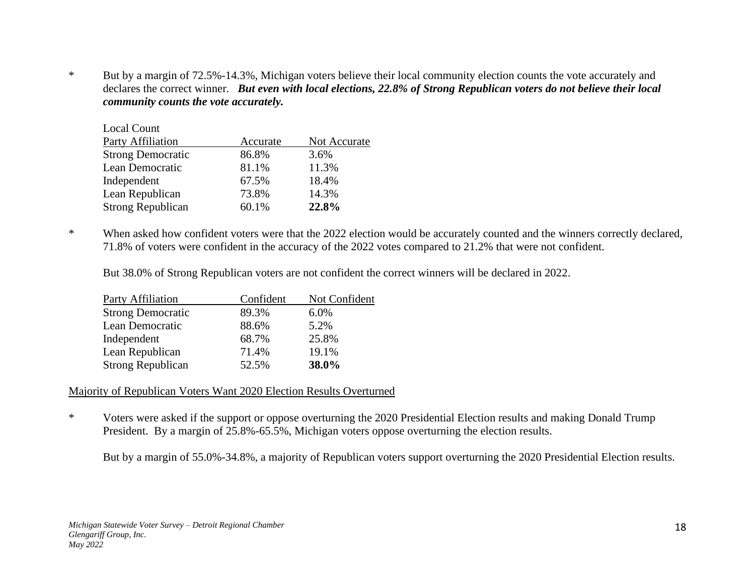\* But by a margin of 72.5%-14.3%, Michigan voters believe their local community election counts the vote accurately and declares the correct winner. *But even with local elections, 22.8% of Strong Republican voters do not believe their local community counts the vote accurately.*

| Accurate | Not Accurate |
|----------|--------------|
| 86.8%    | 3.6%         |
| 81.1%    | 11.3%        |
| 67.5%    | 18.4%        |
| 73.8%    | 14.3%        |
| 60.1%    | 22.8%        |
|          |              |

\* When asked how confident voters were that the 2022 election would be accurately counted and the winners correctly declared, 71.8% of voters were confident in the accuracy of the 2022 votes compared to 21.2% that were not confident.

But 38.0% of Strong Republican voters are not confident the correct winners will be declared in 2022.

| Party Affiliation        | Confident | Not Confident |
|--------------------------|-----------|---------------|
| <b>Strong Democratic</b> | 89.3%     | 6.0%          |
| Lean Democratic          | 88.6%     | 5.2%          |
| Independent              | 68.7%     | 25.8%         |
| Lean Republican          | 71.4%     | 19.1%         |
| <b>Strong Republican</b> | 52.5%     | 38.0%         |

## Majority of Republican Voters Want 2020 Election Results Overturned

\* Voters were asked if the support or oppose overturning the 2020 Presidential Election results and making Donald Trump President. By a margin of 25.8%-65.5%, Michigan voters oppose overturning the election results.

But by a margin of 55.0%-34.8%, a majority of Republican voters support overturning the 2020 Presidential Election results.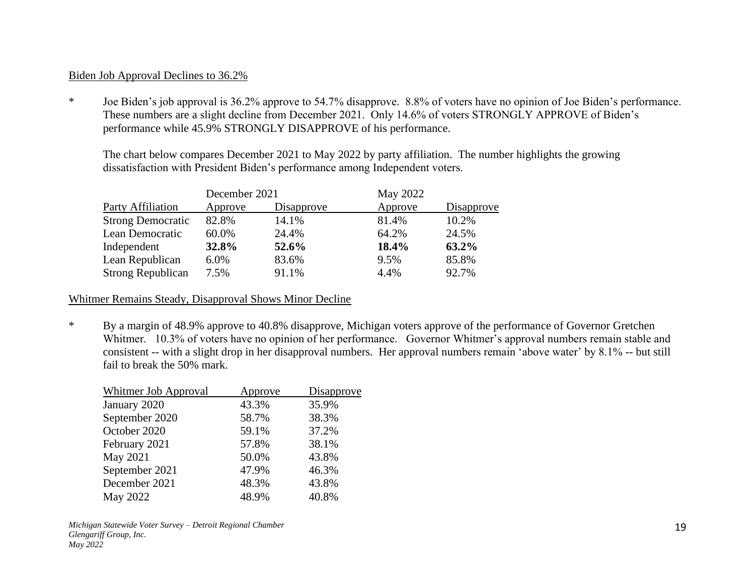#### Biden Job Approval Declines to 36.2%

\* Joe Biden's job approval is 36.2% approve to 54.7% disapprove. 8.8% of voters have no opinion of Joe Biden's performance. These numbers are a slight decline from December 2021. Only 14.6% of voters STRONGLY APPROVE of Biden's performance while 45.9% STRONGLY DISAPPROVE of his performance.

The chart below compares December 2021 to May 2022 by party affiliation. The number highlights the growing dissatisfaction with President Biden's performance among Independent voters.

|                          | December 2021 |            | May 2022 |            |  |
|--------------------------|---------------|------------|----------|------------|--|
| Party Affiliation        | Approve       | Disapprove | Approve  | Disapprove |  |
| <b>Strong Democratic</b> | 82.8%         | 14.1%      | 81.4%    | 10.2%      |  |
| Lean Democratic          | 60.0%         | 24.4%      | 64.2%    | 24.5%      |  |
| Independent              | 32.8%         | 52.6%      | 18.4%    | 63.2%      |  |
| Lean Republican          | 6.0%          | 83.6%      | 9.5%     | 85.8%      |  |
| <b>Strong Republican</b> | 7.5%          | 91.1%      | 4.4%     | 92.7%      |  |

Whitmer Remains Steady, Disapproval Shows Minor Decline

\* By a margin of 48.9% approve to 40.8% disapprove, Michigan voters approve of the performance of Governor Gretchen Whitmer. 10.3% of voters have no opinion of her performance. Governor Whitmer's approval numbers remain stable and consistent -- with a slight drop in her disapproval numbers. Her approval numbers remain 'above water' by 8.1% -- but still fail to break the 50% mark.

| <b>Whitmer Job Approval</b> | Approve | Disapprove |
|-----------------------------|---------|------------|
| January 2020                | 43.3%   | 35.9%      |
| September 2020              | 58.7%   | 38.3%      |
| October 2020                | 59.1%   | 37.2%      |
| February 2021               | 57.8%   | 38.1%      |
| May 2021                    | 50.0%   | 43.8%      |
| September 2021              | 47.9%   | 46.3%      |
| December 2021               | 48.3%   | 43.8%      |
| May 2022                    | 48.9%   | 40.8%      |

*Michigan Statewide Voter Survey – Detroit Regional Chamber Glengariff Group, Inc. May 2022*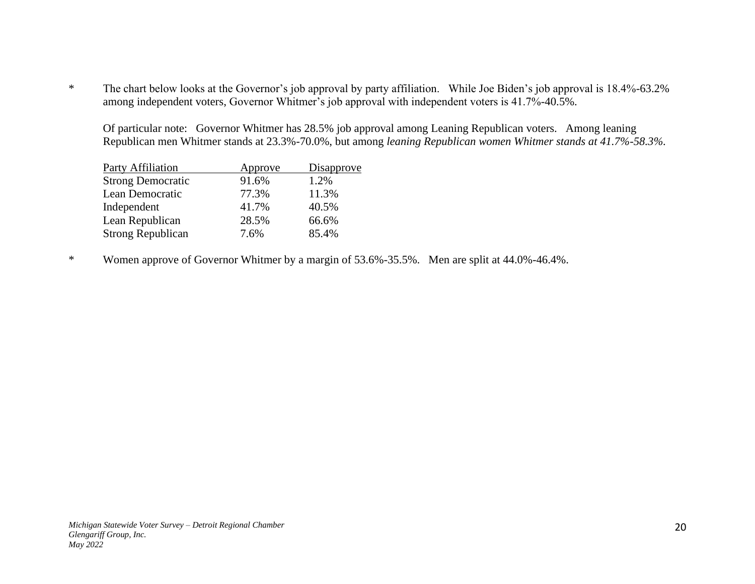\* The chart below looks at the Governor's job approval by party affiliation. While Joe Biden's job approval is 18.4%-63.2% among independent voters, Governor Whitmer's job approval with independent voters is 41.7%-40.5%.

Of particular note: Governor Whitmer has 28.5% job approval among Leaning Republican voters. Among leaning Republican men Whitmer stands at 23.3%-70.0%, but among *leaning Republican women Whitmer stands at 41.7%-58.3%.*

| Approve | Disapprove |
|---------|------------|
| 91.6%   | 1.2%       |
| 77.3%   | 11.3%      |
| 41.7%   | 40.5%      |
| 28.5%   | 66.6%      |
| 7.6%    | 85.4%      |
|         |            |

\* Women approve of Governor Whitmer by a margin of 53.6%-35.5%. Men are split at 44.0%-46.4%.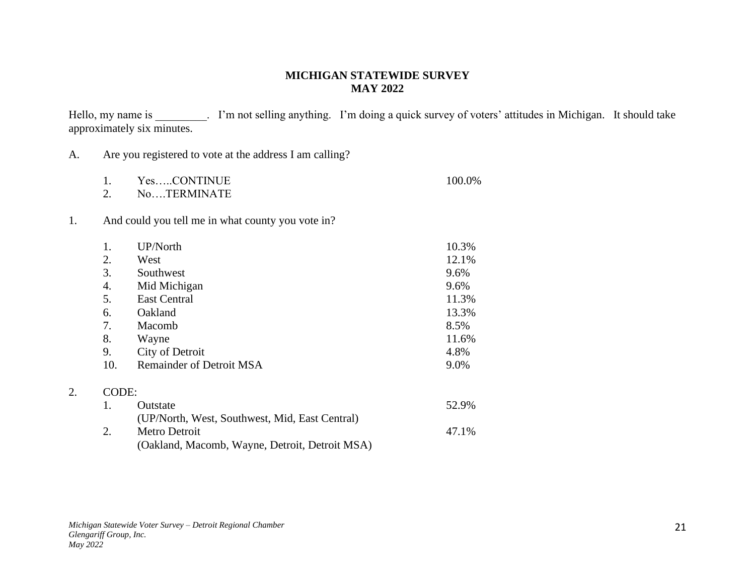# **MICHIGAN STATEWIDE SURVEY MAY 2022**

Hello, my name is \_\_\_\_\_\_\_\_. I'm not selling anything. I'm doing a quick survey of voters' attitudes in Michigan. It should take approximately six minutes.

| A. |                                                         |  |  |  |
|----|---------------------------------------------------------|--|--|--|
|    | Are you registered to vote at the address I am calling? |  |  |  |

| YesCONTINUE   | 100.0% |
|---------------|--------|
| No. TERMINATE |        |

1. And could you tell me in what county you vote in?

|       | UP/North                                       | 10.3% |
|-------|------------------------------------------------|-------|
| 2.    | West                                           | 12.1% |
| 3.    | Southwest                                      | 9.6%  |
| 4.    | Mid Michigan                                   | 9.6%  |
| 5.    | <b>East Central</b>                            | 11.3% |
| 6.    | Oakland                                        | 13.3% |
| 7.    | Macomb                                         | 8.5%  |
| 8.    | Wayne                                          | 11.6% |
| 9.    | City of Detroit                                | 4.8%  |
| 10.   | <b>Remainder of Detroit MSA</b>                | 9.0%  |
| CODE: |                                                |       |
| 1.    | Outstate                                       | 52.9% |
|       | (UP/North, West, Southwest, Mid, East Central) |       |
| 2.    | Metro Detroit                                  | 47.1% |
|       | (Oakland, Macomb, Wayne, Detroit, Detroit MSA) |       |

2.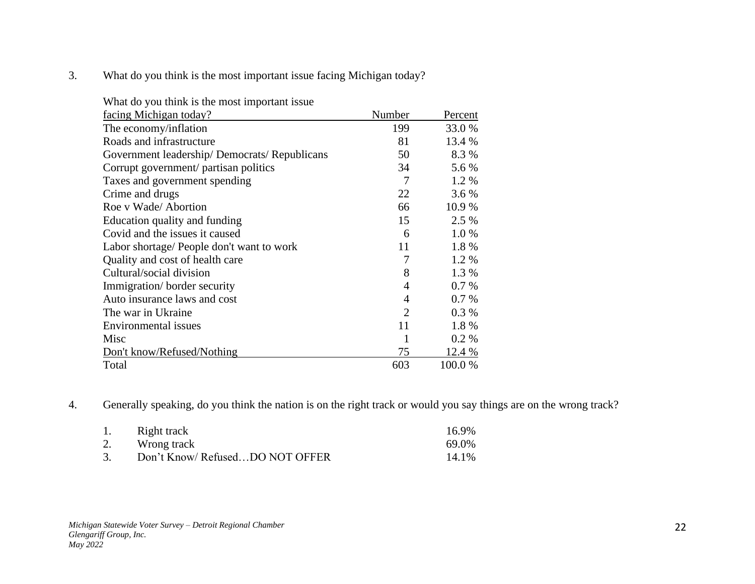3. What do you think is the most important issue facing Michigan today?

| What do you think is the most important issue |                |         |
|-----------------------------------------------|----------------|---------|
| facing Michigan today?                        | Number         | Percent |
| The economy/inflation                         | 199            | 33.0 %  |
| Roads and infrastructure                      | 81             | 13.4 %  |
| Government leadership/Democrats/Republicans   | 50             | 8.3%    |
| Corrupt government/ partisan politics         | 34             | 5.6 %   |
| Taxes and government spending                 | 7              | 1.2 %   |
| Crime and drugs                               | 22             | 3.6 %   |
| Roe v Wade/Abortion                           | 66             | 10.9%   |
| Education quality and funding                 | 15             | 2.5 %   |
| Covid and the issues it caused                | 6              | 1.0%    |
| Labor shortage/ People don't want to work     | 11             | 1.8%    |
| Quality and cost of health care               | 7              | 1.2%    |
| Cultural/social division                      | 8              | 1.3 %   |
| Immigration/border security                   | 4              | 0.7%    |
| Auto insurance laws and cost                  | 4              | $0.7\%$ |
| The war in Ukraine                            | $\overline{2}$ | $0.3\%$ |
| Environmental issues                          | 11             | 1.8%    |
| Misc                                          |                | 0.2 %   |
| Don't know/Refused/Nothing                    | 75             | 12.4 %  |
| Total                                         | 603            | 100.0%  |

4. Generally speaking, do you think the nation is on the right track or would you say things are on the wrong track?

|    | Right track                    | 16.9% |
|----|--------------------------------|-------|
| 2. | Wrong track                    | 69.0% |
|    | Don't Know/RefusedDO NOT OFFER | 14.1% |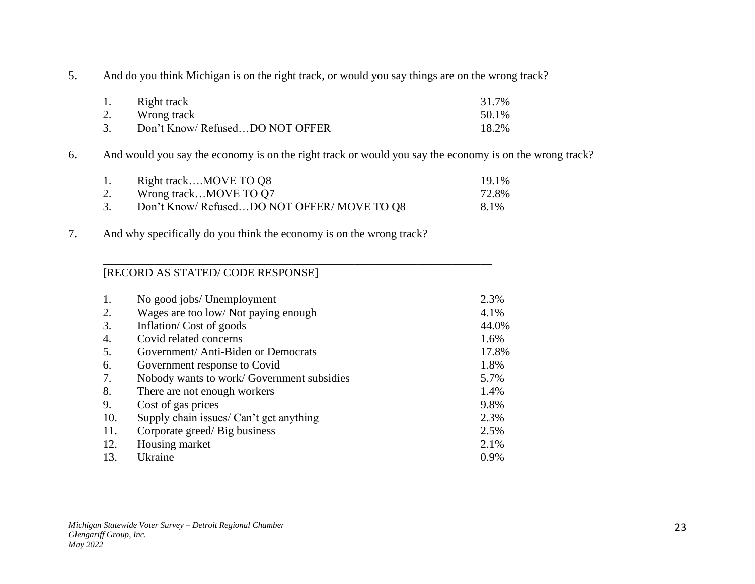5. And do you think Michigan is on the right track, or would you say things are on the wrong track?

| 1. | Right track                    | 31.7% |
|----|--------------------------------|-------|
| 2. | Wrong track                    | 50.1% |
|    | Don't Know/RefusedDO NOT OFFER | 18.2% |

6. And would you say the economy is on the right track or would you say the economy is on the wrong track?

|    | Right trackMOVE TO Q8                     | 19.1% |
|----|-------------------------------------------|-------|
| 2. | Wrong trackMOVE TO Q7                     | 72.8% |
|    | Don't Know/RefusedDO NOT OFFER/MOVE TO Q8 | 8.1%  |

\_\_\_\_\_\_\_\_\_\_\_\_\_\_\_\_\_\_\_\_\_\_\_\_\_\_\_\_\_\_\_\_\_\_\_\_\_\_\_\_\_\_\_\_\_\_\_\_\_\_\_\_\_\_\_\_\_\_\_\_\_\_\_\_\_\_\_\_

7. And why specifically do you think the economy is on the wrong track?

# [RECORD AS STATED/ CODE RESPONSE]

| 1.  | No good jobs/ Unemployment                | 2.3%  |
|-----|-------------------------------------------|-------|
| 2.  | Wages are too low/Not paying enough       | 4.1%  |
| 3.  | Inflation/Cost of goods                   | 44.0% |
| 4.  | Covid related concerns                    | 1.6%  |
| 5.  | Government/ Anti-Biden or Democrats       | 17.8% |
| 6.  | Government response to Covid              | 1.8%  |
| 7.  | Nobody wants to work/Government subsidies | 5.7%  |
| 8.  | There are not enough workers              | 1.4%  |
| 9.  | Cost of gas prices                        | 9.8%  |
| 10. | Supply chain issues/ Can't get anything   | 2.3%  |
| 11. | Corporate greed/Big business              | 2.5%  |
| 12. | Housing market                            | 2.1%  |
| 13. | Ukraine                                   | 0.9%  |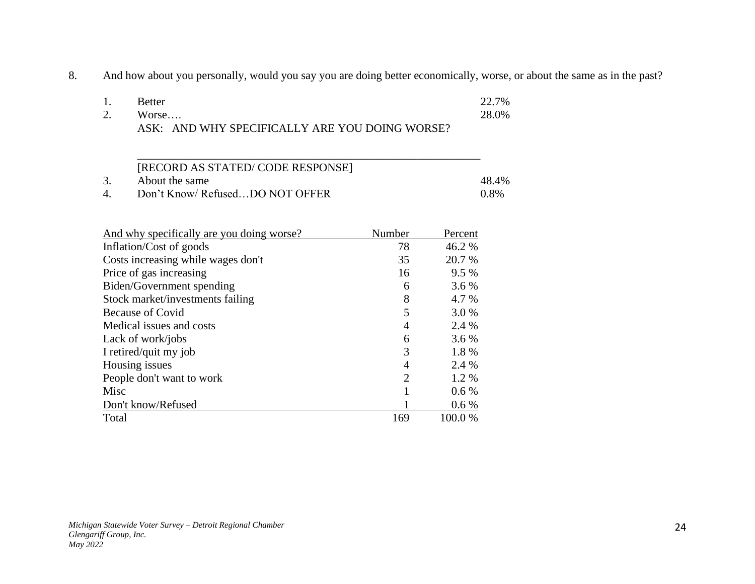8. And how about you personally, would you say you are doing better economically, worse, or about the same as in the past?

| <b>Better</b>                                  | 22.7% |
|------------------------------------------------|-------|
| Worse                                          | 28.0% |
| ASK: AND WHY SPECIFICALLY ARE YOU DOING WORSE? |       |

|   | [RECORD AS STATED/CODE RESPONSE] |         |
|---|----------------------------------|---------|
|   | About the same                   | 48.4%   |
| 4 | Don't Know/RefusedDO NOT OFFER   | $0.8\%$ |

| And why specifically are you doing worse? | Number         | Percent |
|-------------------------------------------|----------------|---------|
| Inflation/Cost of goods                   | 78             | 46.2 %  |
| Costs increasing while wages don't        | 35             | 20.7 %  |
| Price of gas increasing                   | 16             | 9.5 %   |
| Biden/Government spending                 | 6              | 3.6 %   |
| Stock market/investments failing          | 8              | 4.7 %   |
| <b>Because of Covid</b>                   | 5              | 3.0 %   |
| Medical issues and costs                  | 4              | 2.4 %   |
| Lack of work/jobs                         | 6              | 3.6 %   |
| I retired/quit my job                     | 3              | 1.8%    |
| Housing issues                            | 4              | 2.4 %   |
| People don't want to work                 | $\overline{2}$ | 1.2 %   |
| Misc                                      |                | 0.6%    |
| Don't know/Refused                        |                | $0.6\%$ |
| Total                                     | 169            | 100.0 % |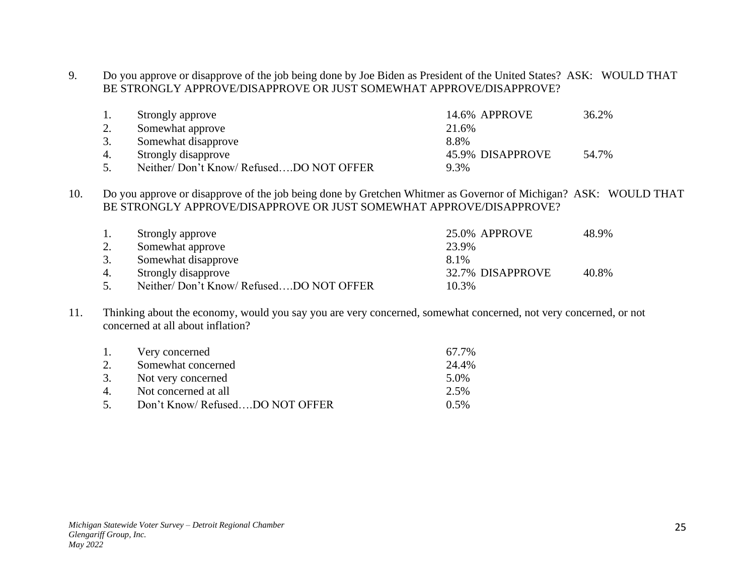9. Do you approve or disapprove of the job being done by Joe Biden as President of the United States? ASK: WOULD THAT BE STRONGLY APPROVE/DISAPPROVE OR JUST SOMEWHAT APPROVE/DISAPPROVE?

| 1. | Strongly approve                       | 14.6% APPROVE    | 36.2% |
|----|----------------------------------------|------------------|-------|
|    | Somewhat approve                       | 21.6%            |       |
| 3. | Somewhat disapprove                    | 8.8%             |       |
| 4. | Strongly disapprove                    | 45.9% DISAPPROVE | 54.7% |
| 5. | Neither/Don't Know/RefusedDO NOT OFFER | 9.3%             |       |

10. Do you approve or disapprove of the job being done by Gretchen Whitmer as Governor of Michigan? ASK: WOULD THAT BE STRONGLY APPROVE/DISAPPROVE OR JUST SOMEWHAT APPROVE/DISAPPROVE?

|    | Strongly approve                       | 25.0% APPROVE    | 48.9% |
|----|----------------------------------------|------------------|-------|
| 2. | Somewhat approve                       | 23.9%            |       |
| 3. | Somewhat disapprove                    | 8.1%             |       |
| 4. | Strongly disapprove                    | 32.7% DISAPPROVE | 40.8% |
| 5. | Neither/Don't Know/RefusedDO NOT OFFER | 10.3%            |       |

11. Thinking about the economy, would you say you are very concerned, somewhat concerned, not very concerned, or not concerned at all about inflation?

| Very concerned                 | 67.7%   |
|--------------------------------|---------|
| Somewhat concerned             | 24.4%   |
| Not very concerned             | 5.0%    |
| Not concerned at all           | 2.5%    |
| Don't Know/RefusedDO NOT OFFER | $0.5\%$ |
|                                |         |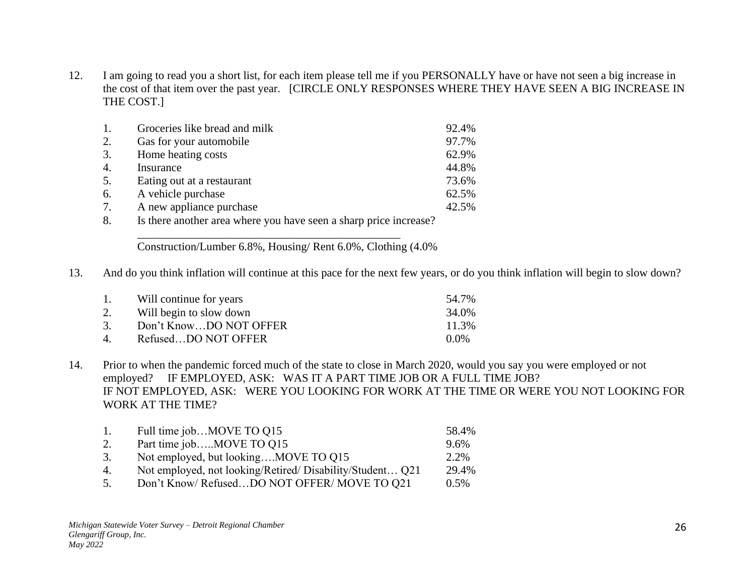12. I am going to read you a short list, for each item please tell me if you PERSONALLY have or have not seen a big increase in the cost of that item over the past year. [CIRCLE ONLY RESPONSES WHERE THEY HAVE SEEN A BIG INCREASE IN THE COST.]

| 1.               | Groceries like bread and milk |          | 92.4% |
|------------------|-------------------------------|----------|-------|
| 2.               | Gas for your automobile       |          | 97.7% |
| 3.               | Home heating costs            |          | 62.9% |
| $\overline{4}$ . | Insurance                     |          | 44.8% |
| 5.               | Eating out at a restaurant    |          | 73.6% |
| 6.               | A vehicle purchase            |          | 62.5% |
| 7.               | A new appliance purchase      |          | 42.5% |
| $\sim$           | エー・オー・ファー しょうしょう しょうしょう       | $\Omega$ |       |

8. Is there another area where you have seen a sharp price increase? \_\_\_\_\_\_\_\_\_\_\_\_\_\_\_\_\_\_\_\_\_\_\_\_\_\_\_\_\_\_\_\_\_\_\_\_\_\_\_\_\_\_\_\_\_\_

Construction/Lumber 6.8%, Housing/ Rent 6.0%, Clothing (4.0%

13. And do you think inflation will continue at this pace for the next few years, or do you think inflation will begin to slow down?

| 1.    | Will continue for years | 54.7%   |
|-------|-------------------------|---------|
| 2.    | Will begin to slow down | 34.0%   |
| 3.    | Don't KnowDO NOT OFFER  | 11.3%   |
| $4\,$ | RefusedDO NOT OFFER     | $0.0\%$ |

14. Prior to when the pandemic forced much of the state to close in March 2020, would you say you were employed or not employed? IF EMPLOYED, ASK: WAS IT A PART TIME JOB OR A FULL TIME JOB? IF NOT EMPLOYED, ASK: WERE YOU LOOKING FOR WORK AT THE TIME OR WERE YOU NOT LOOKING FOR WORK AT THE TIME?

| $\mathbf{1}$ . | Full time jobMOVE TO Q15                                                                                                                                                                                                                                                                                                                                                            | 58.4%                        |
|----------------|-------------------------------------------------------------------------------------------------------------------------------------------------------------------------------------------------------------------------------------------------------------------------------------------------------------------------------------------------------------------------------------|------------------------------|
|                | Part time jobMOVE TO Q15                                                                                                                                                                                                                                                                                                                                                            | 9.6%                         |
| 3.             | Not employed, but lookingMOVE TO Q15                                                                                                                                                                                                                                                                                                                                                | 2.2%                         |
| 4.             | Not employed, not looking/Retired/Disability/Student Q21                                                                                                                                                                                                                                                                                                                            | 29.4%                        |
|                | $D_{\alpha}$ <sup>2</sup> $V_{\alpha}$ $\alpha$ $U_{\alpha}$ $D_{\alpha}$ $\beta$ $\alpha$ $\alpha$ $D_{\alpha}$ $\alpha$ $\alpha$ $D_{\alpha}$ $D_{\alpha}$ $D_{\alpha}$ $D_{\alpha}$ $D_{\alpha}$ $D_{\alpha}$ $D_{\alpha}$ $D_{\alpha}$ $D_{\alpha}$ $D_{\alpha}$ $D_{\alpha}$ $D_{\alpha}$ $D_{\alpha}$ $D_{\alpha}$ $D_{\alpha}$ $D_{\alpha}$ $D_{\alpha}$ $D_{\alpha}$ $D_{\$ | $\Omega$ $\epsilon$ $\Omega$ |

5. Don't Know/ Refused...DO NOT OFFER/ MOVE TO Q21 0.5%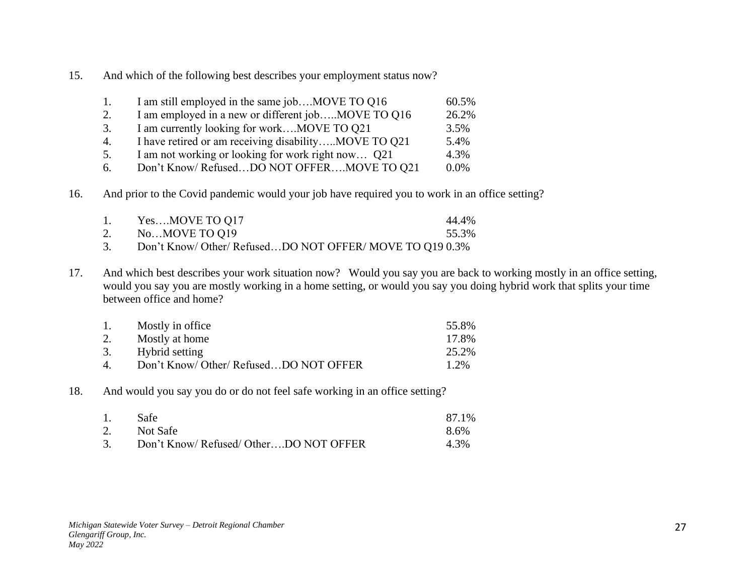15. And which of the following best describes your employment status now?

| Ι. | I am still employed in the same jobMOVE TO Q16       | 60.5%   |
|----|------------------------------------------------------|---------|
| 2. | I am employed in a new or different jobMOVE TO Q16   | 26.2%   |
| 3. | I am currently looking for workMOVE TO Q21           | 3.5%    |
| 4. | I have retired or am receiving disabilityMOVE TO Q21 | 5.4%    |
| 5. | I am not working or looking for work right now Q21   | 4.3%    |
| 6. | Don't Know/RefusedDO NOT OFFERMOVE TO Q21            | $0.0\%$ |

16. And prior to the Covid pandemic would your job have required you to work in an office setting?

|    | YesMOVE TO Q17                                           | 44.4% |
|----|----------------------------------------------------------|-------|
|    | NoMOVE TO Q19                                            | 55.3% |
| 3. | Don't Know/ Other/ RefusedDO NOT OFFER/ MOVE TO Q19 0.3% |       |

17. And which best describes your work situation now? Would you say you are back to working mostly in an office setting, would you say you are mostly working in a home setting, or would you say you doing hybrid work that splits your time between office and home?

| 1.             | Mostly in office                       | 55.8% |
|----------------|----------------------------------------|-------|
| 2.             | Mostly at home                         | 17.8% |
|                | 3. Hybrid setting                      | 25.2% |
| $\overline{4}$ | Don't Know/ Other/ RefusedDO NOT OFFER | 1.2%  |

18. And would you say you do or do not feel safe working in an office setting?

| 1. | -Safe                                  | 87.1% |
|----|----------------------------------------|-------|
| 2. | Not Safe                               | 8.6%  |
| 3. | Don't Know/ Refused/ OtherDO NOT OFFER | 4.3%  |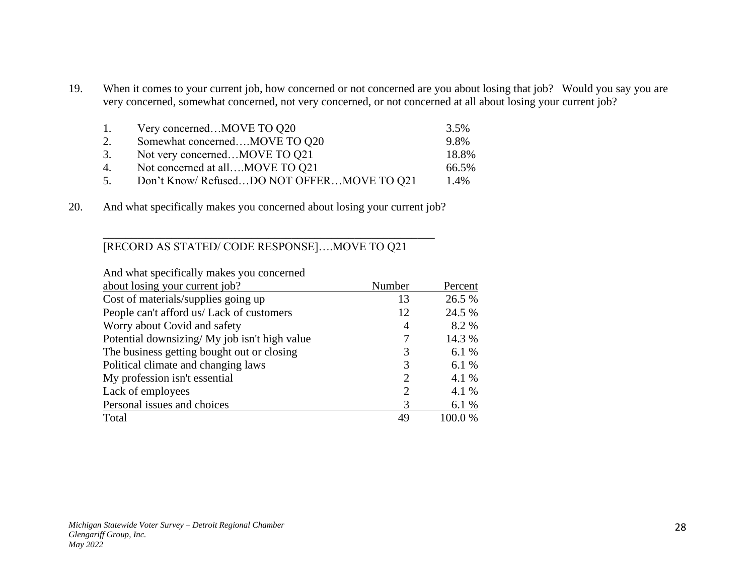19. When it comes to your current job, how concerned or not concerned are you about losing that job? Would you say you are very concerned, somewhat concerned, not very concerned, or not concerned at all about losing your current job?

| 1. | Very concernedMOVE TO Q20                 | 3.5%  |
|----|-------------------------------------------|-------|
| 2. | Somewhat concernedMOVE TO Q20             | 9.8%  |
| 3. | Not very concernedMOVE TO Q21             | 18.8% |
| 4. | Not concerned at allMOVE TO Q21           | 66.5% |
| 5. | Don't Know/RefusedDO NOT OFFERMOVE TO 021 | 1.4%  |

20. And what specifically makes you concerned about losing your current job?

\_\_\_\_\_\_\_\_\_\_\_\_\_\_\_\_\_\_\_\_\_\_\_\_\_\_\_\_\_\_\_\_\_\_\_\_\_\_\_\_\_\_\_\_\_\_\_\_\_\_\_\_\_\_\_\_\_\_

### [RECORD AS STATED/ CODE RESPONSE]….MOVE TO Q21

| And what specifically makes you concerned     |                             |         |
|-----------------------------------------------|-----------------------------|---------|
| about losing your current job?                | Number                      | Percent |
| Cost of materials/supplies going up           | 13                          | 26.5 %  |
| People can't afford us/ Lack of customers     | 12                          | 24.5 %  |
| Worry about Covid and safety                  | $\overline{4}$              | 8.2 %   |
| Potential downsizing/ My job isn't high value |                             | 14.3 %  |
| The business getting bought out or closing    | 3                           | 6.1 %   |
| Political climate and changing laws           | 3                           | 6.1 %   |
| My profession isn't essential                 | $\mathcal{D}_{\mathcal{L}}$ | 4.1 %   |
| Lack of employees                             | 2                           | 4.1 %   |
| Personal issues and choices                   | 3                           | 6.1 %   |
| Total                                         | 49                          | 100.0%  |
|                                               |                             |         |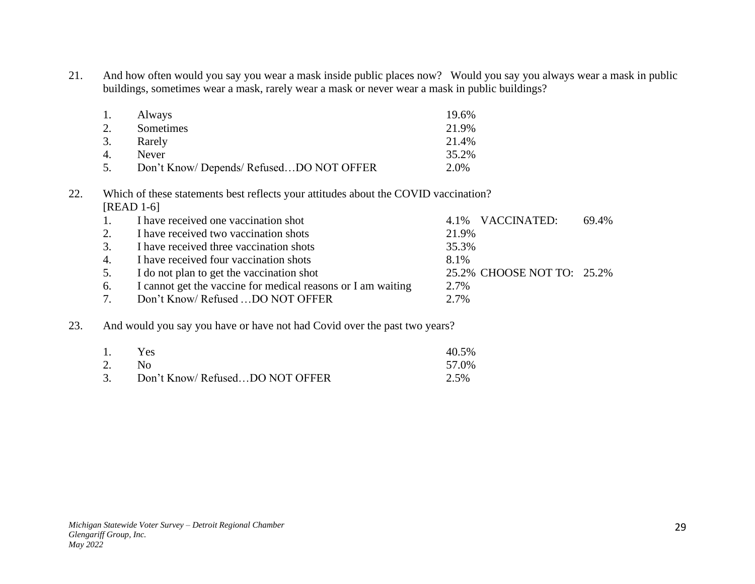21. And how often would you say you wear a mask inside public places now? Would you say you always wear a mask in public buildings, sometimes wear a mask, rarely wear a mask or never wear a mask in public buildings?

| 1. | Always                                 | 19.6%   |
|----|----------------------------------------|---------|
| 2. | Sometimes                              | 21.9%   |
| 3. | Rarely                                 | 21.4%   |
| 4. | <b>Never</b>                           | 35.2%   |
| 5. | Don't Know/Depends/RefusedDO NOT OFFER | $2.0\%$ |

# 22. Which of these statements best reflects your attitudes about the COVID vaccination? [READ 1-6]

| $\pm 1$ . | I have received one vaccination shot                         |       | 4.1% VACCINATED:           | 69.4% |
|-----------|--------------------------------------------------------------|-------|----------------------------|-------|
| 2.        | I have received two vaccination shots                        | 21.9% |                            |       |
| 3.        | I have received three vaccination shots                      | 35.3% |                            |       |
| 4.        | I have received four vaccination shots                       | 8.1%  |                            |       |
| 5.        | I do not plan to get the vaccination shot                    |       | 25.2% CHOOSE NOT TO: 25.2% |       |
| 6.        | I cannot get the vaccine for medical reasons or I am waiting | 2.7%  |                            |       |
| 7.        | Don't Know/Refused DO NOT OFFER                              | 2.7%  |                            |       |

## 23. And would you say you have or have not had Covid over the past two years?

| 1. | <b>Yes</b>                        | 40.5% |
|----|-----------------------------------|-------|
|    | 2. No                             | 57.0% |
|    | 3. Don't Know/RefusedDO NOT OFFER | 2.5%  |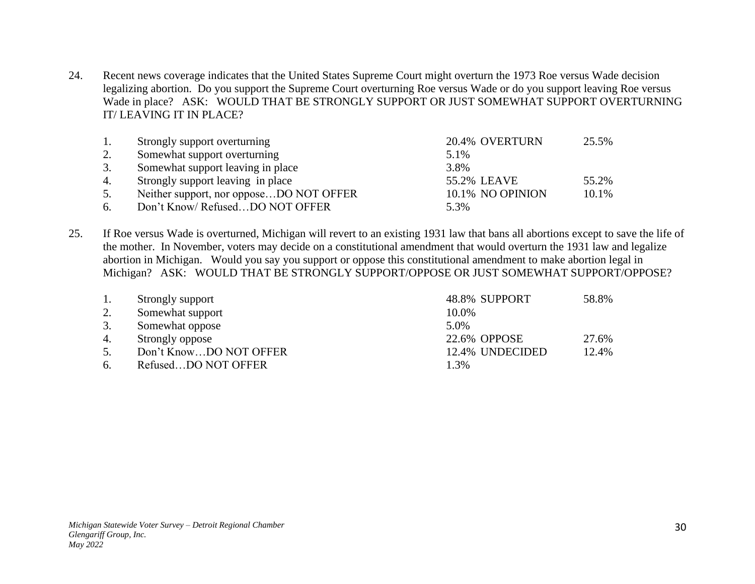24. Recent news coverage indicates that the United States Supreme Court might overturn the 1973 Roe versus Wade decision legalizing abortion. Do you support the Supreme Court overturning Roe versus Wade or do you support leaving Roe versus Wade in place? ASK: WOULD THAT BE STRONGLY SUPPORT OR JUST SOMEWHAT SUPPORT OVERTURNING IT/ LEAVING IT IN PLACE?

|    | Strongly support overturning            | 20.4% OVERTURN   | 25.5% |
|----|-----------------------------------------|------------------|-------|
| 2. | Somewhat support overturning            | 5.1%             |       |
|    | Somewhat support leaving in place       | 3.8%             |       |
| 4. | Strongly support leaving in place       | 55.2% LEAVE      | 55.2% |
| 5. | Neither support, nor opposeDO NOT OFFER | 10.1% NO OPINION | 10.1% |
| 6. | Don't Know/RefusedDO NOT OFFER          | 5.3%             |       |

25. If Roe versus Wade is overturned, Michigan will revert to an existing 1931 law that bans all abortions except to save the life of the mother. In November, voters may decide on a constitutional amendment that would overturn the 1931 law and legalize abortion in Michigan. Would you say you support or oppose this constitutional amendment to make abortion legal in Michigan? ASK: WOULD THAT BE STRONGLY SUPPORT/OPPOSE OR JUST SOMEWHAT SUPPORT/OPPOSE?

|    | Strongly support       | 48.8% SUPPORT   | 58.8% |
|----|------------------------|-----------------|-------|
| 2. | Somewhat support       | 10.0%           |       |
| 3. | Somewhat oppose        | 5.0%            |       |
| 4. | Strongly oppose        | 22.6% OPPOSE    | 27.6% |
| 5. | Don't KnowDO NOT OFFER | 12.4% UNDECIDED | 12.4% |
| 6. | RefusedDO NOT OFFER    | 1.3%            |       |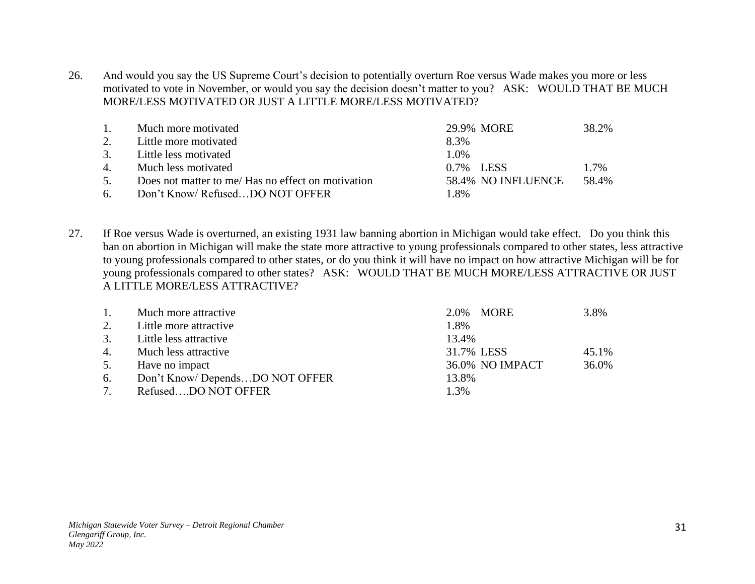26. And would you say the US Supreme Court's decision to potentially overturn Roe versus Wade makes you more or less motivated to vote in November, or would you say the decision doesn't matter to you? ASK: WOULD THAT BE MUCH MORE/LESS MOTIVATED OR JUST A LITTLE MORE/LESS MOTIVATED?

| $\overline{1}$ . | Much more motivated                                | 29.9% MORE         | 38.2% |
|------------------|----------------------------------------------------|--------------------|-------|
| 2.               | Little more motivated                              | 8.3%               |       |
| 3.               | Little less motivated                              | $1.0\%$            |       |
| 4.               | Much less motivated                                | 0.7% LESS          | 1.7%  |
| 5.               | Does not matter to me/ Has no effect on motivation | 58.4% NO INFLUENCE | 58.4% |
| 6.               | Don't Know/RefusedDO NOT OFFER                     | 1.8%               |       |

27. If Roe versus Wade is overturned, an existing 1931 law banning abortion in Michigan would take effect. Do you think this ban on abortion in Michigan will make the state more attractive to young professionals compared to other states, less attractive to young professionals compared to other states, or do you think it will have no impact on how attractive Michigan will be for young professionals compared to other states? ASK: WOULD THAT BE MUCH MORE/LESS ATTRACTIVE OR JUST A LITTLE MORE/LESS ATTRACTIVE?

| $\overline{1}$ . | Much more attractive           | 2.0% MORE<br>3.8%               |  |
|------------------|--------------------------------|---------------------------------|--|
| 2.               | Little more attractive         | 1.8%                            |  |
| 3.               | Little less attractive         | 13.4%                           |  |
| 4.               | Much less attractive           | 31.7% LESS<br>45.1%             |  |
| 5.               | Have no impact                 | <b>36.0% NO IMPACT</b><br>36.0% |  |
| 6.               | Don't Know/DependsDO NOT OFFER | 13.8%                           |  |
| 7.               | RefusedDO NOT OFFER            | 1.3%                            |  |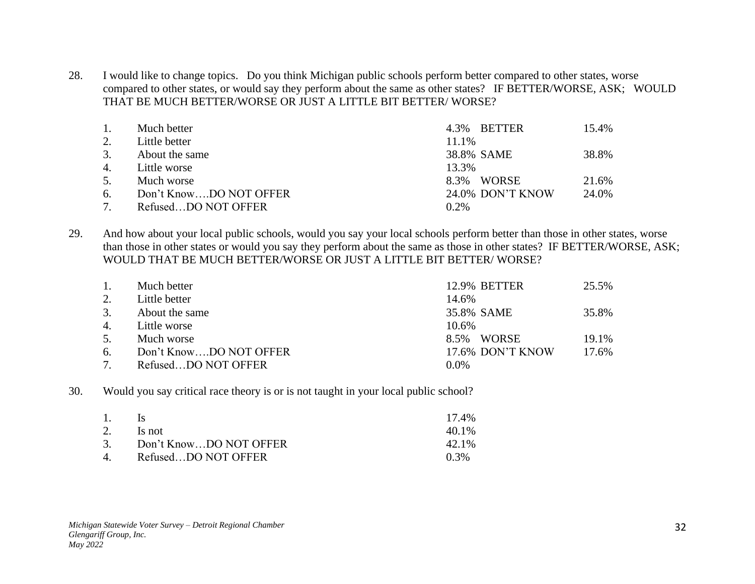28. I would like to change topics. Do you think Michigan public schools perform better compared to other states, worse compared to other states, or would say they perform about the same as other states? IF BETTER/WORSE, ASK; WOULD THAT BE MUCH BETTER/WORSE OR JUST A LITTLE BIT BETTER/ WORSE?

| 1.                    | Much better            |         | 4.3% BETTER      | 15.4% |
|-----------------------|------------------------|---------|------------------|-------|
| 2.                    | Little better          | 11.1%   |                  |       |
| 3.                    | About the same         |         | 38.8% SAME       | 38.8% |
| $\mathcal{A}_{\cdot}$ | Little worse           | 13.3%   |                  |       |
| 5.                    | Much worse             |         | 8.3% WORSE       | 21.6% |
| 6.                    | Don't KnowDO NOT OFFER |         | 24.0% DON'T KNOW | 24.0% |
|                       | RefusedDO NOT OFFER    | $0.2\%$ |                  |       |

29. And how about your local public schools, would you say your local schools perform better than those in other states, worse than those in other states or would you say they perform about the same as those in other states? IF BETTER/WORSE, ASK; WOULD THAT BE MUCH BETTER/WORSE OR JUST A LITTLE BIT BETTER/ WORSE?

| $\mathbf{1}$ . | Much better            | <b>12.9% BETTER</b> | 25.5% |
|----------------|------------------------|---------------------|-------|
| 2.             | Little better          | 14.6%               |       |
| 3.             | About the same         | 35.8% SAME          | 35.8% |
| 4.             | Little worse           | 10.6%               |       |
| 5.             | Much worse             | WORSE<br>8.5%       | 19.1% |
| 6.             | Don't KnowDO NOT OFFER | 17.6% DON'T KNOW    | 17.6% |
|                | RefusedDO NOT OFFER    | $0.0\%$             |       |

30. Would you say critical race theory is or is not taught in your local public school?

| 1. | $\overline{\mathbf{c}}$   | 17.4%   |
|----|---------------------------|---------|
| 2. | ls not                    | 40.1%   |
|    | 3. Don't KnowDO NOT OFFER | 42.1%   |
|    | 4. RefusedDO NOT OFFER    | $0.3\%$ |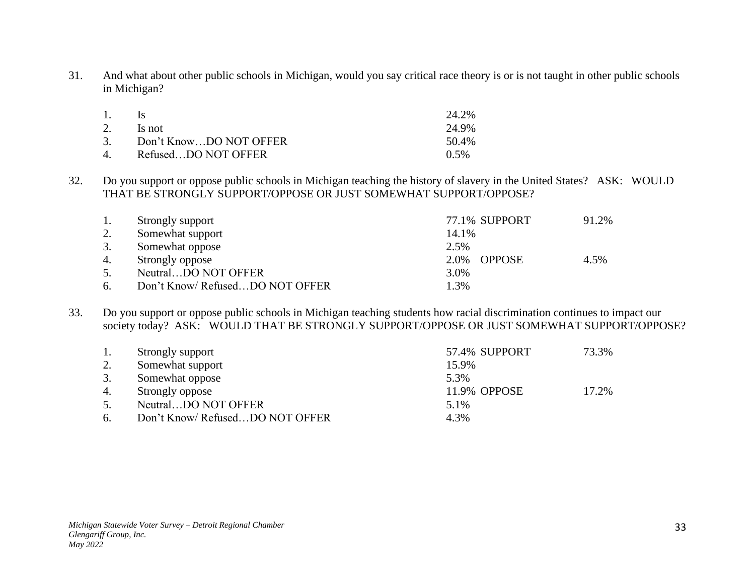31. And what about other public schools in Michigan, would you say critical race theory is or is not taught in other public schools in Michigan?

| 1. | $\overline{\mathbf{s}}$   | 24.2%   |
|----|---------------------------|---------|
|    | 2. Is not                 | 24.9%   |
|    | 3. Don't KnowDO NOT OFFER | 50.4%   |
|    | 4. RefusedDO NOT OFFER    | $0.5\%$ |

32. Do you support or oppose public schools in Michigan teaching the history of slavery in the United States? ASK: WOULD THAT BE STRONGLY SUPPORT/OPPOSE OR JUST SOMEWHAT SUPPORT/OPPOSE?

| 1. | Strongly support                | 77.1% SUPPORT         | 91.2% |
|----|---------------------------------|-----------------------|-------|
| 2. | Somewhat support                | 14.1%                 |       |
| 3. | Somewhat oppose                 | 2.5%                  |       |
| 4. | Strongly oppose                 | <b>OPPOSE</b><br>2.0% | 4.5%  |
| 5. | NeutralDO NOT OFFER             | 3.0%                  |       |
| 6. | Don't Know/ RefusedDO NOT OFFER | 1.3%                  |       |

33. Do you support or oppose public schools in Michigan teaching students how racial discrimination continues to impact our society today? ASK: WOULD THAT BE STRONGLY SUPPORT/OPPOSE OR JUST SOMEWHAT SUPPORT/OPPOSE?

| 1. | Strongly support               | 57.4% SUPPORT | 73.3% |
|----|--------------------------------|---------------|-------|
| 2. | Somewhat support               | 15.9%         |       |
|    | Somewhat oppose                | 5.3%          |       |
| 4. | Strongly oppose                | 11.9% OPPOSE  | 17.2% |
| 5. | NeutralDO NOT OFFER            | 5.1%          |       |
| 6. | Don't Know/RefusedDO NOT OFFER | 4.3%          |       |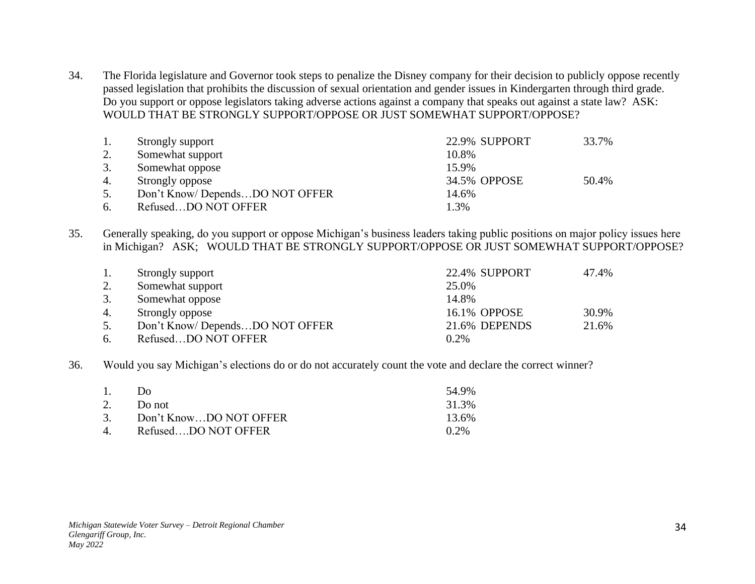34. The Florida legislature and Governor took steps to penalize the Disney company for their decision to publicly oppose recently passed legislation that prohibits the discussion of sexual orientation and gender issues in Kindergarten through third grade. Do you support or oppose legislators taking adverse actions against a company that speaks out against a state law? ASK: WOULD THAT BE STRONGLY SUPPORT/OPPOSE OR JUST SOMEWHAT SUPPORT/OPPOSE?

| 1. | Strongly support               | 22.9% SUPPORT | 33.7% |
|----|--------------------------------|---------------|-------|
| 2. | Somewhat support               | 10.8%         |       |
| 3. | Somewhat oppose                | 15.9%         |       |
| 4. | Strongly oppose                | 34.5% OPPOSE  | 50.4% |
| 5. | Don't Know/DependsDO NOT OFFER | 14.6%         |       |
| 6. | RefusedDO NOT OFFER            | 1.3%          |       |

35. Generally speaking, do you support or oppose Michigan's business leaders taking public positions on major policy issues here in Michigan? ASK; WOULD THAT BE STRONGLY SUPPORT/OPPOSE OR JUST SOMEWHAT SUPPORT/OPPOSE?

| 1. | Strongly support               | 22.4% SUPPORT | 47.4% |
|----|--------------------------------|---------------|-------|
| 2. | Somewhat support               | 25.0%         |       |
| 3. | Somewhat oppose                | 14.8%         |       |
| 4. | Strongly oppose                | 16.1% OPPOSE  | 30.9% |
| 5. | Don't Know/DependsDO NOT OFFER | 21.6% DEPENDS | 21.6% |
| 6. | RefusedDO NOT OFFER            | $0.2\%$       |       |

36. Would you say Michigan's elections do or do not accurately count the vote and declare the correct winner?

| 1. | Do.                       | 54.9%   |
|----|---------------------------|---------|
|    | 2. Do not                 | 31.3%   |
|    | 3. Don't KnowDO NOT OFFER | 13.6%   |
|    | 4. RefusedDO NOT OFFER    | $0.2\%$ |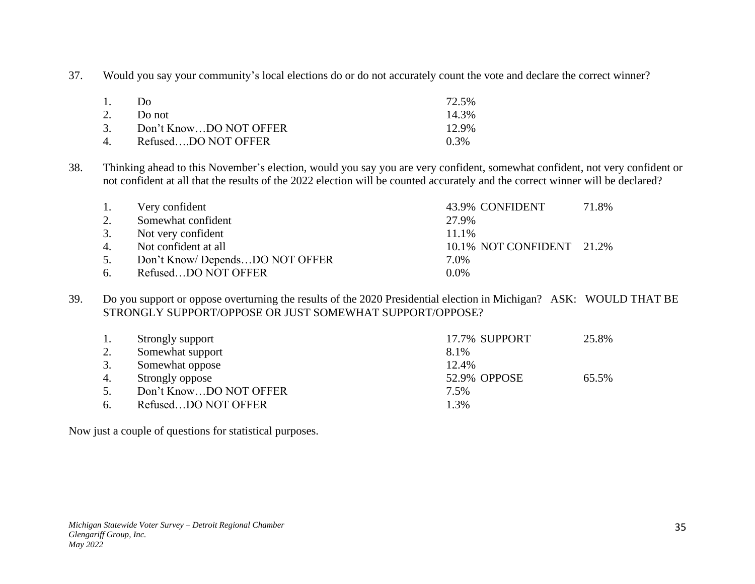37. Would you say your community's local elections do or do not accurately count the vote and declare the correct winner?

| 1. | D <sub>0</sub>            | 72.5% |
|----|---------------------------|-------|
|    | 2. Do not                 | 14.3% |
|    | 3. Don't KnowDO NOT OFFER | 12.9% |
|    | 4. RefusedDO NOT OFFER    | 0.3%  |

38. Thinking ahead to this November's election, would you say you are very confident, somewhat confident, not very confident or not confident at all that the results of the 2022 election will be counted accurately and the correct winner will be declared?

| 1. | Very confident                 |         | 43.9% CONFIDENT           | 71.8% |
|----|--------------------------------|---------|---------------------------|-------|
| 2. | Somewhat confident             | 27.9%   |                           |       |
| 3. | Not very confident             | 11.1%   |                           |       |
| 4. | Not confident at all           |         | 10.1% NOT CONFIDENT 21.2% |       |
| 5. | Don't Know/DependsDO NOT OFFER | 7.0%    |                           |       |
| 6. | RefusedDO NOT OFFER            | $0.0\%$ |                           |       |

39. Do you support or oppose overturning the results of the 2020 Presidential election in Michigan? ASK: WOULD THAT BE STRONGLY SUPPORT/OPPOSE OR JUST SOMEWHAT SUPPORT/OPPOSE?

|    | Strongly support       | 17.7% SUPPORT | 25.8% |
|----|------------------------|---------------|-------|
| 2. | Somewhat support       | 8.1%          |       |
| 3. | Somewhat oppose        | 12.4%         |       |
| 4. | Strongly oppose        | 52.9% OPPOSE  | 65.5% |
| 5. | Don't KnowDO NOT OFFER | 7.5%          |       |
| 6. | RefusedDO NOT OFFER    | 1.3%          |       |

Now just a couple of questions for statistical purposes.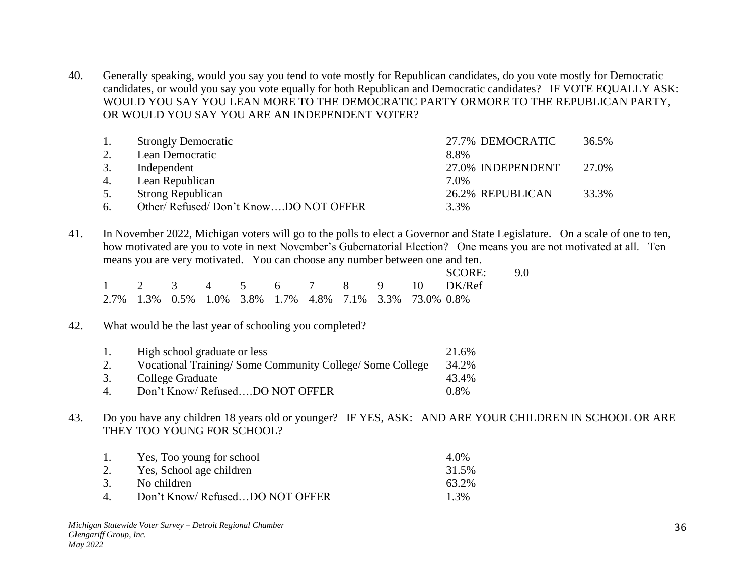40. Generally speaking, would you say you tend to vote mostly for Republican candidates, do you vote mostly for Democratic candidates, or would you say you vote equally for both Republican and Democratic candidates? IF VOTE EQUALLY ASK: WOULD YOU SAY YOU LEAN MORE TO THE DEMOCRATIC PARTY ORMORE TO THE REPUBLICAN PARTY, OR WOULD YOU SAY YOU ARE AN INDEPENDENT VOTER?

|    | <b>Strongly Democratic</b>           | 27.7% DEMOCRATIC  | 36.5% |
|----|--------------------------------------|-------------------|-------|
|    | Lean Democratic                      | 8.8%              |       |
|    | Independent                          | 27.0% INDEPENDENT | 27.0% |
| 4. | Lean Republican                      | 7.0%              |       |
| 5. | <b>Strong Republican</b>             | 26.2% REPUBLICAN  | 33.3% |
| 6. | Other/Refused/Don't KnowDO NOT OFFER | 3.3%              |       |

41. In November 2022, Michigan voters will go to the polls to elect a Governor and State Legislature. On a scale of one to ten, how motivated are you to vote in next November's Gubernatorial Election? One means you are not motivated at all. Ten means you are very motivated. You can choose any number between one and ten.

|  |  |  |  |                                                         | SCORE: 9.0                  |  |
|--|--|--|--|---------------------------------------------------------|-----------------------------|--|
|  |  |  |  |                                                         | 1 2 3 4 5 6 7 8 9 10 DK/Ref |  |
|  |  |  |  | 2.7% 1.3% 0.5% 1.0% 3.8% 1.7% 4.8% 7.1% 3.3% 73.0% 0.8% |                             |  |

# 42. What would be the last year of schooling you completed?

| $\overline{1}$ . | High school graduate or less                            | 21.6%   |
|------------------|---------------------------------------------------------|---------|
| 2.               | Vocational Training/Some Community College/Some College | 34.2%   |
| 3.               | College Graduate                                        | 43.4%   |
| 4                | Don't Know/RefusedDO NOT OFFER                          | $0.8\%$ |

43. Do you have any children 18 years old or younger? IF YES, ASK: AND ARE YOUR CHILDREN IN SCHOOL OR ARE THEY TOO YOUNG FOR SCHOOL?

| $\pm$              | Yes, Too young for school      | 4.0%    |
|--------------------|--------------------------------|---------|
| 2.                 | Yes, School age children       | 31.5%   |
| 3.                 | No children                    | 63.2%   |
| $\mathbf{\Lambda}$ | Don't Know/RefusedDO NOT OFFER | $1.3\%$ |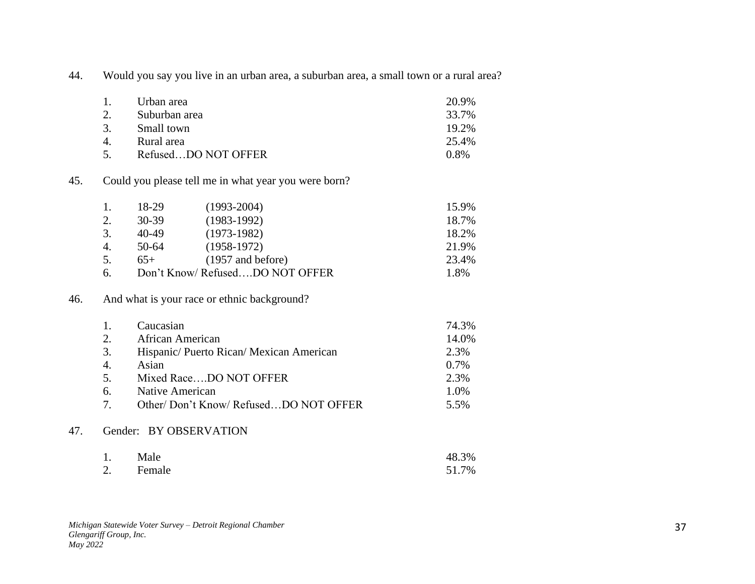44. Would you say you live in an urban area, a suburban area, a small town or a rural area?

| $\mathbf{1}$  | Urban area          | 20.9%   |
|---------------|---------------------|---------|
| 2.            | Suburban area       | 33.7%   |
| $\mathcal{R}$ | Small town          | 19.2%   |
| $\mathbf{A}$  | Rural area          | 25.4%   |
| $\sim$        | RefusedDO NOT OFFER | $0.8\%$ |

#### 45. Could you please tell me in what year you were born?

| -1. | 18-29 | $(1993 - 2004)$                | 15.9% |
|-----|-------|--------------------------------|-------|
| 2.  | 30-39 | $(1983-1992)$                  | 18.7% |
| 3.  | 40-49 | $(1973-1982)$                  | 18.2% |
| 4.  | 50-64 | $(1958-1972)$                  | 21.9% |
| 5.  | $65+$ | $(1957 \text{ and before})$    | 23.4% |
| 6.  |       | Don't Know/RefusedDO NOT OFFER | 1.8%  |

#### 46. And what is your race or ethnic background?

|                       | Caucasian                              | 74.3%   |
|-----------------------|----------------------------------------|---------|
| $\mathcal{D}$         | African American                       | 14.0%   |
| 3.                    | Hispanic/Puerto Rican/Mexican American | 2.3%    |
| $\mathcal{A}_{\cdot}$ | Asian                                  | $0.7\%$ |
| -5.                   | Mixed RaceDO NOT OFFER                 | 2.3%    |
| 6.                    | Native American                        | 1.0%    |
| $\tau$                | Other/Don't Know/RefusedDO NOT OFFER   | 5.5%    |
|                       |                                        |         |

## 47. Gender: BY OBSERVATION

| 1. | Male      | 48.3% |
|----|-----------|-------|
|    | 2. Female | 51.7% |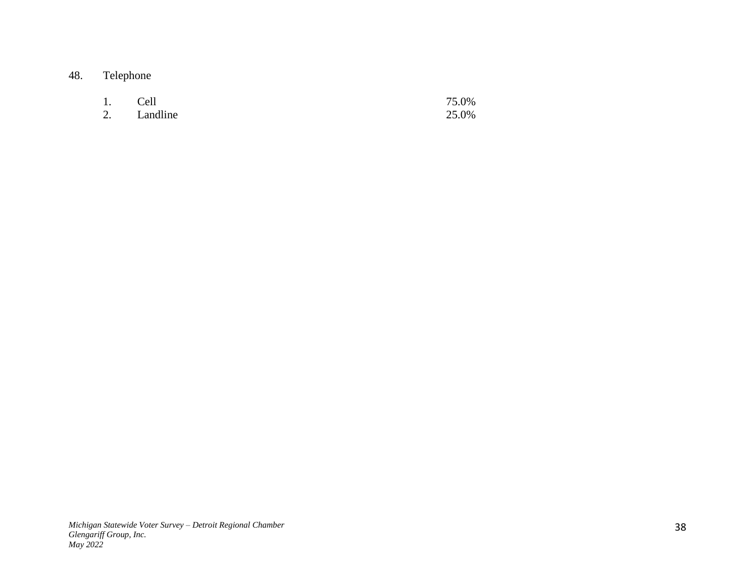# 48. Telephone

| 1. Cell |             | 75.0% |
|---------|-------------|-------|
|         | 2. Landline | 25.0% |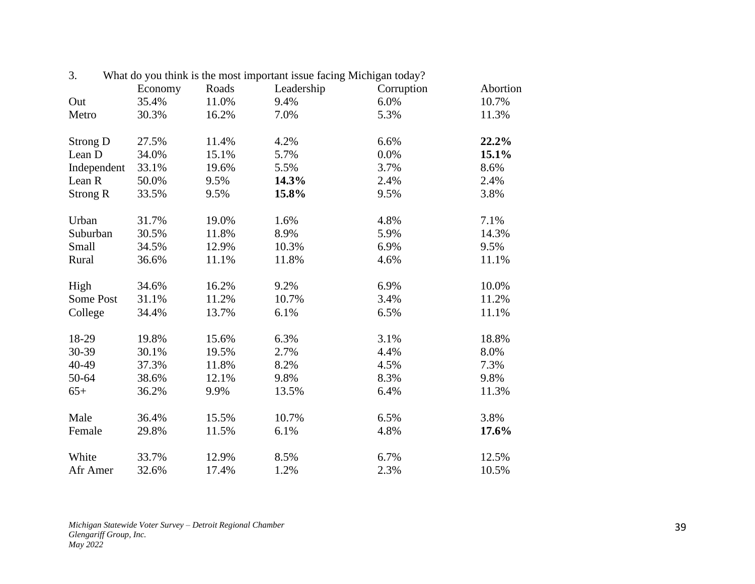| 3.              | Economy | Roads | What do you think is the most important issue facing Michigan today?<br>Leadership | Corruption | Abortion |
|-----------------|---------|-------|------------------------------------------------------------------------------------|------------|----------|
| Out             | 35.4%   | 11.0% | 9.4%                                                                               | 6.0%       | 10.7%    |
| Metro           | 30.3%   | 16.2% | 7.0%                                                                               | 5.3%       | 11.3%    |
| Strong D        | 27.5%   | 11.4% | 4.2%                                                                               | 6.6%       | 22.2%    |
| Lean D          | 34.0%   | 15.1% | 5.7%                                                                               | 0.0%       | 15.1%    |
| Independent     | 33.1%   | 19.6% | 5.5%                                                                               | 3.7%       | 8.6%     |
| Lean R          | 50.0%   | 9.5%  | 14.3%                                                                              | 2.4%       | 2.4%     |
| <b>Strong R</b> | 33.5%   | 9.5%  | 15.8%                                                                              | 9.5%       | 3.8%     |
| Urban           | 31.7%   | 19.0% | 1.6%                                                                               | 4.8%       | 7.1%     |
| Suburban        | 30.5%   | 11.8% | 8.9%                                                                               | 5.9%       | 14.3%    |
| Small           | 34.5%   | 12.9% | 10.3%                                                                              | 6.9%       | 9.5%     |
| Rural           | 36.6%   | 11.1% | 11.8%                                                                              | 4.6%       | 11.1%    |
| High            | 34.6%   | 16.2% | 9.2%                                                                               | 6.9%       | 10.0%    |
| Some Post       | 31.1%   | 11.2% | 10.7%                                                                              | 3.4%       | 11.2%    |
| College         | 34.4%   | 13.7% | 6.1%                                                                               | 6.5%       | 11.1%    |
| 18-29           | 19.8%   | 15.6% | 6.3%                                                                               | 3.1%       | 18.8%    |
| 30-39           | 30.1%   | 19.5% | 2.7%                                                                               | 4.4%       | 8.0%     |
| 40-49           | 37.3%   | 11.8% | 8.2%                                                                               | 4.5%       | 7.3%     |
| 50-64           | 38.6%   | 12.1% | 9.8%                                                                               | 8.3%       | 9.8%     |
| $65+$           | 36.2%   | 9.9%  | 13.5%                                                                              | 6.4%       | 11.3%    |
| Male            | 36.4%   | 15.5% | 10.7%                                                                              | 6.5%       | 3.8%     |
| Female          | 29.8%   | 11.5% | 6.1%                                                                               | 4.8%       | 17.6%    |
| White           | 33.7%   | 12.9% | 8.5%                                                                               | 6.7%       | 12.5%    |
| Afr Amer        | 32.6%   | 17.4% | 1.2%                                                                               | 2.3%       | 10.5%    |

3. What do you think is the most important issue facing Michigan today?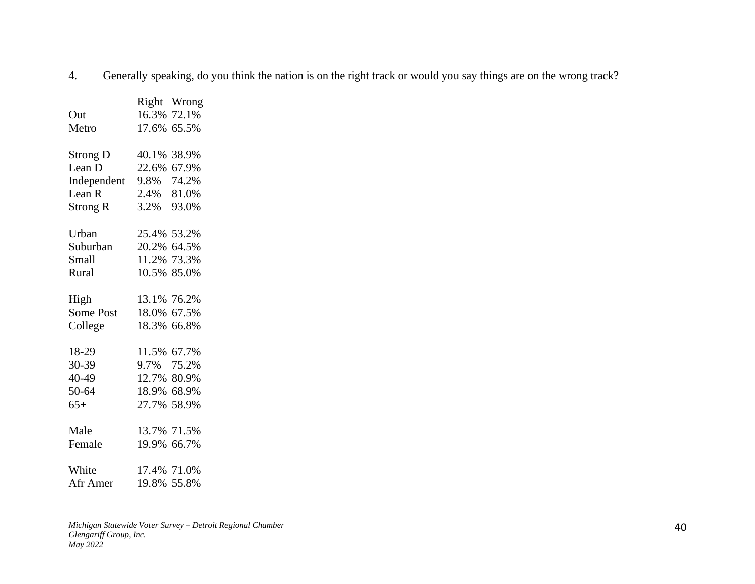4. Generally speaking, do you think the nation is on the right track or would you say things are on the wrong track?

|       | Wrong                                                                                                                                                                                                         |
|-------|---------------------------------------------------------------------------------------------------------------------------------------------------------------------------------------------------------------|
|       | 72.1%                                                                                                                                                                                                         |
|       | 65.5%                                                                                                                                                                                                         |
| 40.1% | 38.9%                                                                                                                                                                                                         |
|       |                                                                                                                                                                                                               |
|       | 74.2%                                                                                                                                                                                                         |
|       |                                                                                                                                                                                                               |
|       | 93.0%                                                                                                                                                                                                         |
|       |                                                                                                                                                                                                               |
|       |                                                                                                                                                                                                               |
|       | 11.2% 73.3%                                                                                                                                                                                                   |
|       | 10.5% 85.0%                                                                                                                                                                                                   |
|       |                                                                                                                                                                                                               |
|       | 67.5%                                                                                                                                                                                                         |
|       | 66.8%                                                                                                                                                                                                         |
|       | 67.7%                                                                                                                                                                                                         |
|       |                                                                                                                                                                                                               |
|       | 12.7% 80.9%                                                                                                                                                                                                   |
|       | 68.9%                                                                                                                                                                                                         |
|       | 58.9%                                                                                                                                                                                                         |
|       | 13.7% 71.5%                                                                                                                                                                                                   |
|       | 66.7%                                                                                                                                                                                                         |
|       |                                                                                                                                                                                                               |
|       | 55.8%                                                                                                                                                                                                         |
|       | Right<br>16.3%<br>17.6%<br>22.6% 67.9%<br>9.8%<br>2.4% 81.0%<br>3.2%<br>25.4% 53.2%<br>20.2% 64.5%<br>13.1% 76.2%<br>18.0%<br>18.3%<br>11.5%<br>9.7% 75.2%<br>18.9%<br>27.7%<br>19.9%<br>17.4% 71.0%<br>19.8% |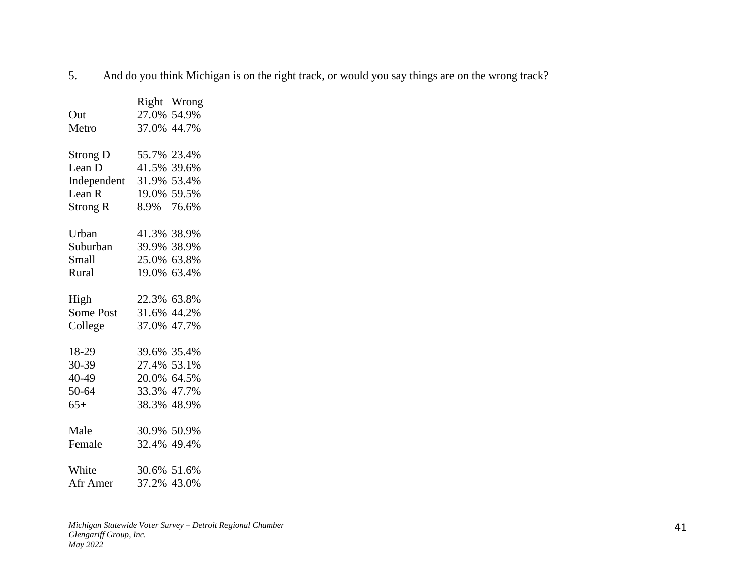5. And do you think Michigan is on the right track, or would you say things are on the wrong track?

|                   |             | Right Wrong |
|-------------------|-------------|-------------|
| Out               |             | 27.0% 54.9% |
| Metro             |             | 37.0% 44.7% |
| <b>Strong D</b>   |             | 55.7% 23.4% |
| Lean D            |             | 41.5% 39.6% |
| Independent       |             | 31.9% 53.4% |
| Lean <sub>R</sub> |             | 19.0% 59.5% |
|                   |             |             |
| Strong R          |             | 8.9% 76.6%  |
| Urban             |             | 41.3% 38.9% |
| Suburban          | 39.9% 38.9% |             |
| Small             |             | 25.0% 63.8% |
| Rural             |             | 19.0% 63.4% |
|                   |             |             |
| High              |             | 22.3% 63.8% |
| Some Post         |             | 31.6% 44.2% |
| College           |             | 37.0% 47.7% |
| 18-29             |             | 39.6% 35.4% |
| 30-39             |             | 27.4% 53.1% |
| 40-49             |             | 20.0% 64.5% |
| 50-64             |             | 33.3% 47.7% |
| $65+$             |             | 38.3% 48.9% |
|                   |             |             |
| Male              |             | 30.9% 50.9% |
| Female            |             | 32.4% 49.4% |
| White             | 30.6% 51.6% |             |
| Afr Amer          |             | 37.2% 43.0% |
|                   |             |             |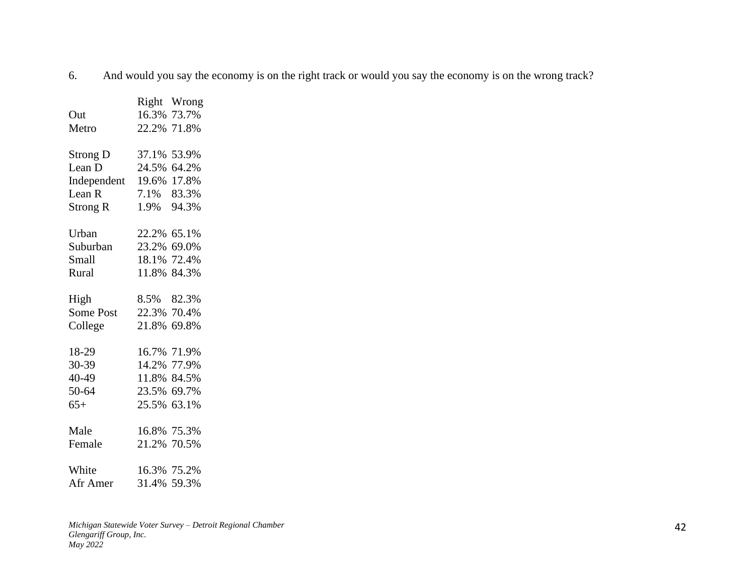6. And would you say the economy is on the right track or would you say the economy is on the wrong track?

|                         |             | Right Wrong |
|-------------------------|-------------|-------------|
| Out                     |             | 16.3% 73.7% |
| Metro                   |             | 22.2% 71.8% |
| <b>Strong D</b>         |             | 37.1% 53.9% |
| Lean D                  |             | 24.5% 64.2% |
| Independent 19.6% 17.8% |             |             |
| Lean R                  |             | 7.1% 83.3%  |
| Strong R                |             | 1.9% 94.3%  |
| Urban                   |             | 22.2% 65.1% |
| Suburban                |             | 23.2% 69.0% |
| Small                   |             | 18.1% 72.4% |
| Rural                   |             | 11.8% 84.3% |
| High                    |             | 8.5% 82.3%  |
| Some Post               |             | 22.3% 70.4% |
|                         |             | 21.8% 69.8% |
| College                 |             |             |
| 18-29                   |             | 16.7% 71.9% |
| 30-39                   |             | 14.2% 77.9% |
| 40-49                   |             | 11.8% 84.5% |
| 50-64                   |             | 23.5% 69.7% |
| $65+$                   |             | 25.5% 63.1% |
| Male                    |             | 16.8% 75.3% |
| Female                  |             | 21.2% 70.5% |
| White                   | 16.3% 75.2% |             |
| Afr Amer                |             | 31.4% 59.3% |
|                         |             |             |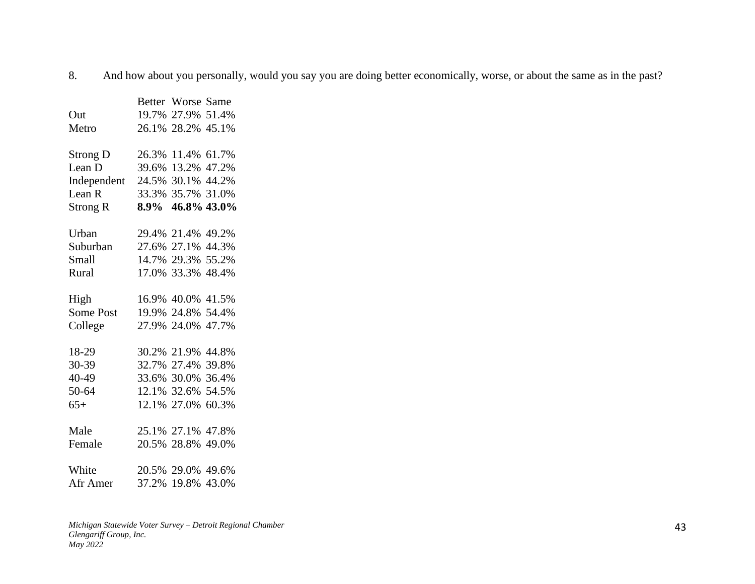8. And how about you personally, would you say you are doing better economically, worse, or about the same as in the past?

|                   |       | Better Worse Same |             |
|-------------------|-------|-------------------|-------------|
| Out               |       | 19.7% 27.9% 51.4% |             |
| Metro             |       | 26.1% 28.2% 45.1% |             |
| Strong D          |       | 26.3% 11.4% 61.7% |             |
| Lean D            |       | 39.6% 13.2% 47.2% |             |
| Independent       | 24.5% |                   | 30.1% 44.2% |
| Lean <sub>R</sub> | 33.3% |                   | 35.7% 31.0% |
| Strong R          | 8.9%  |                   | 46.8% 43.0% |
| Urban             |       | 29.4% 21.4% 49.2% |             |
| Suburban          |       | 27.6% 27.1% 44.3% |             |
| Small             |       | 14.7% 29.3% 55.2% |             |
| Rural             |       | 17.0% 33.3% 48.4% |             |
| High              |       | 16.9% 40.0% 41.5% |             |
| Some Post         |       | 19.9% 24.8% 54.4% |             |
| College           |       | 27.9% 24.0% 47.7% |             |
| 18-29             |       | 30.2% 21.9% 44.8% |             |
| 30-39             |       | 32.7% 27.4% 39.8% |             |
| 40-49             |       | 33.6% 30.0% 36.4% |             |
| 50-64             |       | 12.1% 32.6% 54.5% |             |
| $65+$             |       | 12.1% 27.0% 60.3% |             |
| Male              |       | 25.1% 27.1% 47.8% |             |
| Female            |       | 20.5% 28.8% 49.0% |             |
| White             |       | 20.5% 29.0% 49.6% |             |
| Afr Amer          |       | 37.2% 19.8% 43.0% |             |
|                   |       |                   |             |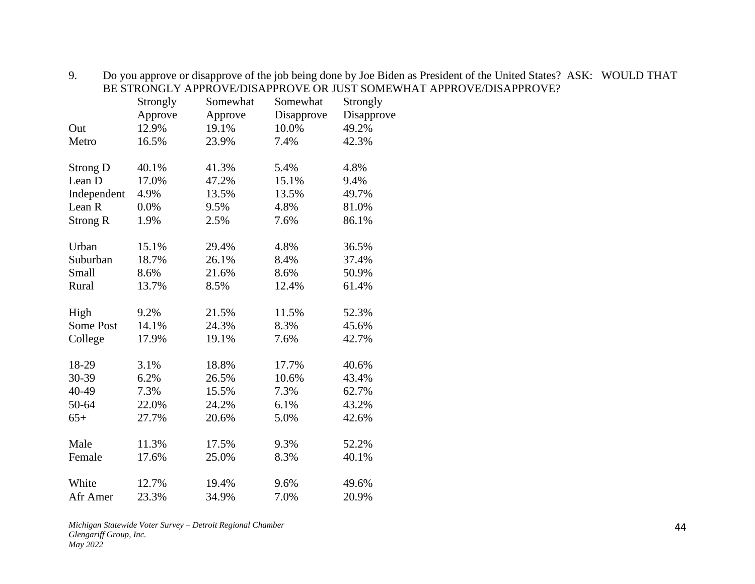|                   | Strongly | Somewhat | Somewhat   | Strongly   |
|-------------------|----------|----------|------------|------------|
|                   | Approve  | Approve  | Disapprove | Disapprove |
| Out               | 12.9%    | 19.1%    | 10.0%      | 49.2%      |
| Metro             | 16.5%    | 23.9%    | 7.4%       | 42.3%      |
| <b>Strong D</b>   | 40.1%    | 41.3%    | 5.4%       | 4.8%       |
| Lean D            | 17.0%    | 47.2%    | 15.1%      | 9.4%       |
| Independent       | 4.9%     | 13.5%    | 13.5%      | 49.7%      |
| Lean <sub>R</sub> | 0.0%     | 9.5%     | 4.8%       | 81.0%      |
| <b>Strong R</b>   | 1.9%     | 2.5%     | 7.6%       | 86.1%      |
| Urban             | 15.1%    | 29.4%    | 4.8%       | 36.5%      |
| Suburban          | 18.7%    | 26.1%    | 8.4%       | 37.4%      |
| Small             | 8.6%     | 21.6%    | 8.6%       | 50.9%      |
| Rural             | 13.7%    | 8.5%     | 12.4%      | 61.4%      |
| High              | 9.2%     | 21.5%    | 11.5%      | 52.3%      |
| <b>Some Post</b>  | 14.1%    | 24.3%    | 8.3%       | 45.6%      |
| College           | 17.9%    | 19.1%    | 7.6%       | 42.7%      |
| 18-29             | 3.1%     | 18.8%    | 17.7%      | 40.6%      |
| 30-39             | 6.2%     | 26.5%    | 10.6%      | 43.4%      |
| 40-49             | 7.3%     | 15.5%    | 7.3%       | 62.7%      |
| 50-64             | 22.0%    | 24.2%    | 6.1%       | 43.2%      |
| $65+$             | 27.7%    | 20.6%    | 5.0%       | 42.6%      |
| Male              | 11.3%    | 17.5%    | 9.3%       | 52.2%      |
| Female            | 17.6%    | 25.0%    | 8.3%       | 40.1%      |
| White             | 12.7%    | 19.4%    | 9.6%       | 49.6%      |
| Afr Amer          | 23.3%    | 34.9%    | 7.0%       | 20.9%      |
|                   |          |          |            |            |

9. Do you approve or disapprove of the job being done by Joe Biden as President of the United States? ASK: WOULD THAT BE STRONGLY APPROVE/DISAPPROVE OR JUST SOMEWHAT APPROVE/DISAPPROVE?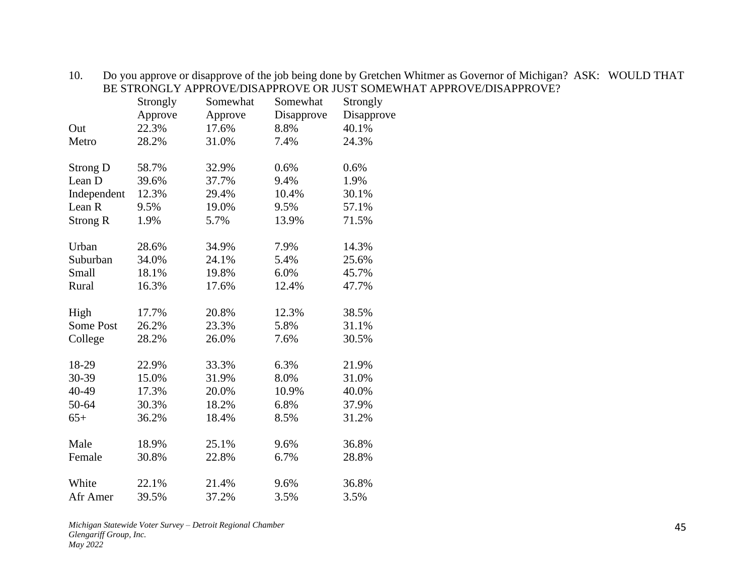|                   | Strongly | Somewhat | Somewhat   | Strongly   |
|-------------------|----------|----------|------------|------------|
|                   | Approve  | Approve  | Disapprove | Disapprove |
| Out               | 22.3%    | 17.6%    | 8.8%       | 40.1%      |
| Metro             | 28.2%    | 31.0%    | 7.4%       | 24.3%      |
| <b>Strong D</b>   | 58.7%    | 32.9%    | 0.6%       | 0.6%       |
| Lean D            | 39.6%    | 37.7%    | 9.4%       | 1.9%       |
| Independent       | 12.3%    | 29.4%    | 10.4%      | 30.1%      |
| Lean <sub>R</sub> | 9.5%     | 19.0%    | 9.5%       | 57.1%      |
| <b>Strong R</b>   | 1.9%     | 5.7%     | 13.9%      | 71.5%      |
| Urban             | 28.6%    | 34.9%    | 7.9%       | 14.3%      |
| Suburban          | 34.0%    | 24.1%    | 5.4%       | 25.6%      |
| Small             | 18.1%    | 19.8%    | 6.0%       | 45.7%      |
| Rural             | 16.3%    | 17.6%    | 12.4%      | 47.7%      |
| High              | 17.7%    | 20.8%    | 12.3%      | 38.5%      |
| Some Post         | 26.2%    | 23.3%    | 5.8%       | 31.1%      |
| College           | 28.2%    | 26.0%    | 7.6%       | 30.5%      |
| 18-29             | 22.9%    | 33.3%    | 6.3%       | 21.9%      |
| 30-39             | 15.0%    | 31.9%    | 8.0%       | 31.0%      |
| 40-49             | 17.3%    | 20.0%    | 10.9%      | 40.0%      |
| 50-64             | 30.3%    | 18.2%    | 6.8%       | 37.9%      |
| $65+$             | 36.2%    | 18.4%    | 8.5%       | 31.2%      |
| Male              | 18.9%    | 25.1%    | 9.6%       | 36.8%      |
| Female            | 30.8%    | 22.8%    | 6.7%       | 28.8%      |
| White             | 22.1%    | 21.4%    | 9.6%       | 36.8%      |
| Afr Amer          | 39.5%    | 37.2%    | 3.5%       | 3.5%       |

10. Do you approve or disapprove of the job being done by Gretchen Whitmer as Governor of Michigan? ASK: WOULD THAT BE STRONGLY APPROVE/DISAPPROVE OR JUST SOMEWHAT APPROVE/DISAPPROVE?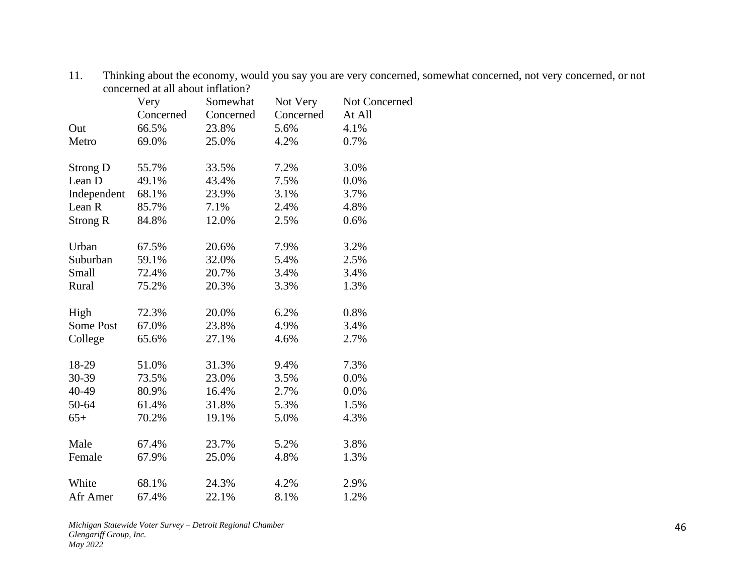|                 | Very      | Somewhat  | Not Very  | Not Concerned |
|-----------------|-----------|-----------|-----------|---------------|
|                 | Concerned | Concerned | Concerned | At All        |
| Out             | 66.5%     | 23.8%     | 5.6%      | 4.1%          |
| Metro           | 69.0%     | 25.0%     | 4.2%      | 0.7%          |
| <b>Strong D</b> | 55.7%     | 33.5%     | 7.2%      | 3.0%          |
| Lean D          | 49.1%     | 43.4%     | 7.5%      | 0.0%          |
| Independent     | 68.1%     | 23.9%     | 3.1%      | 3.7%          |
| Lean R          | 85.7%     | 7.1%      | 2.4%      | 4.8%          |
| <b>Strong R</b> | 84.8%     | 12.0%     | 2.5%      | 0.6%          |
| Urban           | 67.5%     | 20.6%     | 7.9%      | 3.2%          |
| Suburban        | 59.1%     | 32.0%     | 5.4%      | 2.5%          |
| Small           | 72.4%     | 20.7%     | 3.4%      | 3.4%          |
| Rural           | 75.2%     | 20.3%     | 3.3%      | 1.3%          |
| High            | 72.3%     | 20.0%     | 6.2%      | 0.8%          |
| Some Post       | 67.0%     | 23.8%     | 4.9%      | 3.4%          |
| College         | 65.6%     | 27.1%     | 4.6%      | 2.7%          |
| 18-29           | 51.0%     | 31.3%     | 9.4%      | 7.3%          |
| 30-39           | 73.5%     | 23.0%     | 3.5%      | 0.0%          |
| 40-49           | 80.9%     | 16.4%     | 2.7%      | 0.0%          |
| 50-64           | 61.4%     | 31.8%     | 5.3%      | 1.5%          |
| $65+$           | 70.2%     | 19.1%     | 5.0%      | 4.3%          |
| Male            | 67.4%     | 23.7%     | 5.2%      | 3.8%          |
| Female          | 67.9%     | 25.0%     | 4.8%      | 1.3%          |
| White           | 68.1%     | 24.3%     | 4.2%      | 2.9%          |
| Afr Amer        | 67.4%     | 22.1%     | 8.1%      | 1.2%          |

11. Thinking about the economy, would you say you are very concerned, somewhat concerned, not very concerned, or not concerned at all about inflation?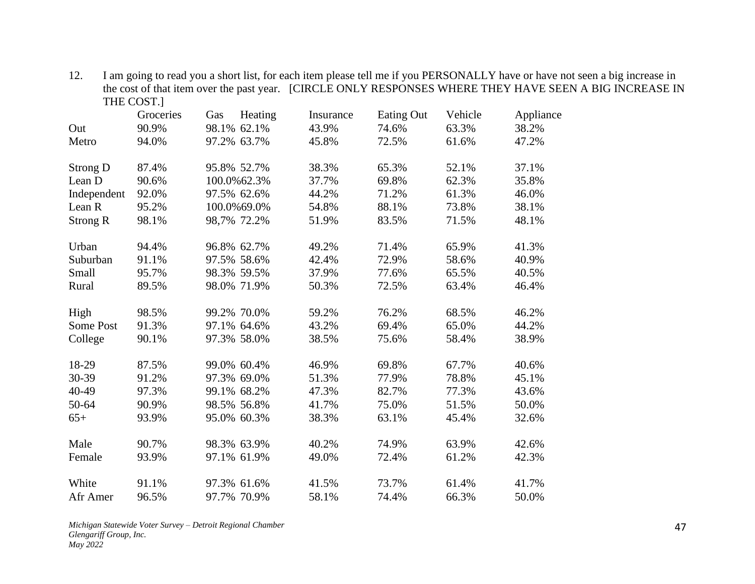|                 | THE COST.] |     |             |           |            |         |           |
|-----------------|------------|-----|-------------|-----------|------------|---------|-----------|
|                 | Groceries  | Gas | Heating     | Insurance | Eating Out | Vehicle | Appliance |
| Out             | 90.9%      |     | 98.1% 62.1% | 43.9%     | 74.6%      | 63.3%   | 38.2%     |
| Metro           | 94.0%      |     | 97.2% 63.7% | 45.8%     | 72.5%      | 61.6%   | 47.2%     |
| Strong D        | 87.4%      |     | 95.8% 52.7% | 38.3%     | 65.3%      | 52.1%   | 37.1%     |
| Lean D          | 90.6%      |     | 100.0%62.3% | 37.7%     | 69.8%      | 62.3%   | 35.8%     |
| Independent     | 92.0%      |     | 97.5% 62.6% | 44.2%     | 71.2%      | 61.3%   | 46.0%     |
| Lean R          | 95.2%      |     | 100.0%69.0% | 54.8%     | 88.1%      | 73.8%   | 38.1%     |
| <b>Strong R</b> | 98.1%      |     | 98,7% 72.2% | 51.9%     | 83.5%      | 71.5%   | 48.1%     |
| Urban           | 94.4%      |     | 96.8% 62.7% | 49.2%     | 71.4%      | 65.9%   | 41.3%     |
| Suburban        | 91.1%      |     | 97.5% 58.6% | 42.4%     | 72.9%      | 58.6%   | 40.9%     |
| Small           | 95.7%      |     | 98.3% 59.5% | 37.9%     | 77.6%      | 65.5%   | 40.5%     |
| Rural           | 89.5%      |     | 98.0% 71.9% | 50.3%     | 72.5%      | 63.4%   | 46.4%     |
| High            | 98.5%      |     | 99.2% 70.0% | 59.2%     | 76.2%      | 68.5%   | 46.2%     |
| Some Post       | 91.3%      |     | 97.1% 64.6% | 43.2%     | 69.4%      | 65.0%   | 44.2%     |
| College         | 90.1%      |     | 97.3% 58.0% | 38.5%     | 75.6%      | 58.4%   | 38.9%     |
| 18-29           | 87.5%      |     | 99.0% 60.4% | 46.9%     | 69.8%      | 67.7%   | 40.6%     |
| 30-39           | 91.2%      |     | 97.3% 69.0% | 51.3%     | 77.9%      | 78.8%   | 45.1%     |
| 40-49           | 97.3%      |     | 99.1% 68.2% | 47.3%     | 82.7%      | 77.3%   | 43.6%     |
| 50-64           | 90.9%      |     | 98.5% 56.8% | 41.7%     | 75.0%      | 51.5%   | 50.0%     |
| $65+$           | 93.9%      |     | 95.0% 60.3% | 38.3%     | 63.1%      | 45.4%   | 32.6%     |
| Male            | 90.7%      |     | 98.3% 63.9% | 40.2%     | 74.9%      | 63.9%   | 42.6%     |
| Female          | 93.9%      |     | 97.1% 61.9% | 49.0%     | 72.4%      | 61.2%   | 42.3%     |
| White           | 91.1%      |     | 97.3% 61.6% | 41.5%     | 73.7%      | 61.4%   | 41.7%     |
| Afr Amer        | 96.5%      |     | 97.7% 70.9% | 58.1%     | 74.4%      | 66.3%   | 50.0%     |

12. I am going to read you a short list, for each item please tell me if you PERSONALLY have or have not seen a big increase in the cost of that item over the past year. [CIRCLE ONLY RESPONSES WHERE THEY HAVE SEEN A BIG INCREASE IN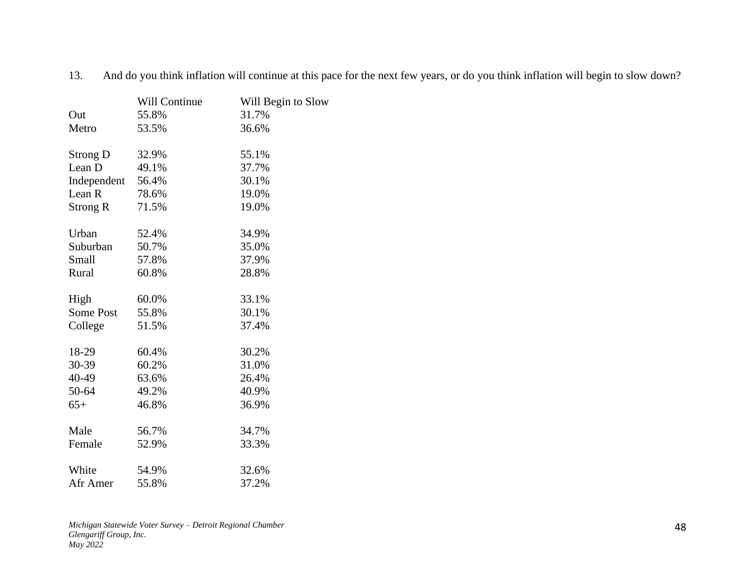|             | Will Continue | Will Begin to Slow |
|-------------|---------------|--------------------|
| Out         | 55.8%         | 31.7%              |
| Metro       | 53.5%         | 36.6%              |
| Strong D    | 32.9%         | 55.1%              |
| Lean D      | 49.1%         | 37.7%              |
| Independent | 56.4%         | 30.1%              |
| Lean R      | 78.6%         | 19.0%              |
| Strong R    | 71.5%         | 19.0%              |
| Urban       | 52.4%         | 34.9%              |
| Suburban    | 50.7%         | 35.0%              |
| Small       | 57.8%         | 37.9%              |
| Rural       | 60.8%         | 28.8%              |
| High        | 60.0%         | 33.1%              |
| Some Post   | 55.8%         | 30.1%              |
| College     | 51.5%         | 37.4%              |
| 18-29       | 60.4%         | 30.2%              |
| 30-39       | 60.2%         | 31.0%              |
| 40-49       | 63.6%         | 26.4%              |
| 50-64       | 49.2%         | 40.9%              |
| $65+$       | 46.8%         | 36.9%              |
| Male        | 56.7%         | 34.7%              |
| Female      | 52.9%         | 33.3%              |
| White       | 54.9%         | 32.6%              |
| Afr Amer    | 55.8%         | 37.2%              |

13. And do you think inflation will continue at this pace for the next few years, or do you think inflation will begin to slow down?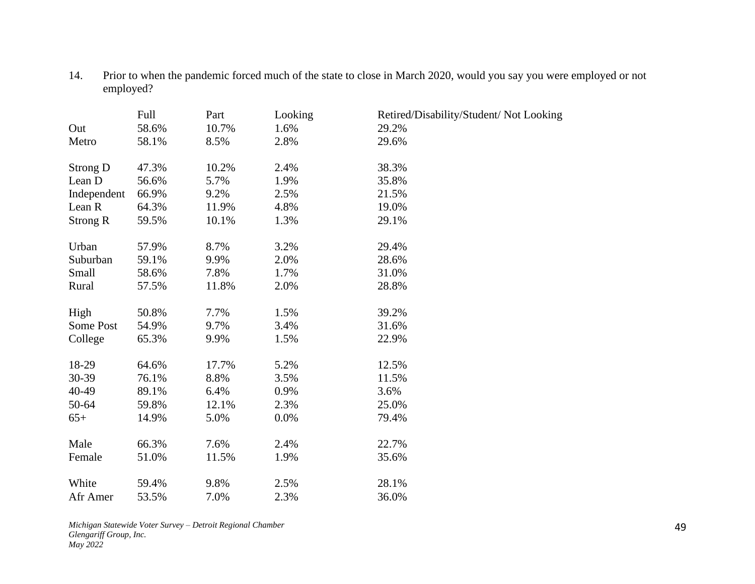14. Prior to when the pandemic forced much of the state to close in March 2020, would you say you were employed or not employed?

|                 | Full  | Part  | Looking | Retired/Disability/Student/ Not Looking |
|-----------------|-------|-------|---------|-----------------------------------------|
| Out             | 58.6% | 10.7% | 1.6%    | 29.2%                                   |
| Metro           | 58.1% | 8.5%  | 2.8%    | 29.6%                                   |
| Strong D        | 47.3% | 10.2% | 2.4%    | 38.3%                                   |
| Lean D          | 56.6% | 5.7%  | 1.9%    | 35.8%                                   |
|                 |       |       |         |                                         |
| Independent     | 66.9% | 9.2%  | 2.5%    | 21.5%                                   |
| Lean R          | 64.3% | 11.9% | 4.8%    | 19.0%                                   |
| <b>Strong R</b> | 59.5% | 10.1% | 1.3%    | 29.1%                                   |
| Urban           | 57.9% | 8.7%  | 3.2%    | 29.4%                                   |
| Suburban        | 59.1% | 9.9%  | 2.0%    | 28.6%                                   |
| Small           | 58.6% | 7.8%  | 1.7%    | 31.0%                                   |
| Rural           | 57.5% | 11.8% | 2.0%    | 28.8%                                   |
|                 |       |       |         |                                         |
| High            | 50.8% | 7.7%  | 1.5%    | 39.2%                                   |
| Some Post       | 54.9% | 9.7%  | 3.4%    | 31.6%                                   |
| College         | 65.3% | 9.9%  | 1.5%    | 22.9%                                   |
|                 |       |       |         |                                         |
| 18-29           | 64.6% | 17.7% | 5.2%    | 12.5%                                   |
| 30-39           | 76.1% | 8.8%  | 3.5%    | 11.5%                                   |
| 40-49           | 89.1% | 6.4%  | 0.9%    | 3.6%                                    |
| 50-64           | 59.8% | 12.1% | 2.3%    | 25.0%                                   |
| $65+$           | 14.9% | 5.0%  | 0.0%    | 79.4%                                   |
|                 |       |       |         |                                         |
| Male            | 66.3% | 7.6%  | 2.4%    | 22.7%                                   |
| Female          | 51.0% | 11.5% | 1.9%    | 35.6%                                   |
| White           | 59.4% | 9.8%  | 2.5%    | 28.1%                                   |
| Afr Amer        | 53.5% | 7.0%  | 2.3%    | 36.0%                                   |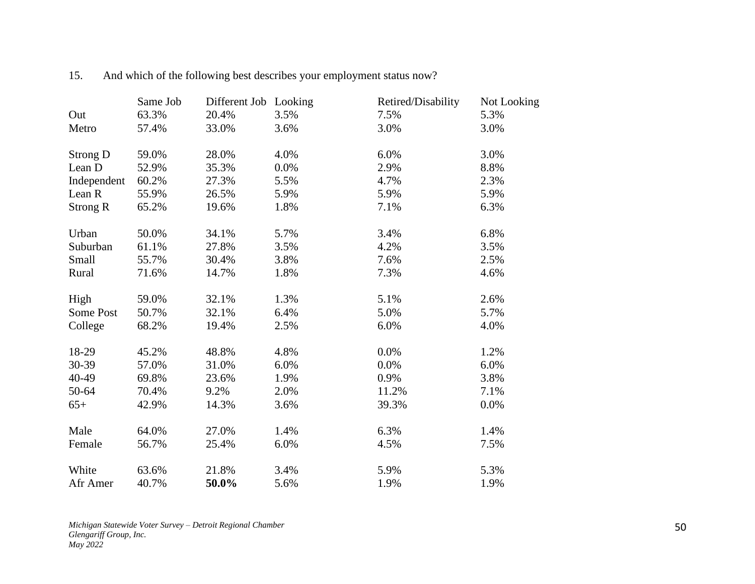|                 | Same Job | Different Job Looking |      | Retired/Disability | Not Looking |
|-----------------|----------|-----------------------|------|--------------------|-------------|
| Out             | 63.3%    | 20.4%                 | 3.5% | 7.5%               | 5.3%        |
| Metro           | 57.4%    | 33.0%                 | 3.6% | 3.0%               | 3.0%        |
| <b>Strong D</b> | 59.0%    | 28.0%                 | 4.0% | 6.0%               | 3.0%        |
| Lean D          | 52.9%    | 35.3%                 | 0.0% | 2.9%               | 8.8%        |
| Independent     | 60.2%    | 27.3%                 | 5.5% | 4.7%               | 2.3%        |
| Lean R          | 55.9%    | 26.5%                 | 5.9% | 5.9%               | 5.9%        |
| <b>Strong R</b> | 65.2%    | 19.6%                 | 1.8% | 7.1%               | 6.3%        |
| Urban           | 50.0%    | 34.1%                 | 5.7% | 3.4%               | 6.8%        |
| Suburban        | 61.1%    | 27.8%                 | 3.5% | 4.2%               | 3.5%        |
| Small           | 55.7%    | 30.4%                 | 3.8% | 7.6%               | 2.5%        |
| Rural           | 71.6%    | 14.7%                 | 1.8% | 7.3%               | 4.6%        |
| High            | 59.0%    | 32.1%                 | 1.3% | 5.1%               | 2.6%        |
| Some Post       | 50.7%    | 32.1%                 | 6.4% | 5.0%               | 5.7%        |
| College         | 68.2%    | 19.4%                 | 2.5% | 6.0%               | 4.0%        |
| 18-29           | 45.2%    | 48.8%                 | 4.8% | 0.0%               | 1.2%        |
| 30-39           | 57.0%    | 31.0%                 | 6.0% | 0.0%               | 6.0%        |
| 40-49           | 69.8%    | 23.6%                 | 1.9% | 0.9%               | 3.8%        |
| 50-64           | 70.4%    | 9.2%                  | 2.0% | 11.2%              | 7.1%        |
| $65+$           | 42.9%    | 14.3%                 | 3.6% | 39.3%              | 0.0%        |
| Male            | 64.0%    | 27.0%                 | 1.4% | 6.3%               | 1.4%        |
| Female          | 56.7%    | 25.4%                 | 6.0% | 4.5%               | 7.5%        |
| White           | 63.6%    | 21.8%                 | 3.4% | 5.9%               | 5.3%        |
| Afr Amer        | 40.7%    | 50.0%                 | 5.6% | 1.9%               | 1.9%        |

15. And which of the following best describes your employment status now?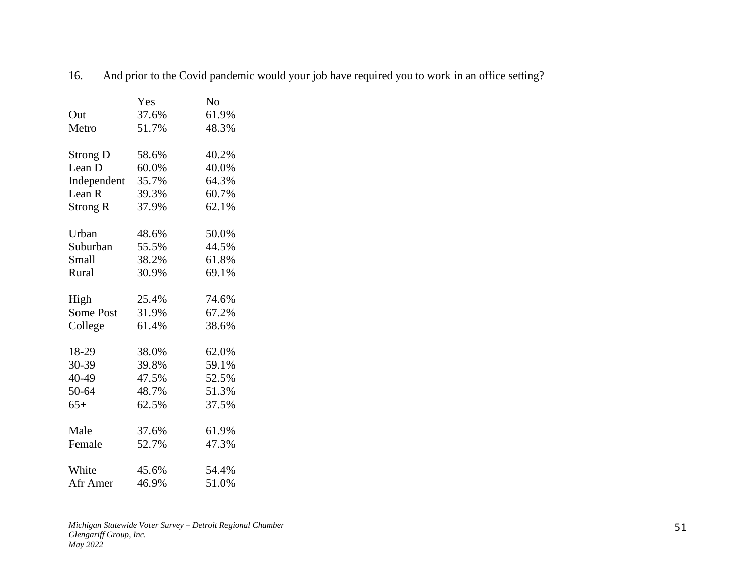|                 | Yes   | No    |
|-----------------|-------|-------|
| Out             | 37.6% | 61.9% |
| Metro           | 51.7% | 48.3% |
| <b>Strong D</b> | 58.6% | 40.2% |
| Lean D          | 60.0% | 40.0% |
| Independent     | 35.7% | 64.3% |
| Lean R          | 39.3% | 60.7% |
| Strong R        | 37.9% | 62.1% |
| Urban           | 48.6% | 50.0% |
| Suburban        | 55.5% | 44.5% |
| Small           | 38.2% | 61.8% |
| Rural           | 30.9% | 69.1% |
| High            | 25.4% | 74.6% |
| Some Post       | 31.9% | 67.2% |
| College         | 61.4% | 38.6% |
|                 |       |       |
| 18-29           | 38.0% | 62.0% |
| 30-39           | 39.8% | 59.1% |
| 40-49           | 47.5% | 52.5% |
| 50-64           | 48.7% | 51.3% |
| $65+$           | 62.5% | 37.5% |
| Male            | 37.6% | 61.9% |
| Female          | 52.7% | 47.3% |
| White           |       | 54.4% |
|                 | 45.6% |       |
| Afr Amer        | 46.9% | 51.0% |

16. And prior to the Covid pandemic would your job have required you to work in an office setting?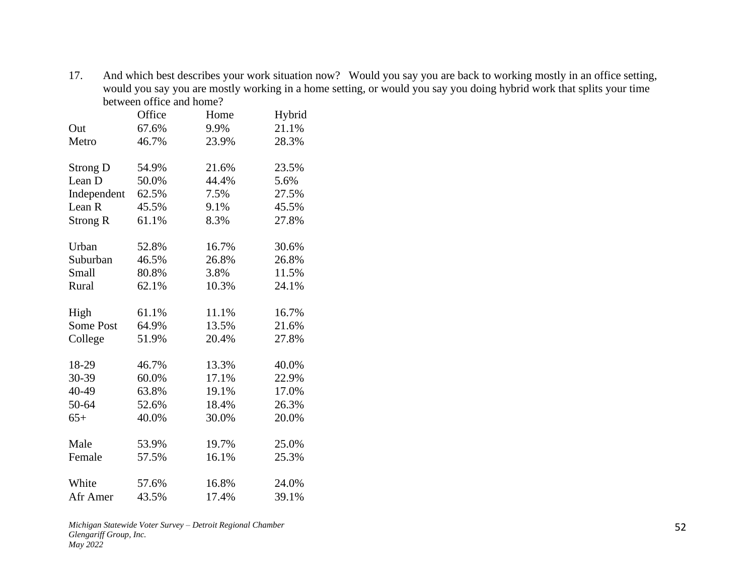17. And which best describes your work situation now? Would you say you are back to working mostly in an office setting, would you say you are mostly working in a home setting, or would you say you doing hybrid work that splits your time between office and home?

|                   | Office | Home  | Hybrid |
|-------------------|--------|-------|--------|
| Out               | 67.6%  | 9.9%  | 21.1%  |
| Metro             | 46.7%  | 23.9% | 28.3%  |
|                   |        |       |        |
| <b>Strong D</b>   | 54.9%  | 21.6% | 23.5%  |
| Lean D            | 50.0%  | 44.4% | 5.6%   |
| Independent       | 62.5%  | 7.5%  | 27.5%  |
| Lean <sub>R</sub> | 45.5%  | 9.1%  | 45.5%  |
| <b>Strong R</b>   | 61.1%  | 8.3%  | 27.8%  |
|                   |        |       |        |
| Urban             | 52.8%  | 16.7% | 30.6%  |
| Suburban          | 46.5%  | 26.8% | 26.8%  |
| Small             | 80.8%  | 3.8%  | 11.5%  |
| Rural             | 62.1%  | 10.3% | 24.1%  |
| High              | 61.1%  | 11.1% | 16.7%  |
| <b>Some Post</b>  | 64.9%  | 13.5% | 21.6%  |
| College           | 51.9%  | 20.4% | 27.8%  |
|                   |        |       |        |
| 18-29             | 46.7%  | 13.3% | 40.0%  |
| 30-39             | 60.0%  | 17.1% | 22.9%  |
| 40-49             | 63.8%  | 19.1% | 17.0%  |
| 50-64             | 52.6%  | 18.4% | 26.3%  |
| $65+$             | 40.0%  | 30.0% | 20.0%  |
|                   |        |       |        |
| Male              | 53.9%  | 19.7% | 25.0%  |
| Female            | 57.5%  | 16.1% | 25.3%  |
| White             | 57.6%  | 16.8% | 24.0%  |
| Afr Amer          | 43.5%  | 17.4% | 39.1%  |
|                   |        |       |        |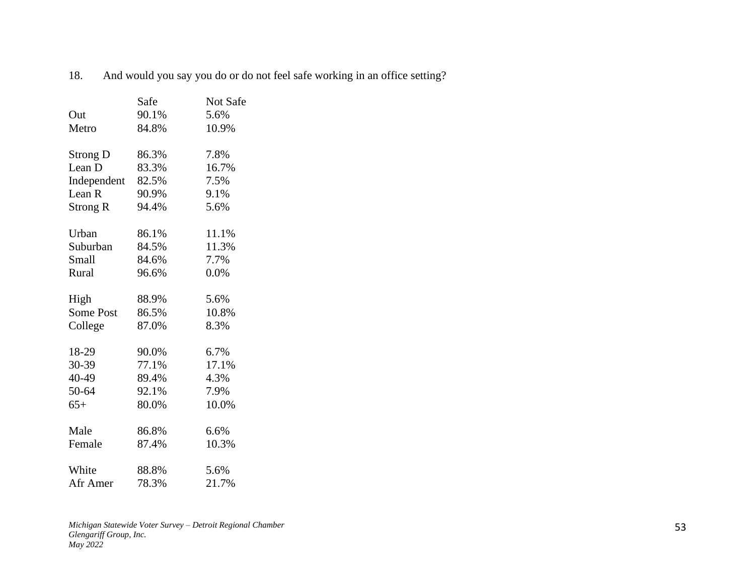|                 | Safe  | Not Safe |
|-----------------|-------|----------|
| Out             | 90.1% | 5.6%     |
| Metro           | 84.8% | 10.9%    |
| <b>Strong D</b> | 86.3% | 7.8%     |
| Lean D          | 83.3% | 16.7%    |
| Independent     | 82.5% | 7.5%     |
| Lean R          | 90.9% | 9.1%     |
| Strong R        | 94.4% | 5.6%     |
| Urban           | 86.1% | 11.1%    |
| Suburban        | 84.5% | 11.3%    |
| Small           | 84.6% | 7.7%     |
| Rural           | 96.6% | 0.0%     |
| High            | 88.9% | 5.6%     |
| Some Post       | 86.5% | 10.8%    |
| College         | 87.0% | 8.3%     |
| 18-29           | 90.0% | 6.7%     |
| 30-39           | 77.1% | 17.1%    |
| 40-49           | 89.4% | 4.3%     |
| 50-64           | 92.1% | 7.9%     |
| $65+$           | 80.0% | 10.0%    |
| Male            | 86.8% | 6.6%     |
| Female          | 87.4% | 10.3%    |
| White           | 88.8% | 5.6%     |
| Afr Amer        | 78.3% | 21.7%    |

18. And would you say you do or do not feel safe working in an office setting?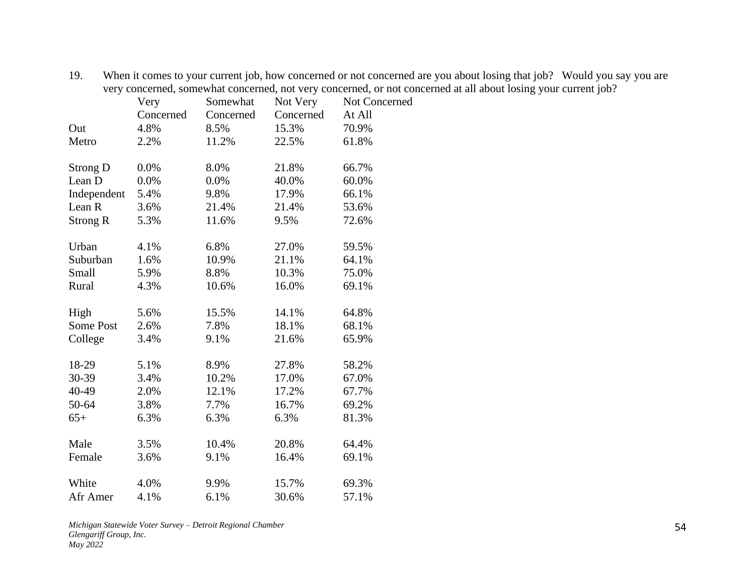|                 | Very      | Somewhat  | Not Very  | Not Concerned |
|-----------------|-----------|-----------|-----------|---------------|
|                 | Concerned | Concerned | Concerned | At All        |
| Out             | 4.8%      | 8.5%      | 15.3%     | 70.9%         |
| Metro           | 2.2%      | 11.2%     | 22.5%     | 61.8%         |
| <b>Strong D</b> | 0.0%      | 8.0%      | 21.8%     | 66.7%         |
| Lean D          | 0.0%      | 0.0%      | 40.0%     | 60.0%         |
| Independent     | 5.4%      | 9.8%      | 17.9%     | 66.1%         |
| Lean R          | 3.6%      | 21.4%     | 21.4%     | 53.6%         |
| <b>Strong R</b> | 5.3%      | 11.6%     | 9.5%      | 72.6%         |
| Urban           | 4.1%      | 6.8%      | 27.0%     | 59.5%         |
| Suburban        | 1.6%      | 10.9%     | 21.1%     | 64.1%         |
| Small           | 5.9%      | 8.8%      | 10.3%     | 75.0%         |
| Rural           | 4.3%      | 10.6%     | 16.0%     | 69.1%         |
| High            | 5.6%      | 15.5%     | 14.1%     | 64.8%         |
| Some Post       | 2.6%      | 7.8%      | 18.1%     | 68.1%         |
| College         | 3.4%      | 9.1%      | 21.6%     | 65.9%         |
| 18-29           | 5.1%      | 8.9%      | 27.8%     | 58.2%         |
| 30-39           | 3.4%      | 10.2%     | 17.0%     | 67.0%         |
| 40-49           | 2.0%      | 12.1%     | 17.2%     | 67.7%         |
| 50-64           | 3.8%      | 7.7%      | 16.7%     | 69.2%         |
| $65+$           | 6.3%      | 6.3%      | 6.3%      | 81.3%         |
| Male            | 3.5%      | 10.4%     | 20.8%     | 64.4%         |
| Female          | 3.6%      | 9.1%      | 16.4%     | 69.1%         |
| White           | 4.0%      | 9.9%      | 15.7%     | 69.3%         |
| Afr Amer        | 4.1%      | 6.1%      | 30.6%     | 57.1%         |

19. When it comes to your current job, how concerned or not concerned are you about losing that job? Would you say you are very concerned, somewhat concerned, not very concerned, or not concerned at all about losing your current job?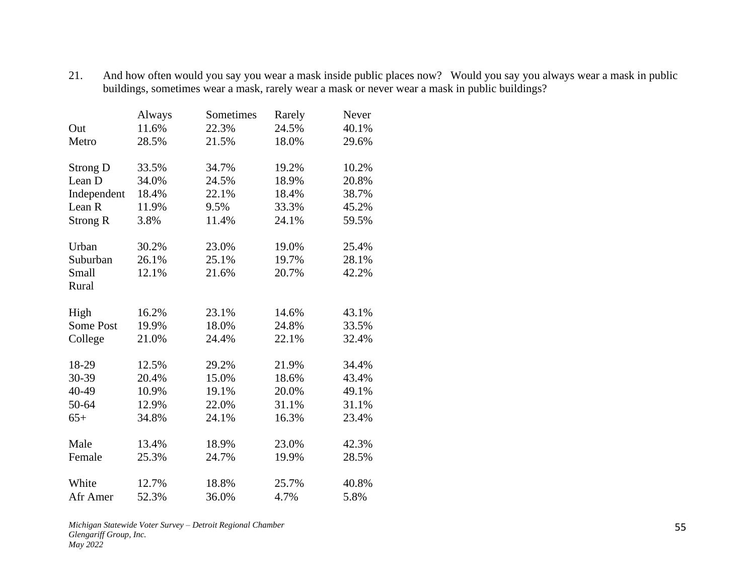| 21. | And how often would you say you wear a mask inside public places now? Would you say you always wear a mask in public |  |
|-----|----------------------------------------------------------------------------------------------------------------------|--|
|     | buildings, sometimes wear a mask, rarely wear a mask or never wear a mask in public buildings?                       |  |

|                   | Always | Sometimes | Rarely | Never |
|-------------------|--------|-----------|--------|-------|
| Out               | 11.6%  | 22.3%     | 24.5%  | 40.1% |
| Metro             | 28.5%  | 21.5%     | 18.0%  | 29.6% |
| <b>Strong D</b>   | 33.5%  | 34.7%     | 19.2%  | 10.2% |
| Lean D            | 34.0%  | 24.5%     | 18.9%  | 20.8% |
| Independent       | 18.4%  | 22.1%     | 18.4%  | 38.7% |
| Lean <sub>R</sub> | 11.9%  | 9.5%      | 33.3%  | 45.2% |
| <b>Strong R</b>   | 3.8%   | 11.4%     | 24.1%  | 59.5% |
| Urban             | 30.2%  | 23.0%     | 19.0%  | 25.4% |
| Suburban          | 26.1%  | 25.1%     | 19.7%  | 28.1% |
| Small             | 12.1%  | 21.6%     | 20.7%  | 42.2% |
| Rural             |        |           |        |       |
| High              | 16.2%  | 23.1%     | 14.6%  | 43.1% |
| Some Post         | 19.9%  | 18.0%     | 24.8%  | 33.5% |
| College           | 21.0%  | 24.4%     | 22.1%  | 32.4% |
| 18-29             | 12.5%  | 29.2%     | 21.9%  | 34.4% |
| 30-39             | 20.4%  | 15.0%     | 18.6%  | 43.4% |
| 40-49             | 10.9%  | 19.1%     | 20.0%  | 49.1% |
| 50-64             | 12.9%  | 22.0%     | 31.1%  | 31.1% |
| $65+$             | 34.8%  | 24.1%     | 16.3%  | 23.4% |
| Male              | 13.4%  | 18.9%     | 23.0%  | 42.3% |
| Female            | 25.3%  | 24.7%     | 19.9%  | 28.5% |
| White             | 12.7%  | 18.8%     | 25.7%  | 40.8% |
| Afr Amer          | 52.3%  | 36.0%     | 4.7%   | 5.8%  |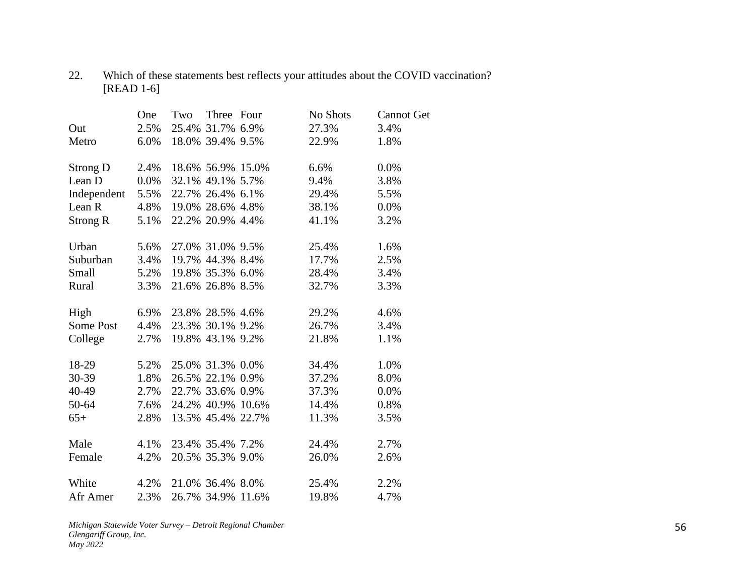## 22. Which of these statements best reflects your attitudes about the COVID vaccination? [READ 1-6]

|             | One     | Two | Three Four        | No Shots | <b>Cannot Get</b> |
|-------------|---------|-----|-------------------|----------|-------------------|
| Out         | 2.5%    |     | 25.4% 31.7% 6.9%  | 27.3%    | 3.4%              |
| Metro       | 6.0%    |     | 18.0% 39.4% 9.5%  | 22.9%    | 1.8%              |
| Strong D    | 2.4%    |     | 18.6% 56.9% 15.0% | 6.6%     | 0.0%              |
| Lean D      | $0.0\%$ |     | 32.1% 49.1% 5.7%  | 9.4%     | 3.8%              |
| Independent | 5.5%    |     | 22.7% 26.4% 6.1%  | 29.4%    | 5.5%              |
| Lean R      | 4.8%    |     | 19.0% 28.6% 4.8%  | 38.1%    | 0.0%              |
| Strong R    | 5.1%    |     | 22.2% 20.9% 4.4%  | 41.1%    | 3.2%              |
| Urban       | 5.6%    |     | 27.0% 31.0% 9.5%  | 25.4%    | 1.6%              |
| Suburban    | 3.4%    |     | 19.7% 44.3% 8.4%  | 17.7%    | 2.5%              |
| Small       | 5.2%    |     | 19.8% 35.3% 6.0%  | 28.4%    | 3.4%              |
| Rural       | 3.3%    |     | 21.6% 26.8% 8.5%  | 32.7%    | 3.3%              |
| High        | 6.9%    |     | 23.8% 28.5% 4.6%  | 29.2%    | 4.6%              |
| Some Post   | 4.4%    |     | 23.3% 30.1% 9.2%  | 26.7%    | 3.4%              |
| College     | 2.7%    |     | 19.8% 43.1% 9.2%  | 21.8%    | 1.1%              |
| 18-29       | 5.2%    |     | 25.0% 31.3% 0.0%  | 34.4%    | 1.0%              |
| 30-39       | 1.8%    |     | 26.5% 22.1% 0.9%  | 37.2%    | 8.0%              |
| 40-49       | 2.7%    |     | 22.7% 33.6% 0.9%  | 37.3%    | 0.0%              |
| 50-64       | 7.6%    |     | 24.2% 40.9% 10.6% | 14.4%    | 0.8%              |
| $65+$       | 2.8%    |     | 13.5% 45.4% 22.7% | 11.3%    | 3.5%              |
| Male        | 4.1%    |     | 23.4% 35.4% 7.2%  | 24.4%    | 2.7%              |
| Female      | 4.2%    |     | 20.5% 35.3% 9.0%  | 26.0%    | 2.6%              |
| White       | 4.2%    |     | 21.0% 36.4% 8.0%  | 25.4%    | 2.2%              |
| Afr Amer    | 2.3%    |     | 26.7% 34.9% 11.6% | 19.8%    | 4.7%              |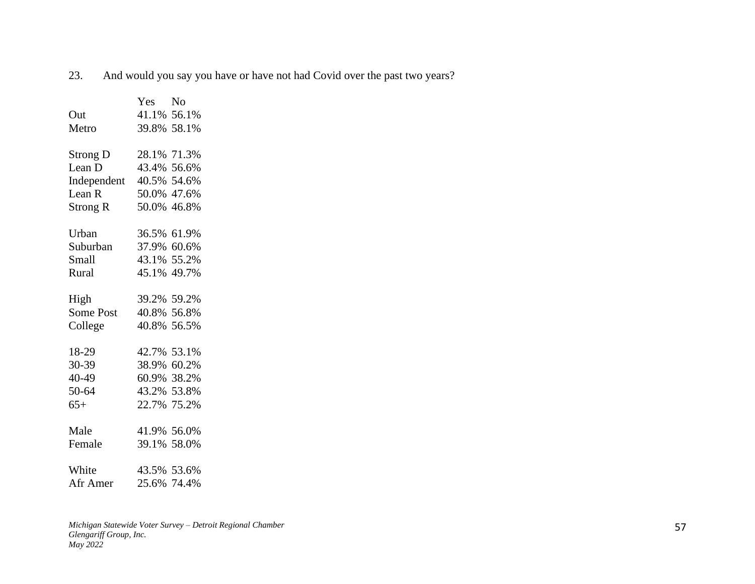23. And would you say you have or have not had Covid over the past two years?

|                   | Yes         | N <sub>o</sub> |
|-------------------|-------------|----------------|
| Out               |             | 41.1% 56.1%    |
| Metro             |             | 39.8% 58.1%    |
|                   |             |                |
| <b>Strong D</b>   | 28.1% 71.3% |                |
| Lean D            |             | 43.4% 56.6%    |
| Independent       |             | 40.5% 54.6%    |
| Lean <sub>R</sub> |             | 50.0% 47.6%    |
| Strong R          |             | 50.0% 46.8%    |
| Urban             |             | 36.5% 61.9%    |
| Suburban          |             | 37.9% 60.6%    |
| Small             |             | 43.1% 55.2%    |
| Rural             |             | 45.1% 49.7%    |
|                   |             |                |
| High              |             | 39.2% 59.2%    |
| Some Post         |             | 40.8% 56.8%    |
| College           | 40.8% 56.5% |                |
| 18-29             | 42.7% 53.1% |                |
| 30-39             |             | 38.9% 60.2%    |
| 40-49             |             | 60.9% 38.2%    |
| 50-64             |             | 43.2% 53.8%    |
|                   |             |                |
| $65+$             |             | 22.7% 75.2%    |
| Male              | 41.9% 56.0% |                |
| Female            | 39.1% 58.0% |                |
| White             | 43.5% 53.6% |                |
| Afr Amer          | 25.6% 74.4% |                |
|                   |             |                |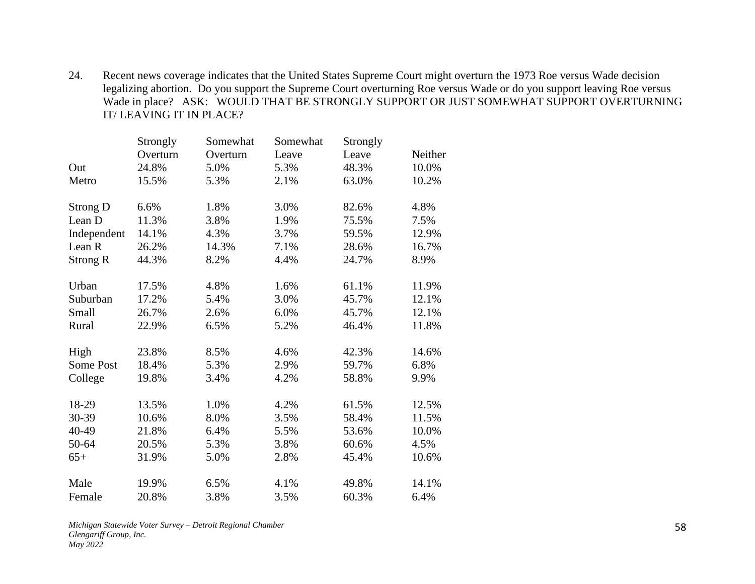24. Recent news coverage indicates that the United States Supreme Court might overturn the 1973 Roe versus Wade decision legalizing abortion. Do you support the Supreme Court overturning Roe versus Wade or do you support leaving Roe versus Wade in place? ASK: WOULD THAT BE STRONGLY SUPPORT OR JUST SOMEWHAT SUPPORT OVERTURNING IT/ LEAVING IT IN PLACE?

|                 | Strongly | Somewhat | Somewhat | Strongly |         |
|-----------------|----------|----------|----------|----------|---------|
|                 | Overturn | Overturn | Leave    | Leave    | Neither |
| Out             | 24.8%    | 5.0%     | 5.3%     | 48.3%    | 10.0%   |
| Metro           | 15.5%    | 5.3%     | 2.1%     | 63.0%    | 10.2%   |
| Strong D        | 6.6%     | 1.8%     | 3.0%     | 82.6%    | 4.8%    |
| Lean D          | 11.3%    | 3.8%     | 1.9%     | 75.5%    | 7.5%    |
| Independent     | 14.1%    | 4.3%     | 3.7%     | 59.5%    | 12.9%   |
| Lean R          | 26.2%    | 14.3%    | 7.1%     | 28.6%    | 16.7%   |
| <b>Strong R</b> | 44.3%    | 8.2%     | 4.4%     | 24.7%    | 8.9%    |
| Urban           | 17.5%    | 4.8%     | 1.6%     | 61.1%    | 11.9%   |
| Suburban        | 17.2%    | 5.4%     | 3.0%     | 45.7%    | 12.1%   |
| Small           | 26.7%    | 2.6%     | 6.0%     | 45.7%    | 12.1%   |
| Rural           | 22.9%    | 6.5%     | 5.2%     | 46.4%    | 11.8%   |
| High            | 23.8%    | 8.5%     | 4.6%     | 42.3%    | 14.6%   |
| Some Post       | 18.4%    | 5.3%     | 2.9%     | 59.7%    | 6.8%    |
| College         | 19.8%    | 3.4%     | 4.2%     | 58.8%    | 9.9%    |
| 18-29           | 13.5%    | 1.0%     | 4.2%     | 61.5%    | 12.5%   |
| 30-39           | 10.6%    | 8.0%     | 3.5%     | 58.4%    | 11.5%   |
| 40-49           | 21.8%    | 6.4%     | 5.5%     | 53.6%    | 10.0%   |
| 50-64           | 20.5%    | 5.3%     | 3.8%     | 60.6%    | 4.5%    |
| $65+$           | 31.9%    | 5.0%     | 2.8%     | 45.4%    | 10.6%   |
| Male            | 19.9%    | 6.5%     | 4.1%     | 49.8%    | 14.1%   |
| Female          | 20.8%    | 3.8%     | 3.5%     | 60.3%    | 6.4%    |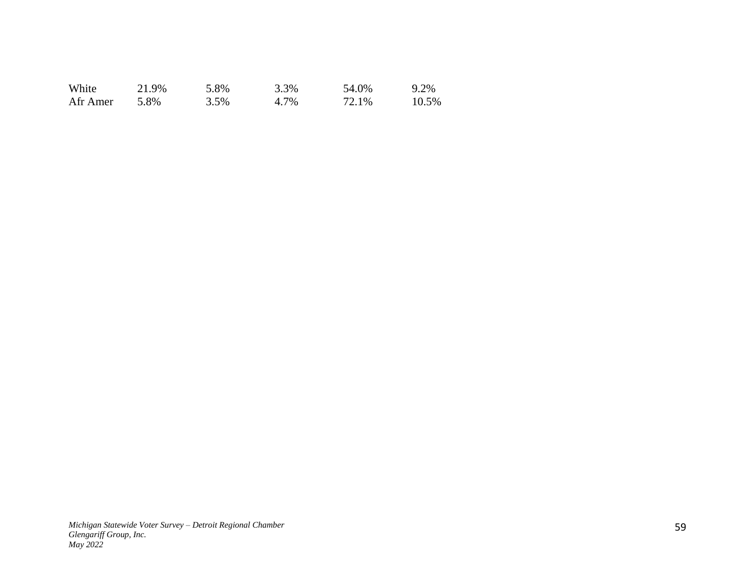| White    | 21.9% | 5.8% | 3.3% | 54.0% | 9.2%  |
|----------|-------|------|------|-------|-------|
| Afr Amer | 5.8%  | 3.5% | 4.7% | 72.1% | 10.5% |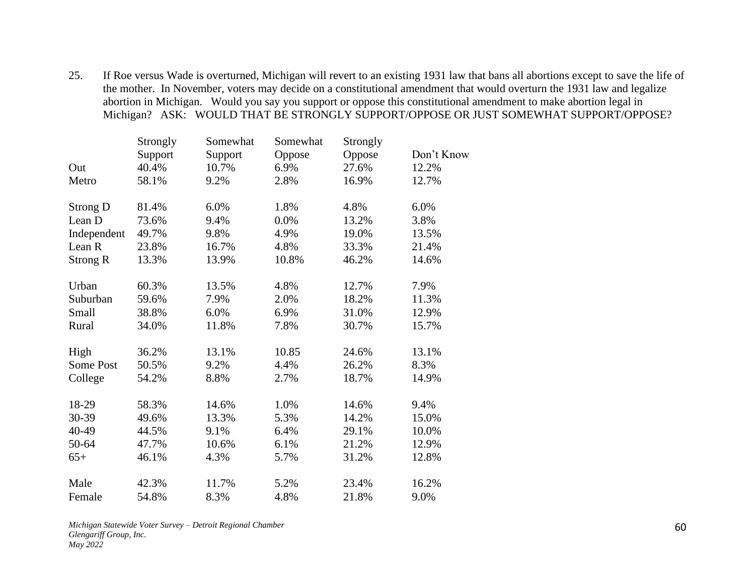25. If Roe versus Wade is overturned, Michigan will revert to an existing 1931 law that bans all abortions except to save the life of the mother. In November, voters may decide on a constitutional amendment that would overturn the 1931 law and legalize abortion in Michigan. Would you say you support or oppose this constitutional amendment to make abortion legal in Michigan? ASK: WOULD THAT BE STRONGLY SUPPORT/OPPOSE OR JUST SOMEWHAT SUPPORT/OPPOSE?

|                  | Strongly | Somewhat | Somewhat | Strongly |            |
|------------------|----------|----------|----------|----------|------------|
|                  | Support  | Support  | Oppose   | Oppose   | Don't Know |
| Out              | 40.4%    | 10.7%    | 6.9%     | 27.6%    | 12.2%      |
| Metro            | 58.1%    | 9.2%     | 2.8%     | 16.9%    | 12.7%      |
| <b>Strong D</b>  | 81.4%    | 6.0%     | 1.8%     | 4.8%     | 6.0%       |
| Lean D           | 73.6%    | 9.4%     | 0.0%     | 13.2%    | 3.8%       |
| Independent      | 49.7%    | 9.8%     | 4.9%     | 19.0%    | 13.5%      |
| Lean R           | 23.8%    | 16.7%    | 4.8%     | 33.3%    | 21.4%      |
| <b>Strong R</b>  | 13.3%    | 13.9%    | 10.8%    | 46.2%    | 14.6%      |
| Urban            | 60.3%    | 13.5%    | 4.8%     | 12.7%    | 7.9%       |
| Suburban         | 59.6%    | 7.9%     | 2.0%     | 18.2%    | 11.3%      |
| Small            | 38.8%    | 6.0%     | 6.9%     | 31.0%    | 12.9%      |
| Rural            | 34.0%    | 11.8%    | 7.8%     | 30.7%    | 15.7%      |
| High             | 36.2%    | 13.1%    | 10.85    | 24.6%    | 13.1%      |
| <b>Some Post</b> | 50.5%    | 9.2%     | 4.4%     | 26.2%    | 8.3%       |
| College          | 54.2%    | 8.8%     | 2.7%     | 18.7%    | 14.9%      |
| 18-29            | 58.3%    | 14.6%    | 1.0%     | 14.6%    | 9.4%       |
| 30-39            | 49.6%    | 13.3%    | 5.3%     | 14.2%    | 15.0%      |
| 40-49            | 44.5%    | 9.1%     | 6.4%     | 29.1%    | 10.0%      |
| 50-64            | 47.7%    | 10.6%    | 6.1%     | 21.2%    | 12.9%      |
| $65+$            | 46.1%    | 4.3%     | 5.7%     | 31.2%    | 12.8%      |
| Male             | 42.3%    | 11.7%    | 5.2%     | 23.4%    | 16.2%      |
| Female           | 54.8%    | 8.3%     | 4.8%     | 21.8%    | 9.0%       |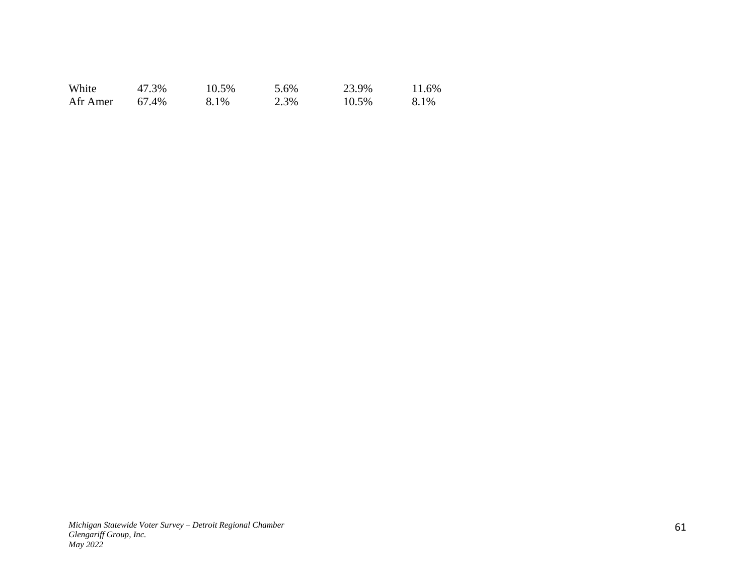| White    | 47.3% | 10.5% | 5.6% | 23.9% | 11.6% |
|----------|-------|-------|------|-------|-------|
| Afr Amer | 67.4% | 8.1%  | 2.3% | 10.5% | 8.1%  |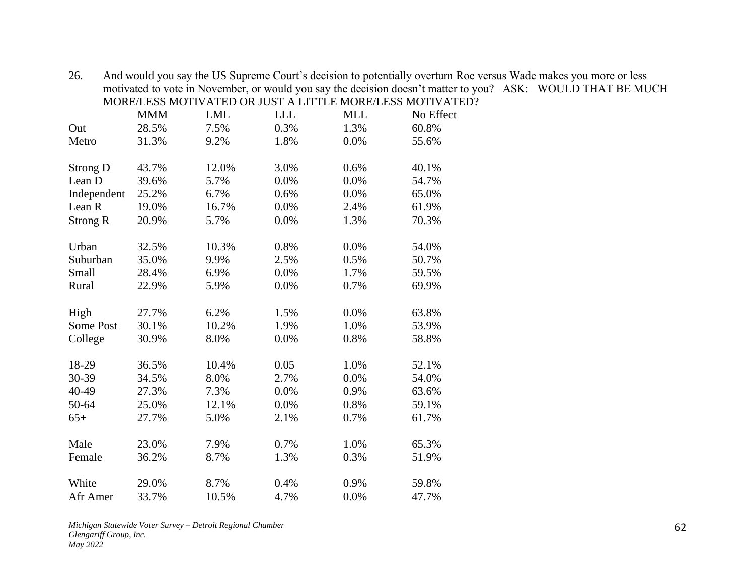26. And would you say the US Supreme Court's decision to potentially overturn Roe versus Wade makes you more or less motivated to vote in November, or would you say the decision doesn't matter to you? ASK: WOULD THAT BE MUCH MORE/LESS MOTIVATED OR JUST A LITTLE MORE/LESS MOTIVATED?

|                 | <b>MMM</b> | <b>LML</b> | <b>LLL</b> | <b>MLL</b> | No Effect |
|-----------------|------------|------------|------------|------------|-----------|
| Out             | 28.5%      | 7.5%       | 0.3%       | 1.3%       | 60.8%     |
| Metro           | 31.3%      | 9.2%       | 1.8%       | 0.0%       | 55.6%     |
| <b>Strong D</b> | 43.7%      | 12.0%      | 3.0%       | 0.6%       | 40.1%     |
| Lean D          | 39.6%      | 5.7%       | 0.0%       | 0.0%       | 54.7%     |
| Independent     | 25.2%      | 6.7%       | 0.6%       | 0.0%       | 65.0%     |
| Lean R          | 19.0%      | 16.7%      | 0.0%       | 2.4%       | 61.9%     |
| <b>Strong R</b> | 20.9%      | 5.7%       | 0.0%       | 1.3%       | 70.3%     |
| Urban           | 32.5%      | 10.3%      | 0.8%       | 0.0%       | 54.0%     |
| Suburban        | 35.0%      | 9.9%       | 2.5%       | 0.5%       | 50.7%     |
| Small           | 28.4%      | 6.9%       | 0.0%       | 1.7%       | 59.5%     |
| Rural           | 22.9%      | 5.9%       | 0.0%       | 0.7%       | 69.9%     |
| High            | 27.7%      | 6.2%       | 1.5%       | 0.0%       | 63.8%     |
| Some Post       | 30.1%      | 10.2%      | 1.9%       | 1.0%       | 53.9%     |
| College         | 30.9%      | 8.0%       | 0.0%       | 0.8%       | 58.8%     |
| 18-29           | 36.5%      | 10.4%      | 0.05       | 1.0%       | 52.1%     |
| 30-39           | 34.5%      | 8.0%       | 2.7%       | 0.0%       | 54.0%     |
| 40-49           | 27.3%      | 7.3%       | 0.0%       | 0.9%       | 63.6%     |
| 50-64           | 25.0%      | 12.1%      | 0.0%       | 0.8%       | 59.1%     |
| $65+$           | 27.7%      | 5.0%       | 2.1%       | 0.7%       | 61.7%     |
| Male            | 23.0%      | 7.9%       | 0.7%       | 1.0%       | 65.3%     |
| Female          | 36.2%      | 8.7%       | 1.3%       | 0.3%       | 51.9%     |
| White           | 29.0%      | 8.7%       | 0.4%       | 0.9%       | 59.8%     |
| Afr Amer        | 33.7%      | 10.5%      | 4.7%       | 0.0%       | 47.7%     |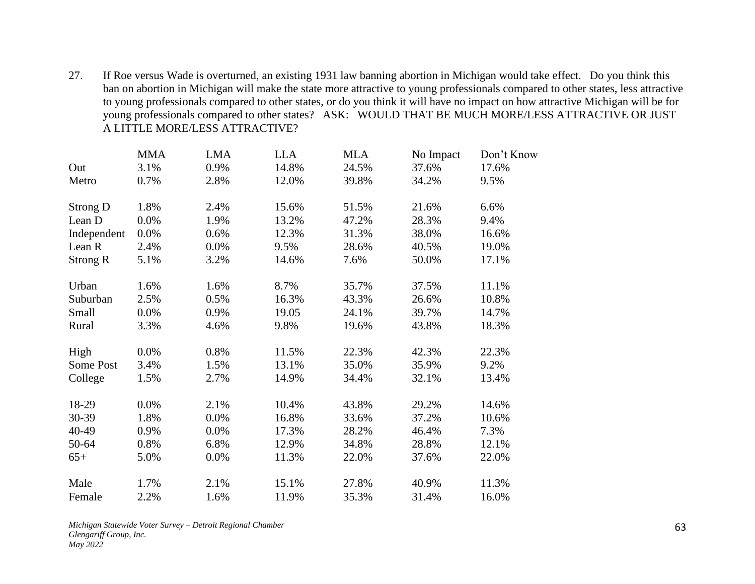27. If Roe versus Wade is overturned, an existing 1931 law banning abortion in Michigan would take effect. Do you think this ban on abortion in Michigan will make the state more attractive to young professionals compared to other states, less attractive to young professionals compared to other states, or do you think it will have no impact on how attractive Michigan will be for young professionals compared to other states? ASK: WOULD THAT BE MUCH MORE/LESS ATTRACTIVE OR JUST A LITTLE MORE/LESS ATTRACTIVE?

|                 | <b>MMA</b> | <b>LMA</b> | <b>LLA</b> | <b>MLA</b> | No Impact | Don't Know |
|-----------------|------------|------------|------------|------------|-----------|------------|
| Out             | 3.1%       | 0.9%       | 14.8%      | 24.5%      | 37.6%     | 17.6%      |
| Metro           | 0.7%       | 2.8%       | 12.0%      | 39.8%      | 34.2%     | 9.5%       |
|                 |            |            |            |            |           |            |
| Strong D        | 1.8%       | 2.4%       | 15.6%      | 51.5%      | 21.6%     | 6.6%       |
| Lean D          | 0.0%       | 1.9%       | 13.2%      | 47.2%      | 28.3%     | 9.4%       |
| Independent     | 0.0%       | 0.6%       | 12.3%      | 31.3%      | 38.0%     | 16.6%      |
| Lean R          | 2.4%       | 0.0%       | 9.5%       | 28.6%      | 40.5%     | 19.0%      |
| <b>Strong R</b> | 5.1%       | 3.2%       | 14.6%      | 7.6%       | 50.0%     | 17.1%      |
|                 |            |            |            |            |           |            |
| Urban           | 1.6%       | 1.6%       | 8.7%       | 35.7%      | 37.5%     | 11.1%      |
| Suburban        | 2.5%       | 0.5%       | 16.3%      | 43.3%      | 26.6%     | 10.8%      |
| Small           | 0.0%       | 0.9%       | 19.05      | 24.1%      | 39.7%     | 14.7%      |
| Rural           | 3.3%       | 4.6%       | 9.8%       | 19.6%      | 43.8%     | 18.3%      |
| High            | 0.0%       | 0.8%       | 11.5%      | 22.3%      | 42.3%     | 22.3%      |
| Some Post       | 3.4%       | 1.5%       | 13.1%      | 35.0%      | 35.9%     | 9.2%       |
| College         | 1.5%       | 2.7%       | 14.9%      | 34.4%      | 32.1%     | 13.4%      |
|                 |            |            |            |            |           |            |
| 18-29           | 0.0%       | 2.1%       | 10.4%      | 43.8%      | 29.2%     | 14.6%      |
| 30-39           | 1.8%       | 0.0%       | 16.8%      | 33.6%      | 37.2%     | 10.6%      |
| 40-49           | 0.9%       | 0.0%       | 17.3%      | 28.2%      | 46.4%     | 7.3%       |
| 50-64           | 0.8%       | 6.8%       | 12.9%      | 34.8%      | 28.8%     | 12.1%      |
| $65+$           | 5.0%       | 0.0%       | 11.3%      | 22.0%      | 37.6%     | 22.0%      |
| Male            | 1.7%       | 2.1%       | 15.1%      | 27.8%      | 40.9%     | 11.3%      |
| Female          | 2.2%       | 1.6%       | 11.9%      | 35.3%      | 31.4%     | 16.0%      |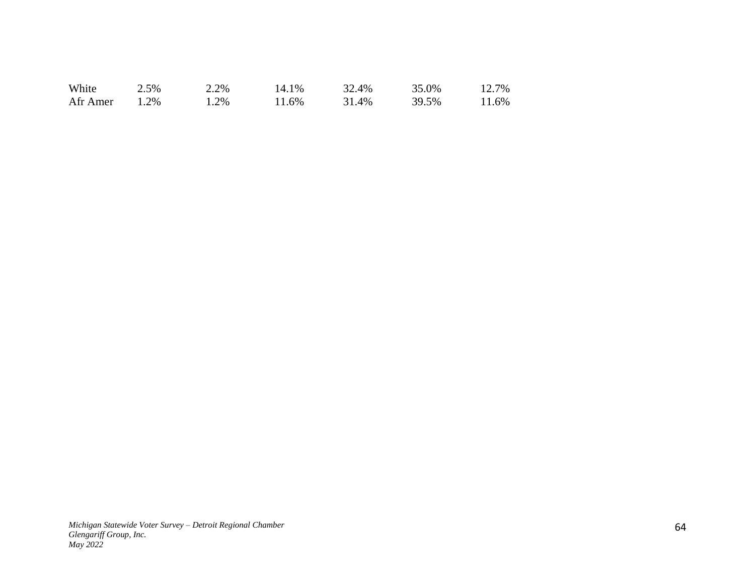| White    | 2.5% | 2.2%  | 14.1% | 32.4% | 35.0% | 12.7% |
|----------|------|-------|-------|-------|-------|-------|
| Afr Amer | 1.2% | . .2% | 11.6% | 31.4% | 39.5% | 11.6% |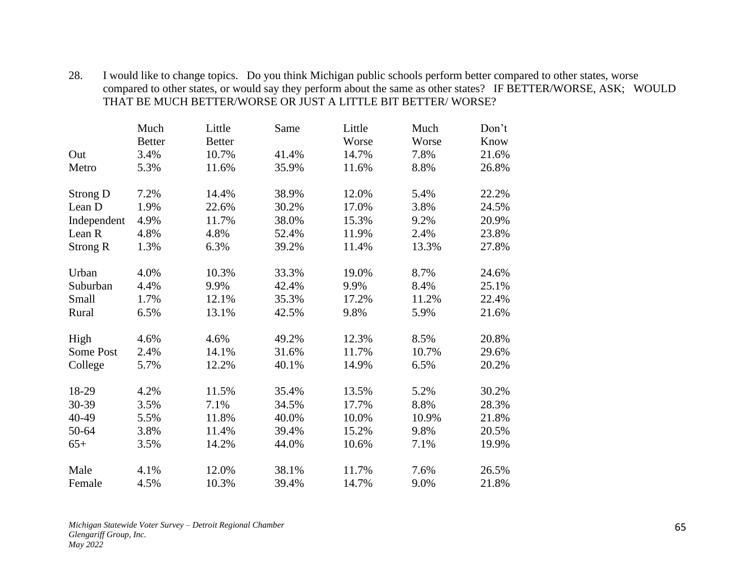| 28. | I would like to change topics. Do you think Michigan public schools perform better compared to other states, worse |  |
|-----|--------------------------------------------------------------------------------------------------------------------|--|
|     | compared to other states, or would say they perform about the same as other states? IF BETTER/WORSE, ASK; WOULD    |  |
|     | THAT BE MUCH BETTER/WORSE OR JUST A LITTLE BIT BETTER/WORSE?                                                       |  |

|                 | Much          | Little        | Same  | Little | Much  | Don't |
|-----------------|---------------|---------------|-------|--------|-------|-------|
|                 | <b>Better</b> | <b>Better</b> |       | Worse  | Worse | Know  |
| Out             | 3.4%          | 10.7%         | 41.4% | 14.7%  | 7.8%  | 21.6% |
| Metro           | 5.3%          | 11.6%         | 35.9% | 11.6%  | 8.8%  | 26.8% |
| Strong D        | 7.2%          | 14.4%         | 38.9% | 12.0%  | 5.4%  | 22.2% |
| Lean D          | 1.9%          | 22.6%         | 30.2% | 17.0%  | 3.8%  | 24.5% |
| Independent     | 4.9%          | 11.7%         | 38.0% | 15.3%  | 9.2%  | 20.9% |
| Lean R          | 4.8%          | 4.8%          | 52.4% | 11.9%  | 2.4%  | 23.8% |
| <b>Strong R</b> | 1.3%          | 6.3%          | 39.2% | 11.4%  | 13.3% | 27.8% |
| Urban           | 4.0%          | 10.3%         | 33.3% | 19.0%  | 8.7%  | 24.6% |
| Suburban        | 4.4%          | 9.9%          | 42.4% | 9.9%   | 8.4%  | 25.1% |
| Small           | 1.7%          | 12.1%         | 35.3% | 17.2%  | 11.2% | 22.4% |
| Rural           | 6.5%          | 13.1%         | 42.5% | 9.8%   | 5.9%  | 21.6% |
| High            | 4.6%          | 4.6%          | 49.2% | 12.3%  | 8.5%  | 20.8% |
| Some Post       | 2.4%          | 14.1%         | 31.6% | 11.7%  | 10.7% | 29.6% |
| College         | 5.7%          | 12.2%         | 40.1% | 14.9%  | 6.5%  | 20.2% |
| 18-29           | 4.2%          | 11.5%         | 35.4% | 13.5%  | 5.2%  | 30.2% |
| 30-39           | 3.5%          | 7.1%          | 34.5% | 17.7%  | 8.8%  | 28.3% |
| 40-49           | 5.5%          | 11.8%         | 40.0% | 10.0%  | 10.9% | 21.8% |
| 50-64           | 3.8%          | 11.4%         | 39.4% | 15.2%  | 9.8%  | 20.5% |
| $65+$           | 3.5%          | 14.2%         | 44.0% | 10.6%  | 7.1%  | 19.9% |
| Male            | 4.1%          | 12.0%         | 38.1% | 11.7%  | 7.6%  | 26.5% |
| Female          | 4.5%          | 10.3%         | 39.4% | 14.7%  | 9.0%  | 21.8% |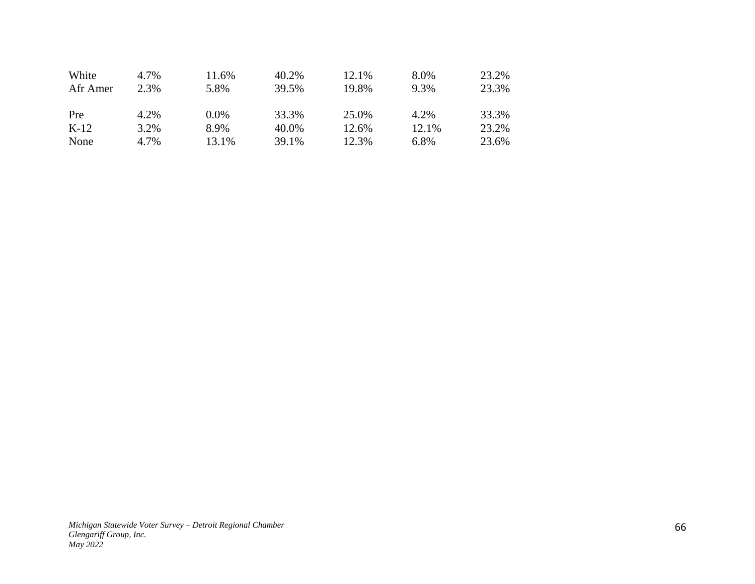| White    | 4.7% | 11.6% | 40.2% | 12.1% | 8.0%  | 23.2% |
|----------|------|-------|-------|-------|-------|-------|
| Afr Amer | 2.3% | 5.8%  | 39.5% | 19.8% | 9.3%  | 23.3% |
| Pre      | 4.2% | 0.0%  | 33.3% | 25.0% | 4.2%  | 33.3% |
| $K-12$   | 3.2% | 8.9%  | 40.0% | 12.6% | 12.1% | 23.2% |
| None     | 4.7% | 13.1% | 39.1% | 12.3% | 6.8%  | 23.6% |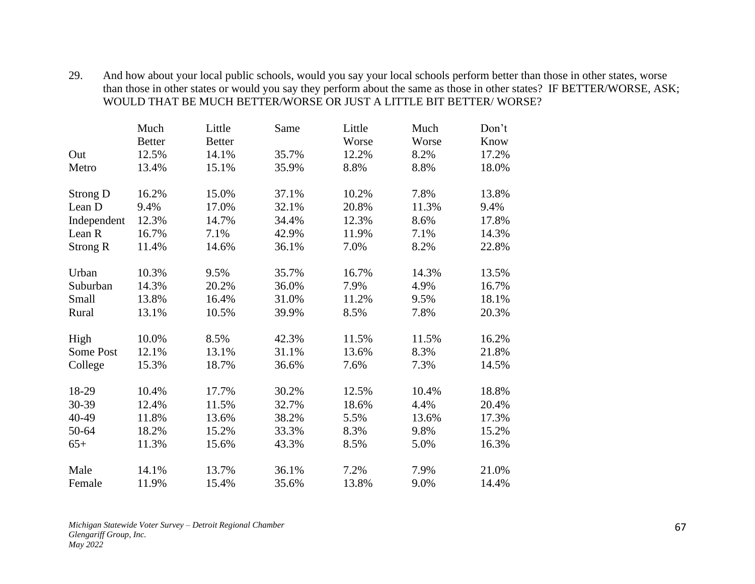29. And how about your local public schools, would you say your local schools perform better than those in other states, worse than those in other states or would you say they perform about the same as those in other states? IF BETTER/WORSE, ASK; WOULD THAT BE MUCH BETTER/WORSE OR JUST A LITTLE BIT BETTER/ WORSE?

|                 | Much          | Little        | Same  | Little | Much  | Don't |
|-----------------|---------------|---------------|-------|--------|-------|-------|
|                 | <b>Better</b> | <b>Better</b> |       | Worse  | Worse | Know  |
| Out             | 12.5%         | 14.1%         | 35.7% | 12.2%  | 8.2%  | 17.2% |
| Metro           | 13.4%         | 15.1%         | 35.9% | 8.8%   | 8.8%  | 18.0% |
| Strong D        | 16.2%         | 15.0%         | 37.1% | 10.2%  | 7.8%  | 13.8% |
| Lean D          | 9.4%          | 17.0%         | 32.1% | 20.8%  | 11.3% | 9.4%  |
| Independent     | 12.3%         | 14.7%         | 34.4% | 12.3%  | 8.6%  | 17.8% |
| Lean R          | 16.7%         | 7.1%          | 42.9% | 11.9%  | 7.1%  | 14.3% |
| <b>Strong R</b> | 11.4%         | 14.6%         | 36.1% | 7.0%   | 8.2%  | 22.8% |
| Urban           | 10.3%         | 9.5%          | 35.7% | 16.7%  | 14.3% | 13.5% |
| Suburban        | 14.3%         | 20.2%         | 36.0% | 7.9%   | 4.9%  | 16.7% |
| Small           | 13.8%         | 16.4%         | 31.0% | 11.2%  | 9.5%  | 18.1% |
| Rural           | 13.1%         | 10.5%         | 39.9% | 8.5%   | 7.8%  | 20.3% |
| High            | 10.0%         | 8.5%          | 42.3% | 11.5%  | 11.5% | 16.2% |
| Some Post       | 12.1%         | 13.1%         | 31.1% | 13.6%  | 8.3%  | 21.8% |
| College         | 15.3%         | 18.7%         | 36.6% | 7.6%   | 7.3%  | 14.5% |
| 18-29           | 10.4%         | 17.7%         | 30.2% | 12.5%  | 10.4% | 18.8% |
| 30-39           | 12.4%         | 11.5%         | 32.7% | 18.6%  | 4.4%  | 20.4% |
| 40-49           | 11.8%         | 13.6%         | 38.2% | 5.5%   | 13.6% | 17.3% |
| 50-64           | 18.2%         | 15.2%         | 33.3% | 8.3%   | 9.8%  | 15.2% |
| $65+$           | 11.3%         | 15.6%         | 43.3% | 8.5%   | 5.0%  | 16.3% |
| Male            | 14.1%         | 13.7%         | 36.1% | 7.2%   | 7.9%  | 21.0% |
| Female          | 11.9%         | 15.4%         | 35.6% | 13.8%  | 9.0%  | 14.4% |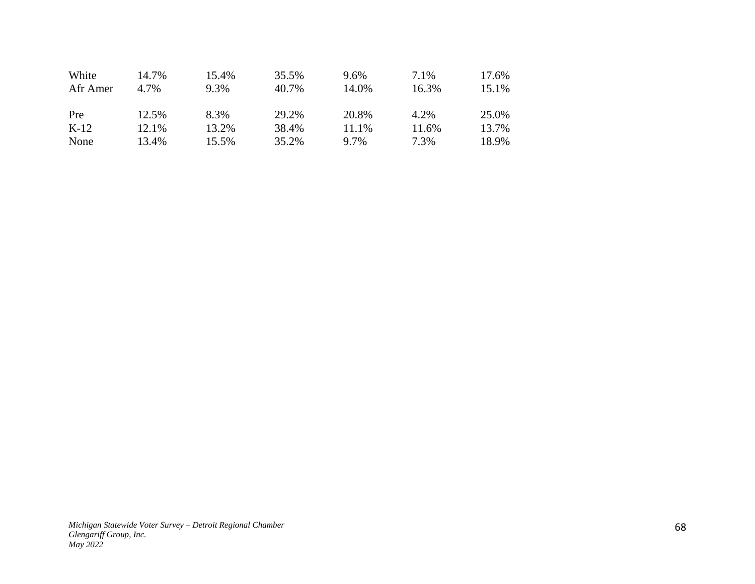| White    | 14.7% | 15.4% | 35.5% | 9.6%    | 7.1%  | 17.6% |
|----------|-------|-------|-------|---------|-------|-------|
| Afr Amer | 4.7%  | 9.3%  | 40.7% | 14.0%   | 16.3% | 15.1% |
| Pre      | 12.5% | 8.3%  | 29.2% | 20.8%   | 4.2%  | 25.0% |
| $K-12$   | 12.1% | 13.2% | 38.4% | 11.1%   | 11.6% | 13.7% |
| None     | 13.4% | 15.5% | 35.2% | $9.7\%$ | 7.3%  | 18.9% |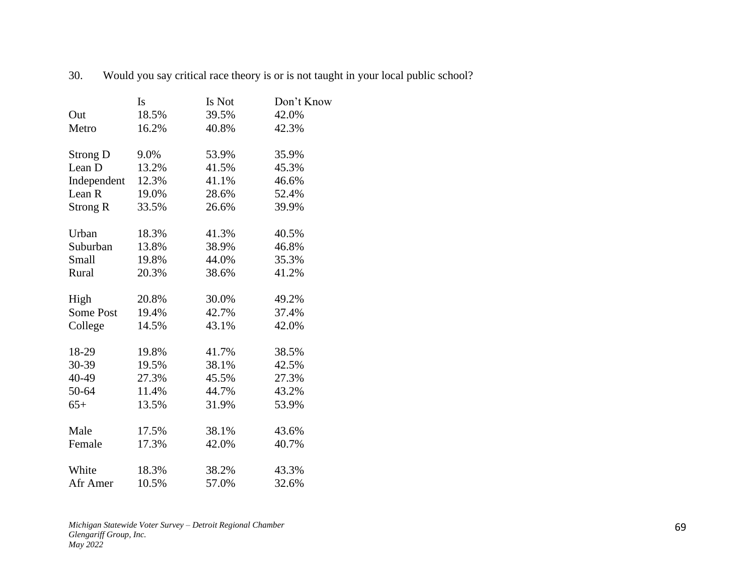|                  | Is    | Is Not | Don't Know |
|------------------|-------|--------|------------|
| Out              | 18.5% | 39.5%  | 42.0%      |
| Metro            | 16.2% | 40.8%  | 42.3%      |
| <b>Strong D</b>  | 9.0%  | 53.9%  | 35.9%      |
| Lean D           | 13.2% | 41.5%  | 45.3%      |
| Independent      | 12.3% | 41.1%  | 46.6%      |
| Lean R           | 19.0% | 28.6%  | 52.4%      |
| <b>Strong R</b>  | 33.5% | 26.6%  | 39.9%      |
| Urban            | 18.3% | 41.3%  | 40.5%      |
| Suburban         | 13.8% | 38.9%  | 46.8%      |
| Small            | 19.8% | 44.0%  | 35.3%      |
| Rural            | 20.3% | 38.6%  | 41.2%      |
| High             | 20.8% | 30.0%  | 49.2%      |
| <b>Some Post</b> | 19.4% | 42.7%  | 37.4%      |
| College          | 14.5% | 43.1%  | 42.0%      |
| 18-29            | 19.8% | 41.7%  | 38.5%      |
| 30-39            | 19.5% | 38.1%  | 42.5%      |
| 40-49            | 27.3% | 45.5%  | 27.3%      |
| 50-64            | 11.4% | 44.7%  | 43.2%      |
| $65+$            | 13.5% | 31.9%  | 53.9%      |
| Male             | 17.5% | 38.1%  | 43.6%      |
| Female           | 17.3% | 42.0%  | 40.7%      |
| White            | 18.3% | 38.2%  | 43.3%      |
| Afr Amer         | 10.5% | 57.0%  | 32.6%      |

30. Would you say critical race theory is or is not taught in your local public school?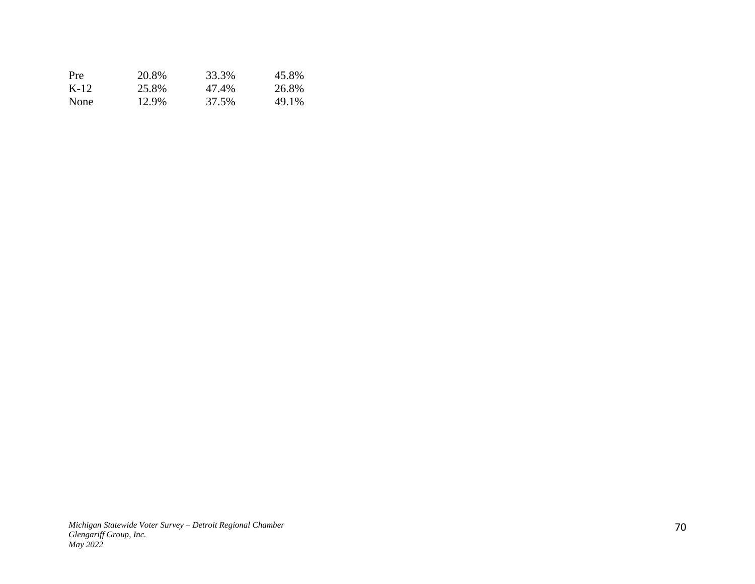| Pre         | 20.8% | 33.3% | 45.8% |
|-------------|-------|-------|-------|
| K-12        | 25.8% | 47.4% | 26.8% |
| <b>None</b> | 12.9% | 37.5% | 49.1% |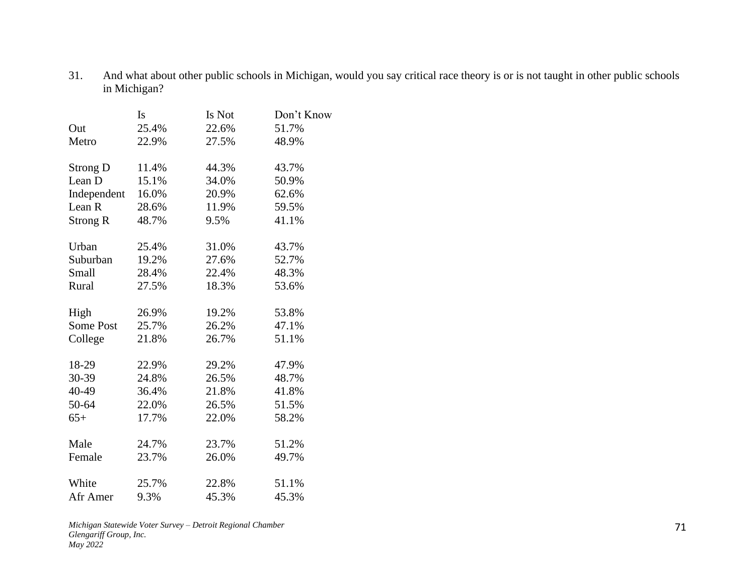31. And what about other public schools in Michigan, would you say critical race theory is or is not taught in other public schools in Michigan?

|                 | <b>Is</b> | Is Not | Don't Know |
|-----------------|-----------|--------|------------|
| Out             | 25.4%     | 22.6%  | 51.7%      |
| Metro           | 22.9%     | 27.5%  | 48.9%      |
| <b>Strong D</b> | 11.4%     | 44.3%  | 43.7%      |
| Lean D          | 15.1%     | 34.0%  | 50.9%      |
| Independent     | 16.0%     | 20.9%  | 62.6%      |
| Lean R          | 28.6%     | 11.9%  | 59.5%      |
| <b>Strong R</b> | 48.7%     | 9.5%   | 41.1%      |
| Urban           | 25.4%     | 31.0%  | 43.7%      |
| Suburban        | 19.2%     | 27.6%  | 52.7%      |
| Small           | 28.4%     | 22.4%  | 48.3%      |
| Rural           | 27.5%     | 18.3%  | 53.6%      |
| High            | 26.9%     | 19.2%  | 53.8%      |
| Some Post       | 25.7%     | 26.2%  | 47.1%      |
| College         | 21.8%     | 26.7%  | 51.1%      |
| 18-29           | 22.9%     | 29.2%  | 47.9%      |
| 30-39           | 24.8%     | 26.5%  | 48.7%      |
| 40-49           | 36.4%     | 21.8%  | 41.8%      |
| 50-64           | 22.0%     | 26.5%  | 51.5%      |
| $65+$           | 17.7%     | 22.0%  | 58.2%      |
| Male            | 24.7%     | 23.7%  | 51.2%      |
| Female          | 23.7%     | 26.0%  | 49.7%      |
| White           | 25.7%     | 22.8%  | 51.1%      |
| Afr Amer        | 9.3%      | 45.3%  | 45.3%      |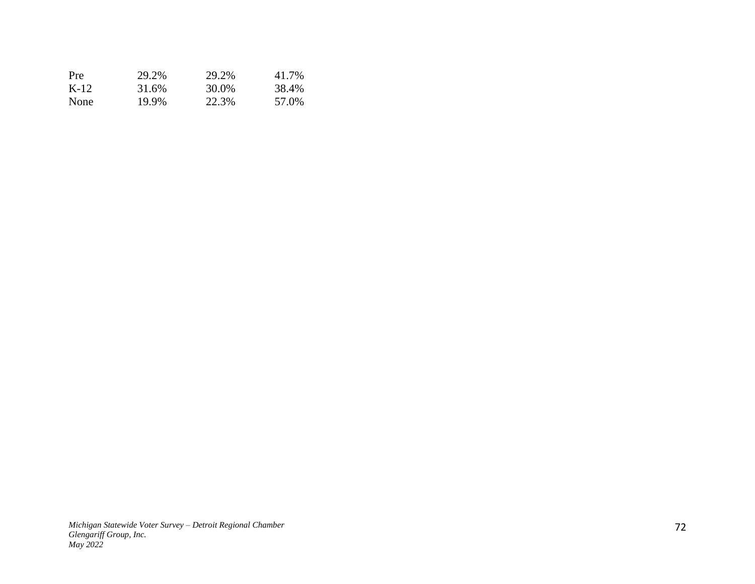| <b>Pre</b> | 29.2% | 29.2% | 41.7% |
|------------|-------|-------|-------|
| K-12       | 31.6% | 30.0% | 38.4% |
| None       | 19.9% | 22.3% | 57.0% |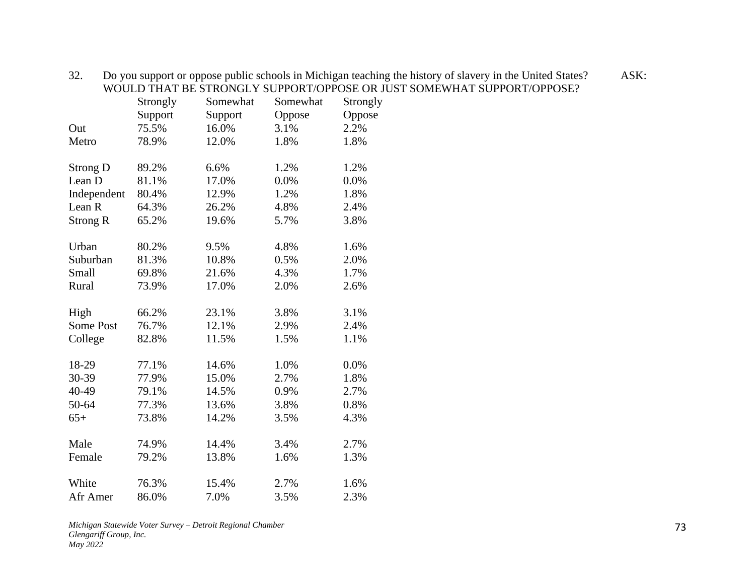|                 | Strongly | Somewhat | Somewhat | Strongly |
|-----------------|----------|----------|----------|----------|
|                 | Support  | Support  | Oppose   | Oppose   |
| Out             | 75.5%    | 16.0%    | 3.1%     | 2.2%     |
| Metro           | 78.9%    | 12.0%    | 1.8%     | 1.8%     |
| <b>Strong D</b> | 89.2%    | 6.6%     | 1.2%     | 1.2%     |
| Lean D          | 81.1%    | 17.0%    | 0.0%     | 0.0%     |
| Independent     | 80.4%    | 12.9%    | 1.2%     | 1.8%     |
| Lean R          | 64.3%    | 26.2%    | 4.8%     | 2.4%     |
| <b>Strong R</b> | 65.2%    | 19.6%    | 5.7%     | 3.8%     |
| Urban           | 80.2%    | 9.5%     | 4.8%     | 1.6%     |
| Suburban        | 81.3%    | 10.8%    | 0.5%     | 2.0%     |
| Small           | 69.8%    | 21.6%    | 4.3%     | 1.7%     |
| Rural           | 73.9%    | 17.0%    | 2.0%     | 2.6%     |
| High            | 66.2%    | 23.1%    | 3.8%     | 3.1%     |
| Some Post       | 76.7%    | 12.1%    | 2.9%     | 2.4%     |
| College         | 82.8%    | 11.5%    | 1.5%     | 1.1%     |
| 18-29           | 77.1%    | 14.6%    | 1.0%     | 0.0%     |
| 30-39           | 77.9%    | 15.0%    | 2.7%     | 1.8%     |
| 40-49           | 79.1%    | 14.5%    | 0.9%     | 2.7%     |
| 50-64           | 77.3%    | 13.6%    | 3.8%     | 0.8%     |
| $65+$           | 73.8%    | 14.2%    | 3.5%     | 4.3%     |
| Male            | 74.9%    | 14.4%    | 3.4%     | 2.7%     |
| Female          | 79.2%    | 13.8%    | 1.6%     | 1.3%     |
| White           | 76.3%    | 15.4%    | 2.7%     | 1.6%     |
| Afr Amer        | 86.0%    | 7.0%     | 3.5%     | 2.3%     |

32. Do you support or oppose public schools in Michigan teaching the history of slavery in the United States? ASK: WOULD THAT BE STRONGLY SUPPORT/OPPOSE OR JUST SOMEWHAT SUPPORT/OPPOSE?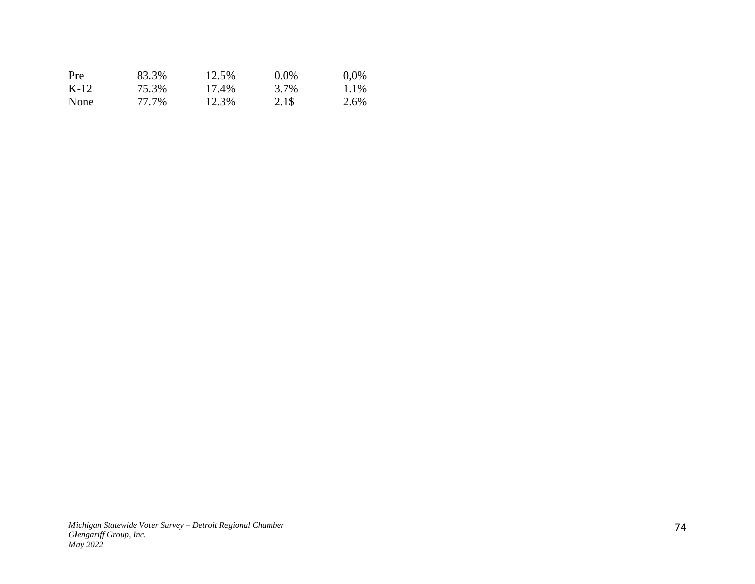| Pre    | 83.3% | 12.5% | $0.0\%$ | $0.0\%$ |
|--------|-------|-------|---------|---------|
| $K-12$ | 75.3% | 17.4% | 3.7%    | 1.1%    |
| None   | 77.7% | 12.3% | 2.1\$   | 2.6%    |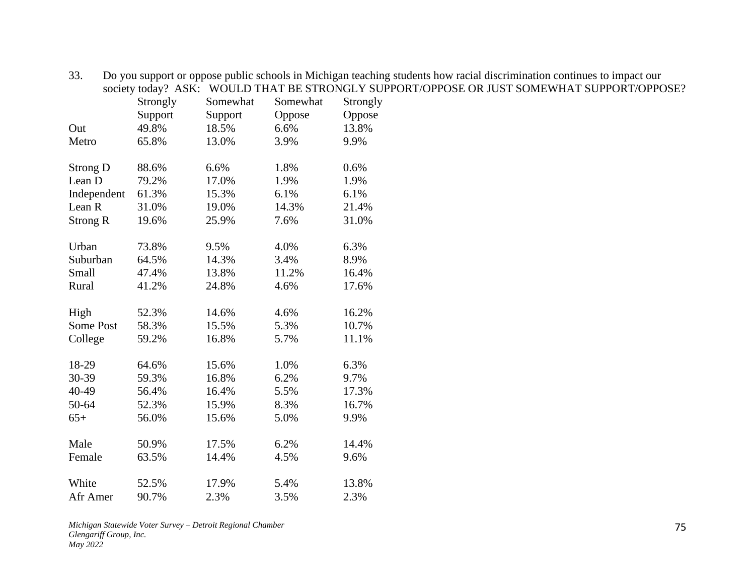|                   | society today? ASK: |          | WOULD THAT BE STRONGLY SU |          |
|-------------------|---------------------|----------|---------------------------|----------|
|                   | Strongly            | Somewhat | Somewhat                  | Strongly |
|                   | Support             | Support  | Oppose                    | Oppose   |
| Out               | 49.8%               | 18.5%    | 6.6%                      | 13.8%    |
| Metro             | 65.8%               | 13.0%    | 3.9%                      | 9.9%     |
| <b>Strong D</b>   | 88.6%               | 6.6%     | 1.8%                      | 0.6%     |
| Lean D            | 79.2%               | 17.0%    | 1.9%                      | 1.9%     |
| Independent       | 61.3%               | 15.3%    | 6.1%                      | 6.1%     |
| Lean <sub>R</sub> | 31.0%               | 19.0%    | 14.3%                     | 21.4%    |
| <b>Strong R</b>   | 19.6%               | 25.9%    | 7.6%                      | 31.0%    |
| Urban             | 73.8%               | 9.5%     | 4.0%                      | 6.3%     |
| Suburban          | 64.5%               | 14.3%    | 3.4%                      | 8.9%     |
| Small             | 47.4%               | 13.8%    | 11.2%                     | 16.4%    |
| Rural             | 41.2%               | 24.8%    | 4.6%                      | 17.6%    |
| High              | 52.3%               | 14.6%    | 4.6%                      | 16.2%    |
| <b>Some Post</b>  | 58.3%               | 15.5%    | 5.3%                      | 10.7%    |
| College           | 59.2%               | 16.8%    | 5.7%                      | 11.1%    |
| 18-29             | 64.6%               | 15.6%    | 1.0%                      | 6.3%     |
| 30-39             | 59.3%               | 16.8%    | 6.2%                      | 9.7%     |
| 40-49             | 56.4%               | 16.4%    | 5.5%                      | 17.3%    |
| 50-64             | 52.3%               | 15.9%    | 8.3%                      | 16.7%    |
| $65+$             | 56.0%               | 15.6%    | 5.0%                      | 9.9%     |
| Male              | 50.9%               | 17.5%    | 6.2%                      | 14.4%    |
| Female            | 63.5%               | 14.4%    | 4.5%                      | 9.6%     |
| White             | 52.5%               | 17.9%    | 5.4%                      | 13.8%    |
| Afr Amer          | 90.7%               | 2.3%     | 3.5%                      | 2.3%     |

33. Do you support or oppose public schools in Michigan teaching students how racial discrimination continues to impact our society today? ASK: WOULD THAT BE STRONGLY SUPPORT/OPPOSE OR JUST SOMEWHAT SUPPORT/OPPOSE?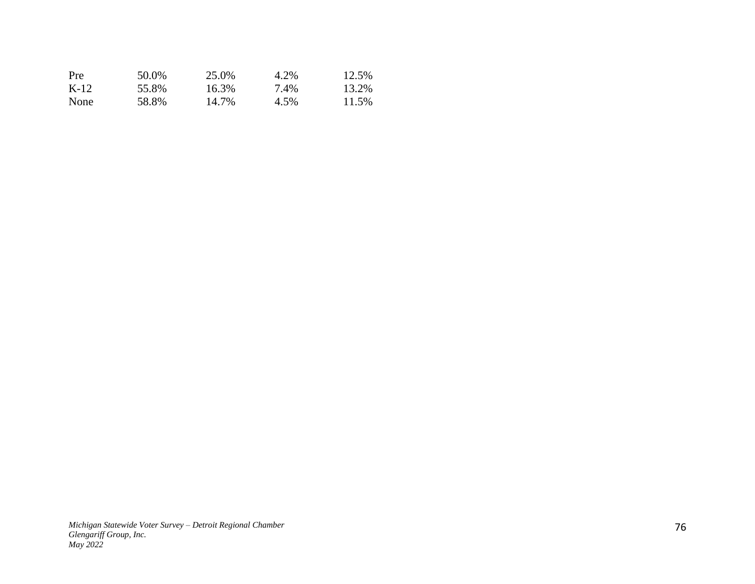| Pre         | 50.0% | 25.0% | 4.2% | 12.5% |
|-------------|-------|-------|------|-------|
| K-12        | 55.8% | 16.3% | 7.4% | 13.2% |
| <b>None</b> | 58.8% | 14.7% | 4.5% | 11.5% |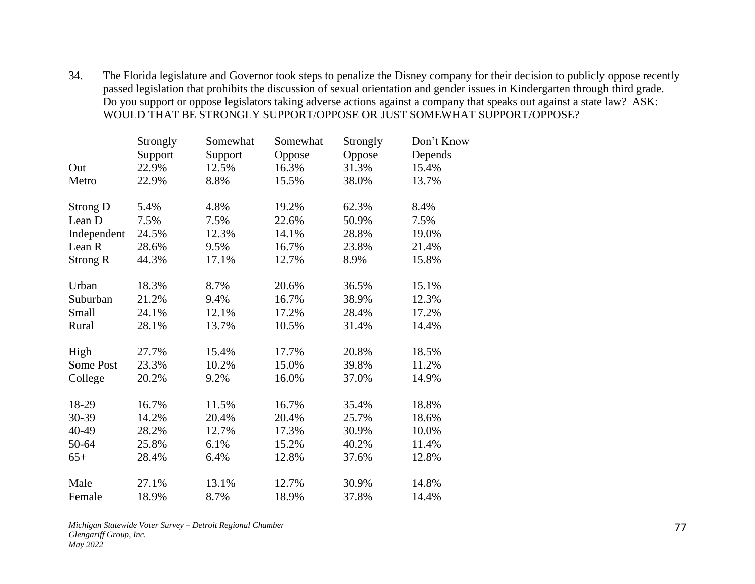34. The Florida legislature and Governor took steps to penalize the Disney company for their decision to publicly oppose recently passed legislation that prohibits the discussion of sexual orientation and gender issues in Kindergarten through third grade. Do you support or oppose legislators taking adverse actions against a company that speaks out against a state law? ASK: WOULD THAT BE STRONGLY SUPPORT/OPPOSE OR JUST SOMEWHAT SUPPORT/OPPOSE?

| Strongly | Somewhat | Somewhat | Strongly | Don't Know |
|----------|----------|----------|----------|------------|
| Support  | Support  | Oppose   | Oppose   | Depends    |
| 22.9%    | 12.5%    | 16.3%    | 31.3%    | 15.4%      |
| 22.9%    | 8.8%     | 15.5%    | 38.0%    | 13.7%      |
| 5.4%     | 4.8%     | 19.2%    | 62.3%    | 8.4%       |
| 7.5%     | 7.5%     | 22.6%    | 50.9%    | 7.5%       |
| 24.5%    | 12.3%    | 14.1%    | 28.8%    | 19.0%      |
| 28.6%    | 9.5%     | 16.7%    | 23.8%    | 21.4%      |
| 44.3%    | 17.1%    | 12.7%    | 8.9%     | 15.8%      |
| 18.3%    | 8.7%     | 20.6%    | 36.5%    | 15.1%      |
| 21.2%    | 9.4%     | 16.7%    | 38.9%    | 12.3%      |
| 24.1%    | 12.1%    | 17.2%    | 28.4%    | 17.2%      |
| 28.1%    | 13.7%    | 10.5%    | 31.4%    | 14.4%      |
| 27.7%    | 15.4%    | 17.7%    | 20.8%    | 18.5%      |
| 23.3%    | 10.2%    | 15.0%    | 39.8%    | 11.2%      |
| 20.2%    | 9.2%     | 16.0%    | 37.0%    | 14.9%      |
| 16.7%    | 11.5%    | 16.7%    | 35.4%    | 18.8%      |
| 14.2%    | 20.4%    | 20.4%    | 25.7%    | 18.6%      |
| 28.2%    | 12.7%    | 17.3%    | 30.9%    | 10.0%      |
| 25.8%    | 6.1%     | 15.2%    | 40.2%    | 11.4%      |
| 28.4%    | 6.4%     | 12.8%    | 37.6%    | 12.8%      |
| 27.1%    | 13.1%    | 12.7%    | 30.9%    | 14.8%      |
| 18.9%    | 8.7%     | 18.9%    | 37.8%    | 14.4%      |
|          |          |          |          |            |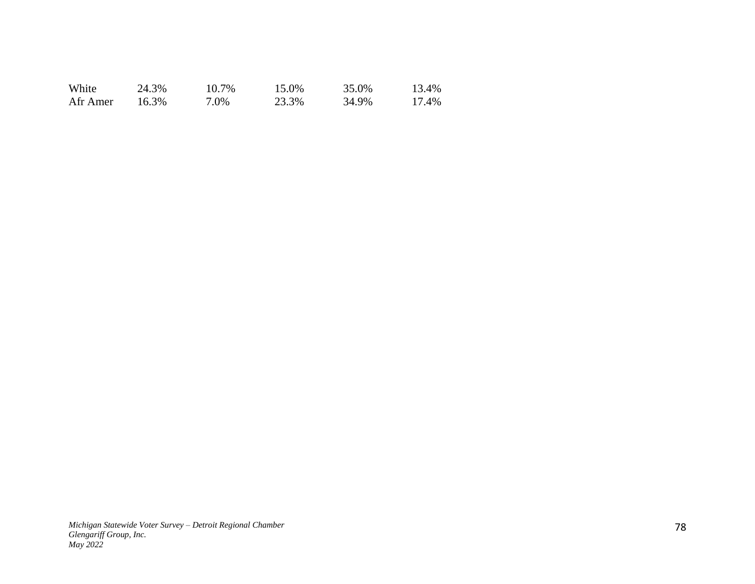| White    | 24.3% | 10.7% | 15.0% | 35.0% | 13.4% |
|----------|-------|-------|-------|-------|-------|
| Afr Amer | 16.3% | 7.0%  | 23.3% | 34.9% | 17.4% |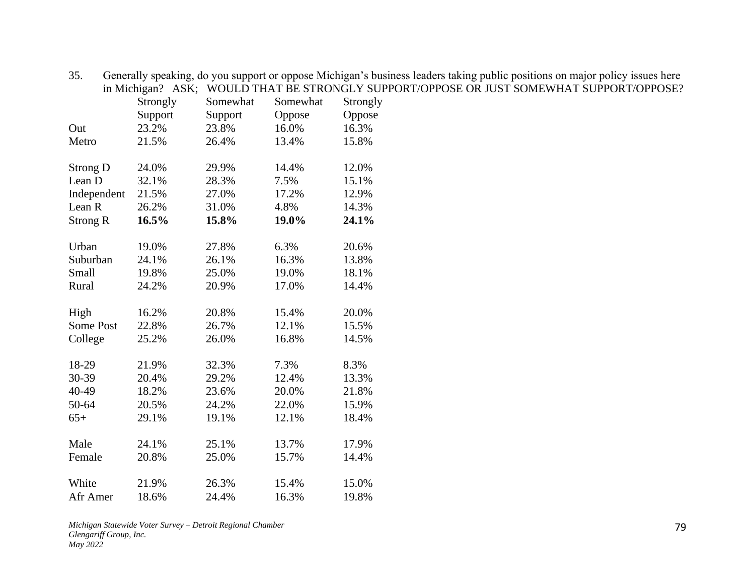| in Michigan? ASK; |          | WOULD THAT BE STRONGLY SU |          |          |  |
|-------------------|----------|---------------------------|----------|----------|--|
|                   | Strongly | Somewhat                  | Somewhat | Strongly |  |
|                   | Support  | Support                   | Oppose   | Oppose   |  |
| Out               | 23.2%    | 23.8%                     | 16.0%    | 16.3%    |  |
| Metro             | 21.5%    | 26.4%                     | 13.4%    | 15.8%    |  |
| <b>Strong D</b>   | 24.0%    | 29.9%                     | 14.4%    | 12.0%    |  |
| Lean D            | 32.1%    | 28.3%                     | 7.5%     | 15.1%    |  |
| Independent       | 21.5%    | 27.0%                     | 17.2%    | 12.9%    |  |
| Lean <sub>R</sub> | 26.2%    | 31.0%                     | 4.8%     | 14.3%    |  |
| <b>Strong R</b>   | 16.5%    | 15.8%                     | 19.0%    | 24.1%    |  |
| Urban             | 19.0%    | 27.8%                     | 6.3%     | 20.6%    |  |
| Suburban          | 24.1%    | 26.1%                     | 16.3%    | 13.8%    |  |
| Small             | 19.8%    | 25.0%                     | 19.0%    | 18.1%    |  |
| Rural             | 24.2%    | 20.9%                     | 17.0%    | 14.4%    |  |
| High              | 16.2%    | 20.8%                     | 15.4%    | 20.0%    |  |
| Some Post         | 22.8%    | 26.7%                     | 12.1%    | 15.5%    |  |
| College           | 25.2%    | 26.0%                     | 16.8%    | 14.5%    |  |
| 18-29             | 21.9%    | 32.3%                     | 7.3%     | 8.3%     |  |
| 30-39             | 20.4%    | 29.2%                     | 12.4%    | 13.3%    |  |
| 40-49             | 18.2%    | 23.6%                     | 20.0%    | 21.8%    |  |
| 50-64             | 20.5%    | 24.2%                     | 22.0%    | 15.9%    |  |
| $65+$             | 29.1%    | 19.1%                     | 12.1%    | 18.4%    |  |
| Male              | 24.1%    | 25.1%                     | 13.7%    | 17.9%    |  |
| Female            | 20.8%    | 25.0%                     | 15.7%    | 14.4%    |  |
| White             | 21.9%    | 26.3%                     | 15.4%    | 15.0%    |  |
| Afr Amer          | 18.6%    | 24.4%                     | 16.3%    | 19.8%    |  |
|                   |          |                           |          |          |  |

35. Generally speaking, do you support or oppose Michigan's business leaders taking public positions on major policy issues here in Michigan? ASK; WOULD THAT BE STRONGLY SUPPORT/OPPOSE OR JUST SOMEWHAT SUPPORT/OPPOSE?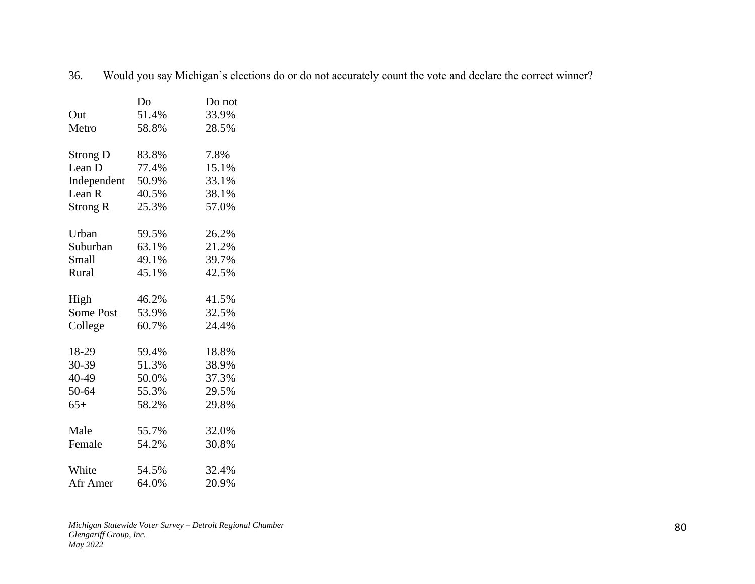|                 | Do    | Do not |
|-----------------|-------|--------|
| Out             | 51.4% | 33.9%  |
| Metro           | 58.8% | 28.5%  |
| <b>Strong D</b> | 83.8% | 7.8%   |
| Lean D          | 77.4% | 15.1%  |
| Independent     | 50.9% | 33.1%  |
| Lean R          | 40.5% | 38.1%  |
| Strong R        | 25.3% | 57.0%  |
| Urban           | 59.5% | 26.2%  |
| Suburban        | 63.1% | 21.2%  |
| Small           | 49.1% | 39.7%  |
| Rural           | 45.1% | 42.5%  |
| High            | 46.2% | 41.5%  |
| Some Post       | 53.9% | 32.5%  |
| College         | 60.7% | 24.4%  |
| 18-29           | 59.4% | 18.8%  |
| 30-39           | 51.3% | 38.9%  |
| 40-49           | 50.0% | 37.3%  |
| 50-64           | 55.3% | 29.5%  |
| $65+$           | 58.2% | 29.8%  |
| Male            | 55.7% | 32.0%  |
| Female          | 54.2% | 30.8%  |
| White           | 54.5% | 32.4%  |
| Afr Amer        | 64.0% | 20.9%  |

36. Would you say Michigan's elections do or do not accurately count the vote and declare the correct winner?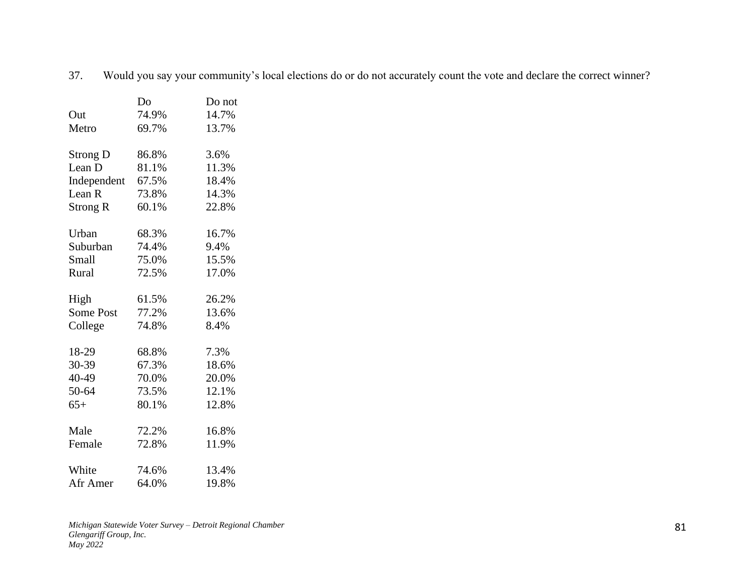|                 | Do    | Do not |
|-----------------|-------|--------|
| Out             | 74.9% | 14.7%  |
| Metro           | 69.7% | 13.7%  |
|                 |       |        |
| <b>Strong D</b> | 86.8% | 3.6%   |
| Lean D          | 81.1% | 11.3%  |
| Independent     | 67.5% | 18.4%  |
| Lean R          | 73.8% | 14.3%  |
| Strong R        | 60.1% | 22.8%  |
|                 |       |        |
| Urban           | 68.3% | 16.7%  |
| Suburban        | 74.4% | 9.4%   |
| <b>Small</b>    | 75.0% | 15.5%  |
| Rural           | 72.5% | 17.0%  |
|                 |       |        |
| High            | 61.5% | 26.2%  |
| Some Post       | 77.2% | 13.6%  |
| College         | 74.8% | 8.4%   |
|                 |       |        |
| 18-29           | 68.8% | 7.3%   |
| 30-39           | 67.3% | 18.6%  |
| 40-49           | 70.0% | 20.0%  |
| 50-64           | 73.5% | 12.1%  |
| $65+$           | 80.1% | 12.8%  |
|                 |       |        |
| Male            | 72.2% | 16.8%  |
| Female          | 72.8% | 11.9%  |
|                 |       |        |
| White           | 74.6% | 13.4%  |
| Afr Amer        | 64.0% | 19.8%  |

37. Would you say your community's local elections do or do not accurately count the vote and declare the correct winner?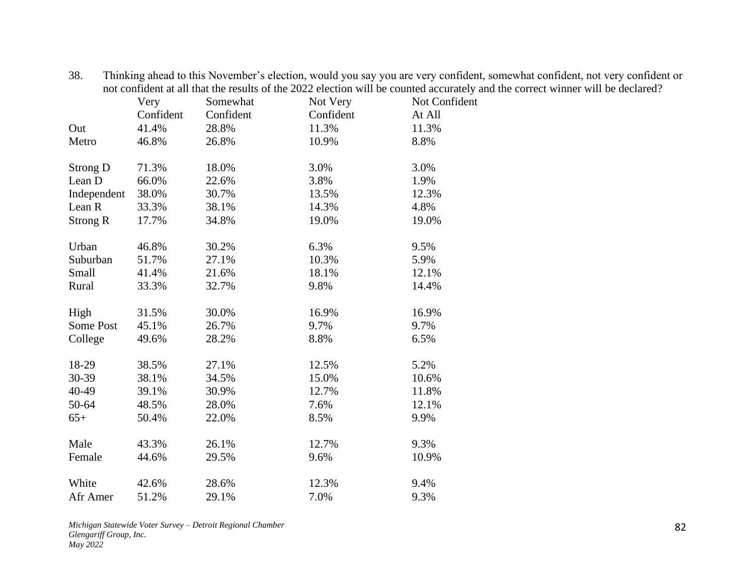|                 |           |           |           | not confident at all that the results of the 2022 election will be counted accurately and the correct winner will be declared? |
|-----------------|-----------|-----------|-----------|--------------------------------------------------------------------------------------------------------------------------------|
|                 | Very      | Somewhat  | Not Very  | Not Confident                                                                                                                  |
|                 | Confident | Confident | Confident | At All                                                                                                                         |
| Out             | 41.4%     | 28.8%     | 11.3%     | 11.3%                                                                                                                          |
| Metro           | 46.8%     | 26.8%     | 10.9%     | 8.8%                                                                                                                           |
|                 |           |           |           |                                                                                                                                |
| Strong D        | 71.3%     | 18.0%     | 3.0%      | 3.0%                                                                                                                           |
| Lean D          | 66.0%     | 22.6%     | 3.8%      | 1.9%                                                                                                                           |
| Independent     | 38.0%     | 30.7%     | 13.5%     | 12.3%                                                                                                                          |
| Lean R          | 33.3%     | 38.1%     | 14.3%     | 4.8%                                                                                                                           |
| <b>Strong R</b> | 17.7%     | 34.8%     | 19.0%     | 19.0%                                                                                                                          |
| Urban           | 46.8%     | 30.2%     | 6.3%      | 9.5%                                                                                                                           |
| Suburban        | 51.7%     | 27.1%     | 10.3%     | 5.9%                                                                                                                           |
| Small           | 41.4%     | 21.6%     | 18.1%     | 12.1%                                                                                                                          |
| Rural           | 33.3%     | 32.7%     | 9.8%      | 14.4%                                                                                                                          |
|                 |           |           |           |                                                                                                                                |
| High            | 31.5%     | 30.0%     | 16.9%     | 16.9%                                                                                                                          |
| Some Post       | 45.1%     | 26.7%     | 9.7%      | 9.7%                                                                                                                           |
| College         | 49.6%     | 28.2%     | 8.8%      | 6.5%                                                                                                                           |
| 18-29           | 38.5%     | 27.1%     | 12.5%     | 5.2%                                                                                                                           |
| 30-39           | 38.1%     | 34.5%     | 15.0%     | 10.6%                                                                                                                          |
| 40-49           | 39.1%     | 30.9%     | 12.7%     | 11.8%                                                                                                                          |
|                 |           |           |           |                                                                                                                                |
| 50-64           | 48.5%     | 28.0%     | 7.6%      | 12.1%                                                                                                                          |
| $65+$           | 50.4%     | 22.0%     | 8.5%      | 9.9%                                                                                                                           |
| Male            | 43.3%     | 26.1%     | 12.7%     | 9.3%                                                                                                                           |
| Female          | 44.6%     | 29.5%     | 9.6%      | 10.9%                                                                                                                          |
| White           | 42.6%     | 28.6%     | 12.3%     | 9.4%                                                                                                                           |
| Afr Amer        | 51.2%     | 29.1%     | 7.0%      | 9.3%                                                                                                                           |
|                 |           |           |           |                                                                                                                                |

38. Thinking ahead to this November's election, would you say you are very confident, somewhat confident, not very confident or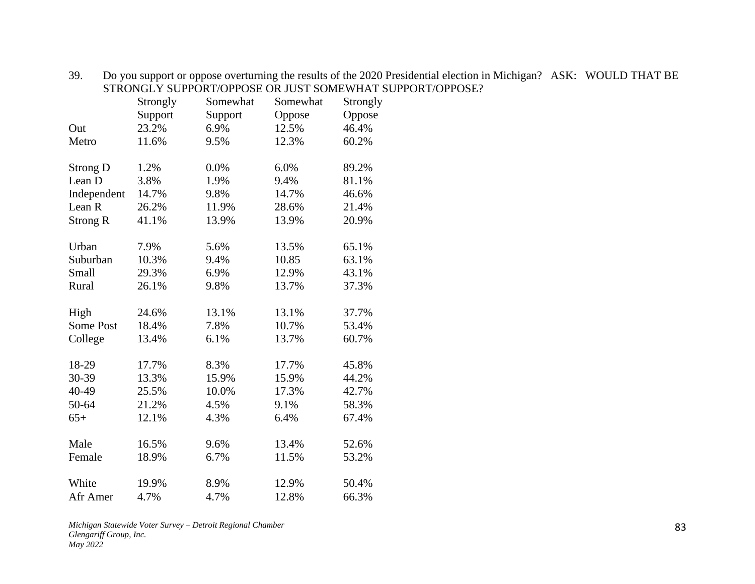|                  | Strongly | Somewhat | Somewhat | Strongly |
|------------------|----------|----------|----------|----------|
|                  | Support  | Support  | Oppose   | Oppose   |
| Out              | 23.2%    | 6.9%     | 12.5%    | 46.4%    |
| Metro            | 11.6%    | 9.5%     | 12.3%    | 60.2%    |
| <b>Strong D</b>  | 1.2%     | 0.0%     | 6.0%     | 89.2%    |
| Lean D           | 3.8%     | 1.9%     | 9.4%     | 81.1%    |
| Independent      | 14.7%    | 9.8%     | 14.7%    | 46.6%    |
| Lean R           | 26.2%    | 11.9%    | 28.6%    | 21.4%    |
| <b>Strong R</b>  | 41.1%    | 13.9%    | 13.9%    | 20.9%    |
| Urban            | 7.9%     | 5.6%     | 13.5%    | 65.1%    |
| Suburban         | 10.3%    | 9.4%     | 10.85    | 63.1%    |
| Small            | 29.3%    | 6.9%     | 12.9%    | 43.1%    |
| Rural            | 26.1%    | 9.8%     | 13.7%    | 37.3%    |
| High             | 24.6%    | 13.1%    | 13.1%    | 37.7%    |
| <b>Some Post</b> | 18.4%    | 7.8%     | 10.7%    | 53.4%    |
| College          | 13.4%    | 6.1%     | 13.7%    | 60.7%    |
| 18-29            | 17.7%    | 8.3%     | 17.7%    | 45.8%    |
| 30-39            | 13.3%    | 15.9%    | 15.9%    | 44.2%    |
| 40-49            | 25.5%    | 10.0%    | 17.3%    | 42.7%    |
| 50-64            | 21.2%    | 4.5%     | 9.1%     | 58.3%    |
| $65+$            | 12.1%    | 4.3%     | 6.4%     | 67.4%    |
| Male             | 16.5%    | 9.6%     | 13.4%    | 52.6%    |
| Female           | 18.9%    | 6.7%     | 11.5%    | 53.2%    |
| White            | 19.9%    | 8.9%     | 12.9%    | 50.4%    |
| Afr Amer         | 4.7%     | 4.7%     | 12.8%    | 66.3%    |

39. Do you support or oppose overturning the results of the 2020 Presidential election in Michigan? ASK: WOULD THAT BE STRONGLY SUPPORT/OPPOSE OR JUST SOMEWHAT SUPPORT/OPPOSE?